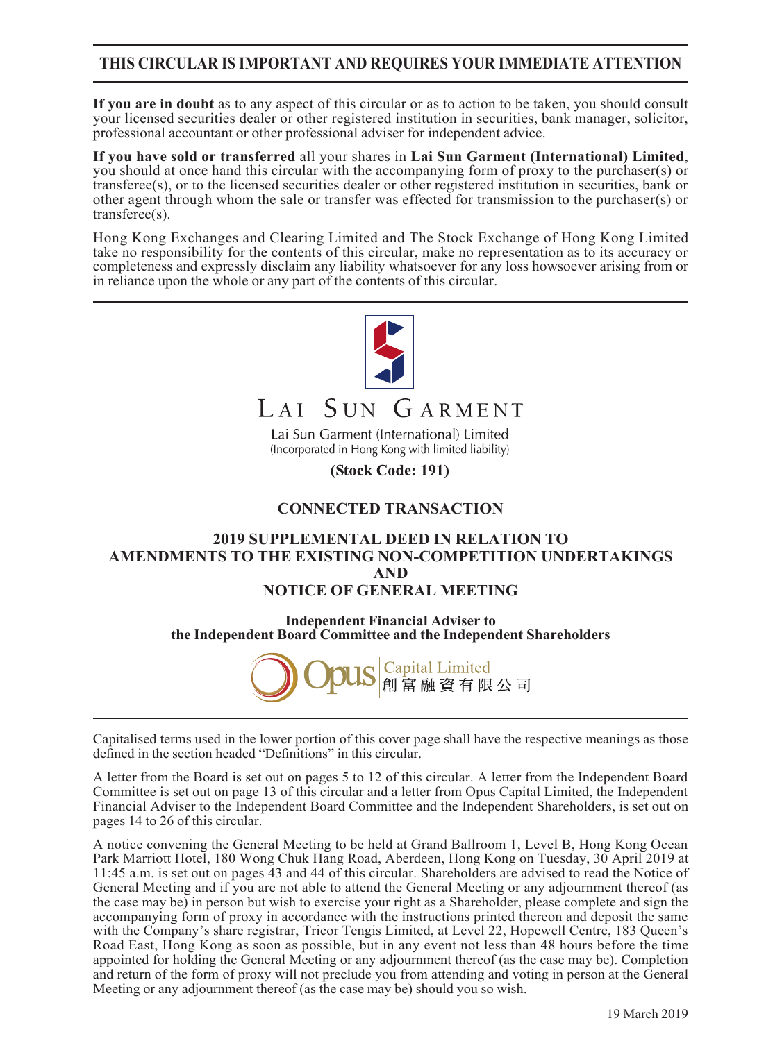## **THIS CIRCULAR IS IMPORTANT AND REQUIRES YOUR IMMEDIATE ATTENTION**

**If you are in doubt** as to any aspect of this circular or as to action to be taken, you should consult your licensed securities dealer or other registered institution in securities, bank manager, solicitor, professional accountant or other professional adviser for independent advice.

**If you have sold or transferred** all your shares in **Lai Sun Garment (International) Limited**, you should at once hand this circular with the accompanying form of proxy to the purchaser(s) or transferee(s), or to the licensed securities dealer or other registered institution in securities, bank or other agent through whom the sale or transfer was effected for transmission to the purchaser(s) or transferee(s).

Hong Kong Exchanges and Clearing Limited and The Stock Exchange of Hong Kong Limited take no responsibility for the contents of this circular, make no representation as to its accuracy or completeness and expressly disclaim any liability whatsoever for any loss howsoever arising from or in reliance upon the whole or any part of the contents of this circular.



(Stock Code: 191)

### **CONNECTED TRANSACTION**

### **2019 SUPPLEMENTAL DEED IN RELATION TO AMENDMENTS TO THE EXISTING NON-COMPETITION UNDERTAKINGS AND NOTICE OF GENERAL MEETING**

**Independent Financial Adviser to the Independent Board Committee and the Independent Shareholders**



Capitalised terms used in the lower portion of this cover page shall have the respective meanings as those defined in the section headed "Definitions" in this circular.

A letter from the Board is set out on pages 5 to 12 of this circular. A letter from the Independent Board Committee is set out on page 13 of this circular and a letter from Opus Capital Limited, the Independent Financial Adviser to the Independent Board Committee and the Independent Shareholders, is set out on pages 14 to 26 of this circular.

A notice convening the General Meeting to be held at Grand Ballroom 1, Level B, Hong Kong Ocean Park Marriott Hotel, 180 Wong Chuk Hang Road, Aberdeen, Hong Kong on Tuesday, 30 April 2019 at 11:45 a.m. is set out on pages 43 and 44 of this circular. Shareholders are advised to read the Notice of General Meeting and if you are not able to attend the General Meeting or any adjournment thereof (as the case may be) in person but wish to exercise your right as a Shareholder, please complete and sign the accompanying form of proxy in accordance with the instructions printed thereon and deposit the same with the Company's share registrar, Tricor Tengis Limited, at Level 22, Hopewell Centre, 183 Queen's Road East, Hong Kong as soon as possible, but in any event not less than 48 hours before the time appointed for holding the General Meeting or any adjournment thereof (as the case may be). Completion and return of the form of proxy will not preclude you from attending and voting in person at the General Meeting or any adjournment thereof (as the case may be) should you so wish.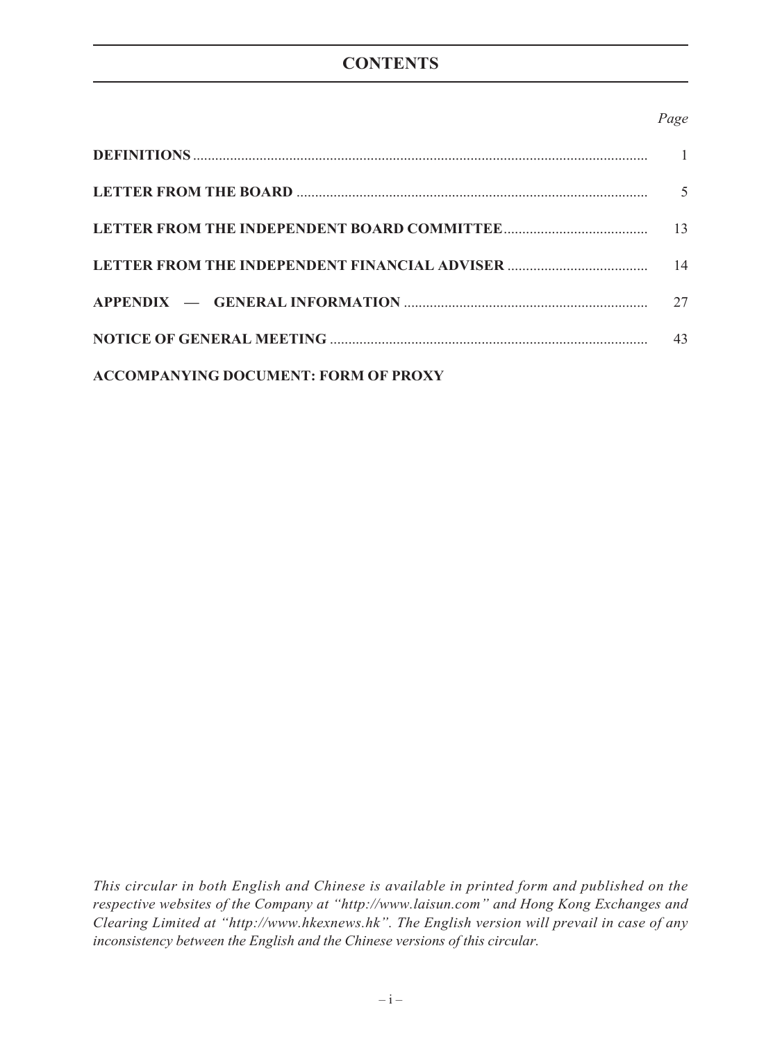# **CONTENTS**

## *Page*

|                                             | .5 |
|---------------------------------------------|----|
|                                             |    |
|                                             | 14 |
|                                             | 27 |
|                                             | 43 |
| <b>ACCOMPANYING DOCUMENT: FORM OF PROXY</b> |    |

*This circular in both English and Chinese is available in printed form and published on the respective websites of the Company at "http://www.laisun.com" and Hong Kong Exchanges and Clearing Limited at "http://www.hkexnews.hk". The English version will prevail in case of any inconsistency between the English and the Chinese versions of this circular.*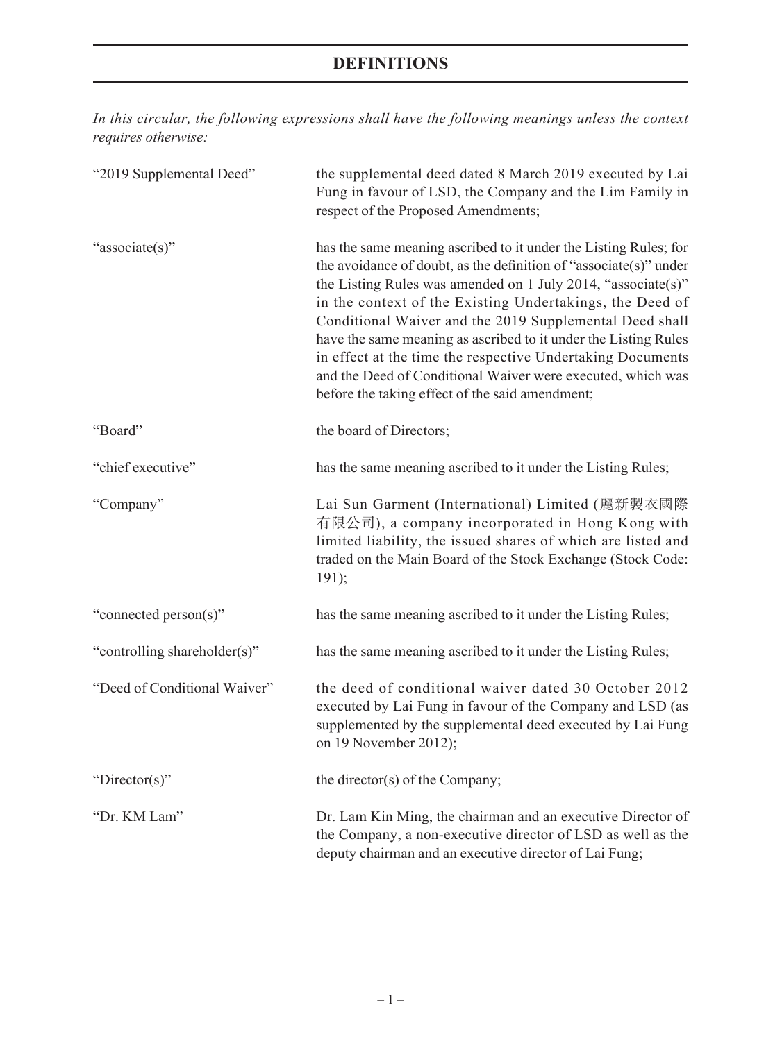*In this circular, the following expressions shall have the following meanings unless the context requires otherwise:*

| "2019 Supplemental Deed"     | the supplemental deed dated 8 March 2019 executed by Lai<br>Fung in favour of LSD, the Company and the Lim Family in<br>respect of the Proposed Amendments;                                                                                                                                                                                                                                                                                                                                                                                                                     |
|------------------------------|---------------------------------------------------------------------------------------------------------------------------------------------------------------------------------------------------------------------------------------------------------------------------------------------------------------------------------------------------------------------------------------------------------------------------------------------------------------------------------------------------------------------------------------------------------------------------------|
| "associate(s)"               | has the same meaning ascribed to it under the Listing Rules; for<br>the avoidance of doubt, as the definition of "associate(s)" under<br>the Listing Rules was amended on 1 July 2014, "associate(s)"<br>in the context of the Existing Undertakings, the Deed of<br>Conditional Waiver and the 2019 Supplemental Deed shall<br>have the same meaning as ascribed to it under the Listing Rules<br>in effect at the time the respective Undertaking Documents<br>and the Deed of Conditional Waiver were executed, which was<br>before the taking effect of the said amendment; |
| "Board"                      | the board of Directors;                                                                                                                                                                                                                                                                                                                                                                                                                                                                                                                                                         |
| "chief executive"            | has the same meaning ascribed to it under the Listing Rules;                                                                                                                                                                                                                                                                                                                                                                                                                                                                                                                    |
| "Company"                    | Lai Sun Garment (International) Limited (麗新製衣國際<br>有限公司), a company incorporated in Hong Kong with<br>limited liability, the issued shares of which are listed and<br>traded on the Main Board of the Stock Exchange (Stock Code:<br>191);                                                                                                                                                                                                                                                                                                                                      |
| "connected person(s)"        | has the same meaning ascribed to it under the Listing Rules;                                                                                                                                                                                                                                                                                                                                                                                                                                                                                                                    |
| "controlling shareholder(s)" | has the same meaning ascribed to it under the Listing Rules;                                                                                                                                                                                                                                                                                                                                                                                                                                                                                                                    |
| "Deed of Conditional Waiver" | the deed of conditional waiver dated 30 October 2012<br>executed by Lai Fung in favour of the Company and LSD (as<br>supplemented by the supplemental deed executed by Lai Fung<br>on 19 November 2012);                                                                                                                                                                                                                                                                                                                                                                        |
| "Director(s)"                | the director(s) of the Company;                                                                                                                                                                                                                                                                                                                                                                                                                                                                                                                                                 |
| "Dr. KM Lam"                 | Dr. Lam Kin Ming, the chairman and an executive Director of<br>the Company, a non-executive director of LSD as well as the<br>deputy chairman and an executive director of Lai Fung;                                                                                                                                                                                                                                                                                                                                                                                            |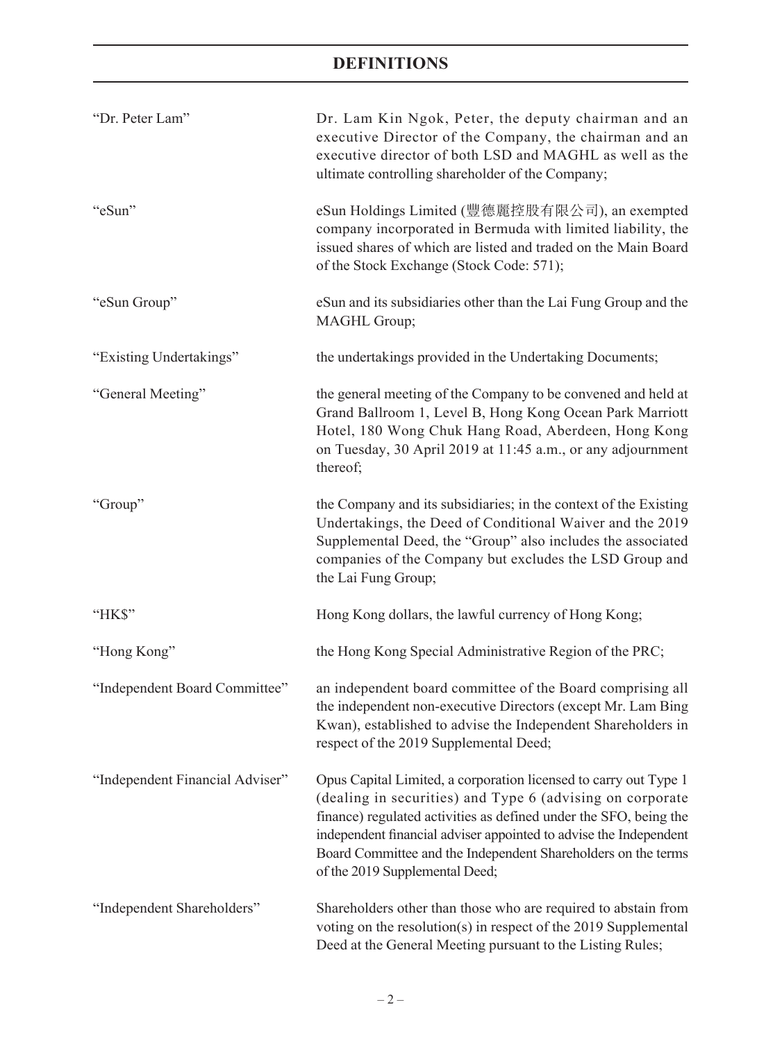| "Dr. Peter Lam"                 | Dr. Lam Kin Ngok, Peter, the deputy chairman and an<br>executive Director of the Company, the chairman and an<br>executive director of both LSD and MAGHL as well as the<br>ultimate controlling shareholder of the Company;                                                                                                                                               |
|---------------------------------|----------------------------------------------------------------------------------------------------------------------------------------------------------------------------------------------------------------------------------------------------------------------------------------------------------------------------------------------------------------------------|
| "eSun"                          | eSun Holdings Limited (豐德麗控股有限公司), an exempted<br>company incorporated in Bermuda with limited liability, the<br>issued shares of which are listed and traded on the Main Board<br>of the Stock Exchange (Stock Code: 571);                                                                                                                                                |
| "eSun Group"                    | eSun and its subsidiaries other than the Lai Fung Group and the<br>MAGHL Group;                                                                                                                                                                                                                                                                                            |
| "Existing Undertakings"         | the undertakings provided in the Undertaking Documents;                                                                                                                                                                                                                                                                                                                    |
| "General Meeting"               | the general meeting of the Company to be convened and held at<br>Grand Ballroom 1, Level B, Hong Kong Ocean Park Marriott<br>Hotel, 180 Wong Chuk Hang Road, Aberdeen, Hong Kong<br>on Tuesday, 30 April 2019 at 11:45 a.m., or any adjournment<br>thereof;                                                                                                                |
| "Group"                         | the Company and its subsidiaries; in the context of the Existing<br>Undertakings, the Deed of Conditional Waiver and the 2019<br>Supplemental Deed, the "Group" also includes the associated<br>companies of the Company but excludes the LSD Group and<br>the Lai Fung Group;                                                                                             |
| "HK\$"                          | Hong Kong dollars, the lawful currency of Hong Kong;                                                                                                                                                                                                                                                                                                                       |
| "Hong Kong"                     | the Hong Kong Special Administrative Region of the PRC;                                                                                                                                                                                                                                                                                                                    |
| "Independent Board Committee"   | an independent board committee of the Board comprising all<br>the independent non-executive Directors (except Mr. Lam Bing<br>Kwan), established to advise the Independent Shareholders in<br>respect of the 2019 Supplemental Deed;                                                                                                                                       |
| "Independent Financial Adviser" | Opus Capital Limited, a corporation licensed to carry out Type 1<br>(dealing in securities) and Type 6 (advising on corporate<br>finance) regulated activities as defined under the SFO, being the<br>independent financial adviser appointed to advise the Independent<br>Board Committee and the Independent Shareholders on the terms<br>of the 2019 Supplemental Deed; |
| "Independent Shareholders"      | Shareholders other than those who are required to abstain from<br>voting on the resolution(s) in respect of the 2019 Supplemental<br>Deed at the General Meeting pursuant to the Listing Rules;                                                                                                                                                                            |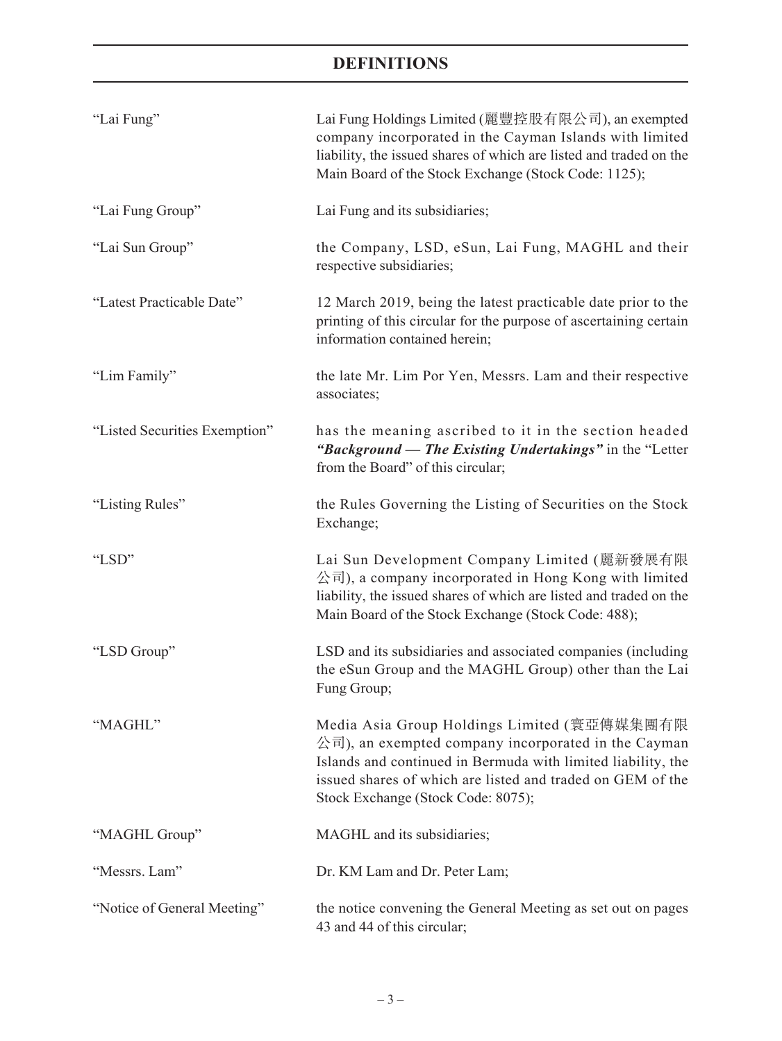| "Lai Fung"                    | Lai Fung Holdings Limited (麗豐控股有限公司), an exempted<br>company incorporated in the Cayman Islands with limited<br>liability, the issued shares of which are listed and traded on the<br>Main Board of the Stock Exchange (Stock Code: 1125);                             |
|-------------------------------|------------------------------------------------------------------------------------------------------------------------------------------------------------------------------------------------------------------------------------------------------------------------|
| "Lai Fung Group"              | Lai Fung and its subsidiaries;                                                                                                                                                                                                                                         |
| "Lai Sun Group"               | the Company, LSD, eSun, Lai Fung, MAGHL and their<br>respective subsidiaries;                                                                                                                                                                                          |
| "Latest Practicable Date"     | 12 March 2019, being the latest practicable date prior to the<br>printing of this circular for the purpose of ascertaining certain<br>information contained herein;                                                                                                    |
| "Lim Family"                  | the late Mr. Lim Por Yen, Messrs. Lam and their respective<br>associates;                                                                                                                                                                                              |
| "Listed Securities Exemption" | has the meaning ascribed to it in the section headed<br>"Background — The Existing Undertakings" in the "Letter<br>from the Board" of this circular;                                                                                                                   |
| "Listing Rules"               | the Rules Governing the Listing of Securities on the Stock<br>Exchange;                                                                                                                                                                                                |
| "LSD"                         | Lai Sun Development Company Limited (麗新發展有限<br>公司), a company incorporated in Hong Kong with limited<br>liability, the issued shares of which are listed and traded on the<br>Main Board of the Stock Exchange (Stock Code: 488);                                      |
| "LSD Group"                   | LSD and its subsidiaries and associated companies (including<br>the eSun Group and the MAGHL Group) other than the Lai<br>Fung Group;                                                                                                                                  |
| "MAGHL"                       | Media Asia Group Holdings Limited (寰亞傳媒集團有限<br>公司), an exempted company incorporated in the Cayman<br>Islands and continued in Bermuda with limited liability, the<br>issued shares of which are listed and traded on GEM of the<br>Stock Exchange (Stock Code: 8075); |
| "MAGHL Group"                 | MAGHL and its subsidiaries;                                                                                                                                                                                                                                            |
| "Messrs. Lam"                 | Dr. KM Lam and Dr. Peter Lam;                                                                                                                                                                                                                                          |
| "Notice of General Meeting"   | the notice convening the General Meeting as set out on pages<br>43 and 44 of this circular;                                                                                                                                                                            |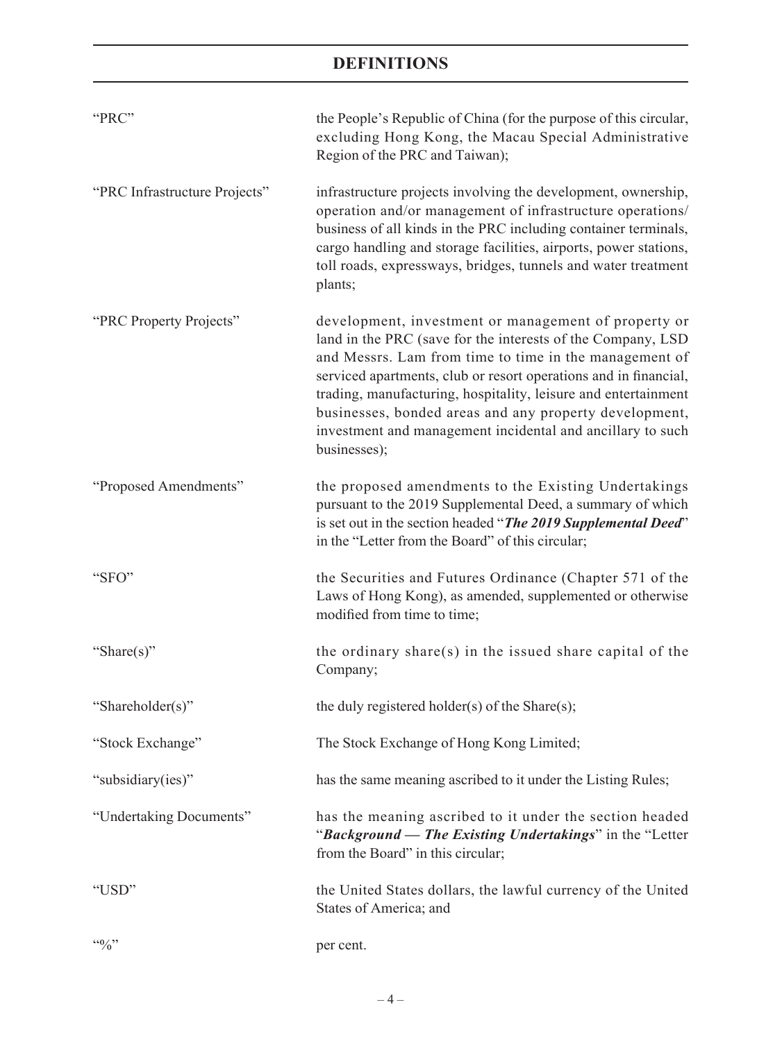| "PRC"                         | the People's Republic of China (for the purpose of this circular,<br>excluding Hong Kong, the Macau Special Administrative<br>Region of the PRC and Taiwan);                                                                                                                                                                                                                                                                                                |
|-------------------------------|-------------------------------------------------------------------------------------------------------------------------------------------------------------------------------------------------------------------------------------------------------------------------------------------------------------------------------------------------------------------------------------------------------------------------------------------------------------|
| "PRC Infrastructure Projects" | infrastructure projects involving the development, ownership,<br>operation and/or management of infrastructure operations/<br>business of all kinds in the PRC including container terminals,<br>cargo handling and storage facilities, airports, power stations,<br>toll roads, expressways, bridges, tunnels and water treatment<br>plants;                                                                                                               |
| "PRC Property Projects"       | development, investment or management of property or<br>land in the PRC (save for the interests of the Company, LSD<br>and Messrs. Lam from time to time in the management of<br>serviced apartments, club or resort operations and in financial,<br>trading, manufacturing, hospitality, leisure and entertainment<br>businesses, bonded areas and any property development,<br>investment and management incidental and ancillary to such<br>businesses); |
| "Proposed Amendments"         | the proposed amendments to the Existing Undertakings<br>pursuant to the 2019 Supplemental Deed, a summary of which<br>is set out in the section headed "The 2019 Supplemental Deed"<br>in the "Letter from the Board" of this circular;                                                                                                                                                                                                                     |
| "SFO"                         | the Securities and Futures Ordinance (Chapter 571 of the<br>Laws of Hong Kong), as amended, supplemented or otherwise<br>modified from time to time;                                                                                                                                                                                                                                                                                                        |
| "Share $(s)$ "                | the ordinary share(s) in the issued share capital of the<br>Company;                                                                                                                                                                                                                                                                                                                                                                                        |
| "Shareholder(s)"              | the duly registered holder(s) of the Share(s);                                                                                                                                                                                                                                                                                                                                                                                                              |
| "Stock Exchange"              | The Stock Exchange of Hong Kong Limited;                                                                                                                                                                                                                                                                                                                                                                                                                    |
| "subsidiary(ies)"             | has the same meaning ascribed to it under the Listing Rules;                                                                                                                                                                                                                                                                                                                                                                                                |
| "Undertaking Documents"       | has the meaning ascribed to it under the section headed<br>"Background — The Existing Undertakings" in the "Letter<br>from the Board" in this circular;                                                                                                                                                                                                                                                                                                     |
| "USD"                         | the United States dollars, the lawful currency of the United<br>States of America; and                                                                                                                                                                                                                                                                                                                                                                      |
| $\mathfrak{so}_{\ell}$        | per cent.                                                                                                                                                                                                                                                                                                                                                                                                                                                   |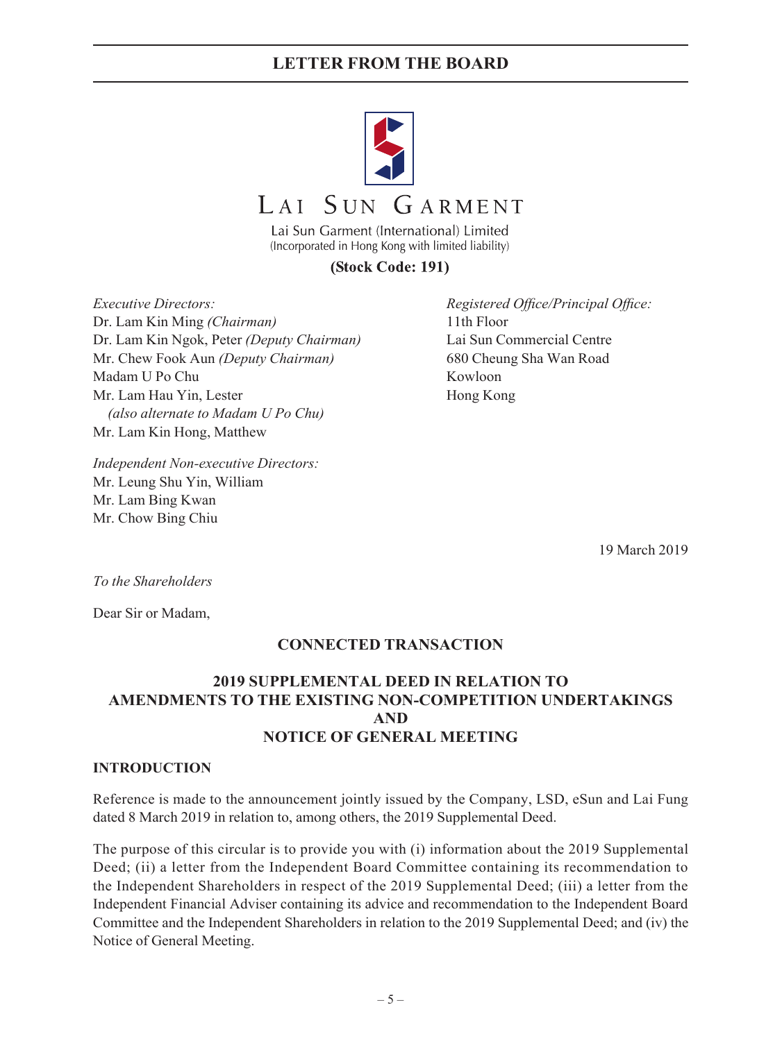

# LAI SUN GARMENT

Lai Sun Garment (International) Limited (Incorporated in Hong Kong with limited liability)

## (Stock Code: 191)

*Executive Directors: Registered Office/Principal Office:* Dr. Lam Kin Ming *(Chairman)* 11th Floor Dr. Lam Kin Ngok, Peter *(Deputy Chairman)* Lai Sun Commercial Centre Mr. Chew Fook Aun *(Deputy Chairman)* 680 Cheung Sha Wan Road Madam U Po Chu Kowloon Mr. Lam Hau Yin, Lester Hong Kong *(also alternate to Madam U Po Chu)* Mr. Lam Kin Hong, Matthew

*Independent Non-executive Directors:* Mr. Leung Shu Yin, William Mr. Lam Bing Kwan Mr. Chow Bing Chiu

19 March 2019

*To the Shareholders*

Dear Sir or Madam,

## **CONNECTED TRANSACTION**

## **2019 SUPPLEMENTAL DEED IN RELATION TO AMENDMENTS TO THE EXISTING NON-COMPETITION UNDERTAKINGS AND NOTICE OF GENERAL MEETING**

#### **INTRODUCTION**

Reference is made to the announcement jointly issued by the Company, LSD, eSun and Lai Fung dated 8 March 2019 in relation to, among others, the 2019 Supplemental Deed.

The purpose of this circular is to provide you with (i) information about the 2019 Supplemental Deed; (ii) a letter from the Independent Board Committee containing its recommendation to the Independent Shareholders in respect of the 2019 Supplemental Deed; (iii) a letter from the Independent Financial Adviser containing its advice and recommendation to the Independent Board Committee and the Independent Shareholders in relation to the 2019 Supplemental Deed; and (iv) the Notice of General Meeting.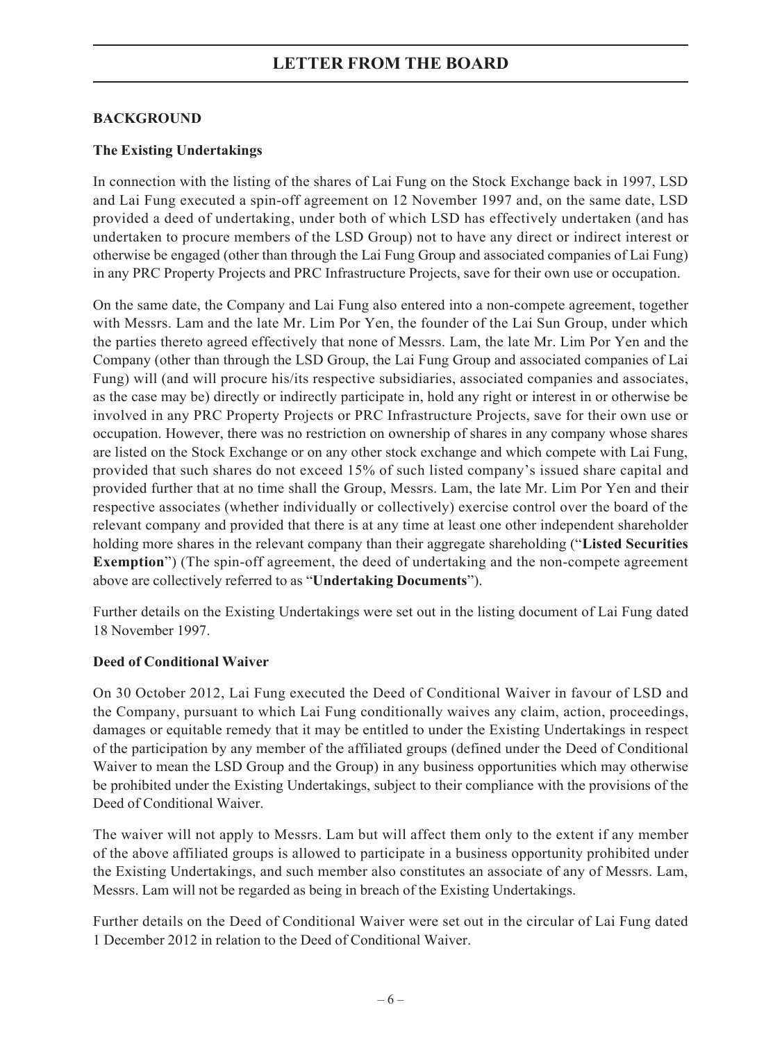## **BACKGROUND**

## **The Existing Undertakings**

In connection with the listing of the shares of Lai Fung on the Stock Exchange back in 1997, LSD and Lai Fung executed a spin-off agreement on 12 November 1997 and, on the same date, LSD provided a deed of undertaking, under both of which LSD has effectively undertaken (and has undertaken to procure members of the LSD Group) not to have any direct or indirect interest or otherwise be engaged (other than through the Lai Fung Group and associated companies of Lai Fung) in any PRC Property Projects and PRC Infrastructure Projects, save for their own use or occupation.

On the same date, the Company and Lai Fung also entered into a non-compete agreement, together with Messrs. Lam and the late Mr. Lim Por Yen, the founder of the Lai Sun Group, under which the parties thereto agreed effectively that none of Messrs. Lam, the late Mr. Lim Por Yen and the Company (other than through the LSD Group, the Lai Fung Group and associated companies of Lai Fung) will (and will procure his/its respective subsidiaries, associated companies and associates, as the case may be) directly or indirectly participate in, hold any right or interest in or otherwise be involved in any PRC Property Projects or PRC Infrastructure Projects, save for their own use or occupation. However, there was no restriction on ownership of shares in any company whose shares are listed on the Stock Exchange or on any other stock exchange and which compete with Lai Fung, provided that such shares do not exceed 15% of such listed company's issued share capital and provided further that at no time shall the Group, Messrs. Lam, the late Mr. Lim Por Yen and their respective associates (whether individually or collectively) exercise control over the board of the relevant company and provided that there is at any time at least one other independent shareholder holding more shares in the relevant company than their aggregate shareholding ("**Listed Securities Exemption**") (The spin-off agreement, the deed of undertaking and the non-compete agreement above are collectively referred to as "**Undertaking Documents**").

Further details on the Existing Undertakings were set out in the listing document of Lai Fung dated 18 November 1997.

## **Deed of Conditional Waiver**

On 30 October 2012, Lai Fung executed the Deed of Conditional Waiver in favour of LSD and the Company, pursuant to which Lai Fung conditionally waives any claim, action, proceedings, damages or equitable remedy that it may be entitled to under the Existing Undertakings in respect of the participation by any member of the affiliated groups (defined under the Deed of Conditional Waiver to mean the LSD Group and the Group) in any business opportunities which may otherwise be prohibited under the Existing Undertakings, subject to their compliance with the provisions of the Deed of Conditional Waiver.

The waiver will not apply to Messrs. Lam but will affect them only to the extent if any member of the above affiliated groups is allowed to participate in a business opportunity prohibited under the Existing Undertakings, and such member also constitutes an associate of any of Messrs. Lam, Messrs. Lam will not be regarded as being in breach of the Existing Undertakings.

Further details on the Deed of Conditional Waiver were set out in the circular of Lai Fung dated 1 December 2012 in relation to the Deed of Conditional Waiver.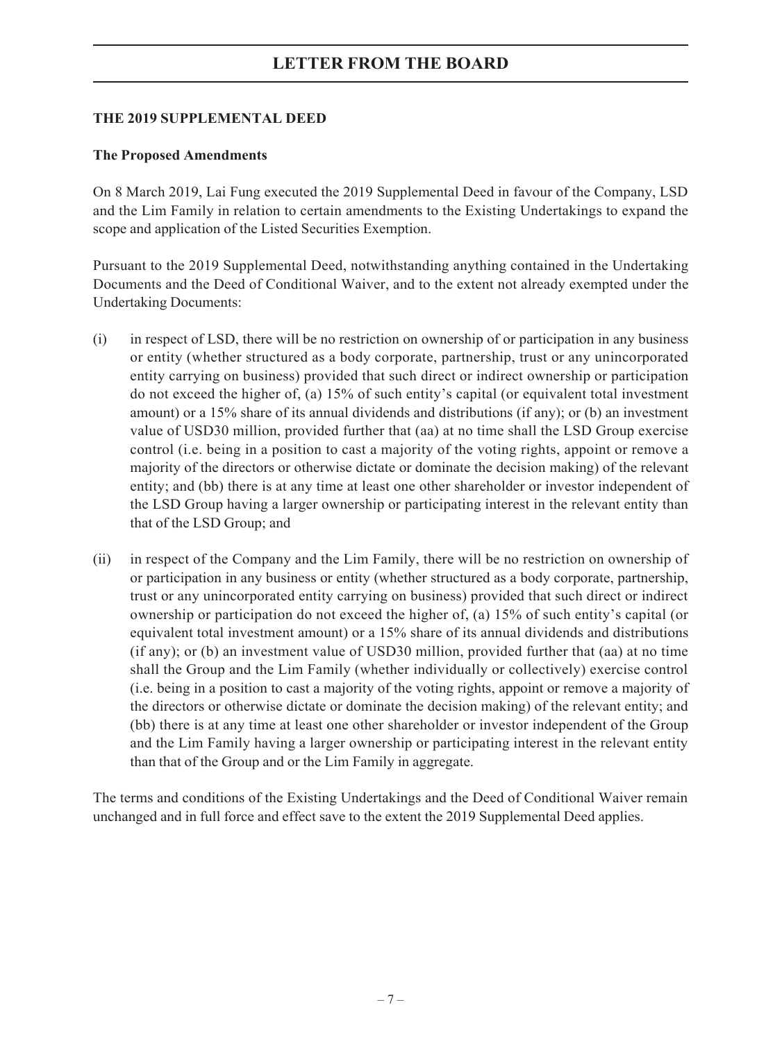### **THE 2019 SUPPLEMENTAL DEED**

### **The Proposed Amendments**

On 8 March 2019, Lai Fung executed the 2019 Supplemental Deed in favour of the Company, LSD and the Lim Family in relation to certain amendments to the Existing Undertakings to expand the scope and application of the Listed Securities Exemption.

Pursuant to the 2019 Supplemental Deed, notwithstanding anything contained in the Undertaking Documents and the Deed of Conditional Waiver, and to the extent not already exempted under the Undertaking Documents:

- (i) in respect of LSD, there will be no restriction on ownership of or participation in any business or entity (whether structured as a body corporate, partnership, trust or any unincorporated entity carrying on business) provided that such direct or indirect ownership or participation do not exceed the higher of, (a) 15% of such entity's capital (or equivalent total investment amount) or a 15% share of its annual dividends and distributions (if any); or (b) an investment value of USD30 million, provided further that (aa) at no time shall the LSD Group exercise control (i.e. being in a position to cast a majority of the voting rights, appoint or remove a majority of the directors or otherwise dictate or dominate the decision making) of the relevant entity; and (bb) there is at any time at least one other shareholder or investor independent of the LSD Group having a larger ownership or participating interest in the relevant entity than that of the LSD Group; and
- (ii) in respect of the Company and the Lim Family, there will be no restriction on ownership of or participation in any business or entity (whether structured as a body corporate, partnership, trust or any unincorporated entity carrying on business) provided that such direct or indirect ownership or participation do not exceed the higher of, (a) 15% of such entity's capital (or equivalent total investment amount) or a 15% share of its annual dividends and distributions (if any); or (b) an investment value of USD30 million, provided further that (aa) at no time shall the Group and the Lim Family (whether individually or collectively) exercise control (i.e. being in a position to cast a majority of the voting rights, appoint or remove a majority of the directors or otherwise dictate or dominate the decision making) of the relevant entity; and (bb) there is at any time at least one other shareholder or investor independent of the Group and the Lim Family having a larger ownership or participating interest in the relevant entity than that of the Group and or the Lim Family in aggregate.

The terms and conditions of the Existing Undertakings and the Deed of Conditional Waiver remain unchanged and in full force and effect save to the extent the 2019 Supplemental Deed applies.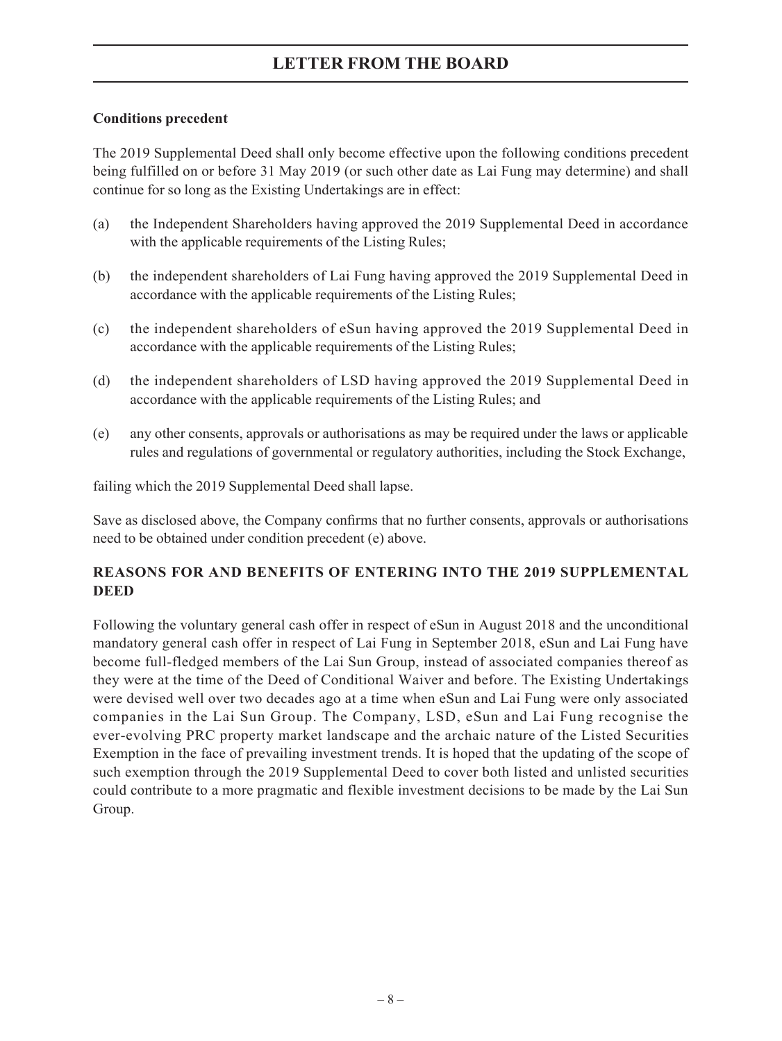### **Conditions precedent**

The 2019 Supplemental Deed shall only become effective upon the following conditions precedent being fulfilled on or before 31 May 2019 (or such other date as Lai Fung may determine) and shall continue for so long as the Existing Undertakings are in effect:

- (a) the Independent Shareholders having approved the 2019 Supplemental Deed in accordance with the applicable requirements of the Listing Rules;
- (b) the independent shareholders of Lai Fung having approved the 2019 Supplemental Deed in accordance with the applicable requirements of the Listing Rules;
- (c) the independent shareholders of eSun having approved the 2019 Supplemental Deed in accordance with the applicable requirements of the Listing Rules;
- (d) the independent shareholders of LSD having approved the 2019 Supplemental Deed in accordance with the applicable requirements of the Listing Rules; and
- (e) any other consents, approvals or authorisations as may be required under the laws or applicable rules and regulations of governmental or regulatory authorities, including the Stock Exchange,

failing which the 2019 Supplemental Deed shall lapse.

Save as disclosed above, the Company confirms that no further consents, approvals or authorisations need to be obtained under condition precedent (e) above.

## **REASONS FOR AND BENEFITS OF ENTERING INTO THE 2019 SUPPLEMENTAL DEED**

Following the voluntary general cash offer in respect of eSun in August 2018 and the unconditional mandatory general cash offer in respect of Lai Fung in September 2018, eSun and Lai Fung have become full-fledged members of the Lai Sun Group, instead of associated companies thereof as they were at the time of the Deed of Conditional Waiver and before. The Existing Undertakings were devised well over two decades ago at a time when eSun and Lai Fung were only associated companies in the Lai Sun Group. The Company, LSD, eSun and Lai Fung recognise the ever-evolving PRC property market landscape and the archaic nature of the Listed Securities Exemption in the face of prevailing investment trends. It is hoped that the updating of the scope of such exemption through the 2019 Supplemental Deed to cover both listed and unlisted securities could contribute to a more pragmatic and flexible investment decisions to be made by the Lai Sun Group.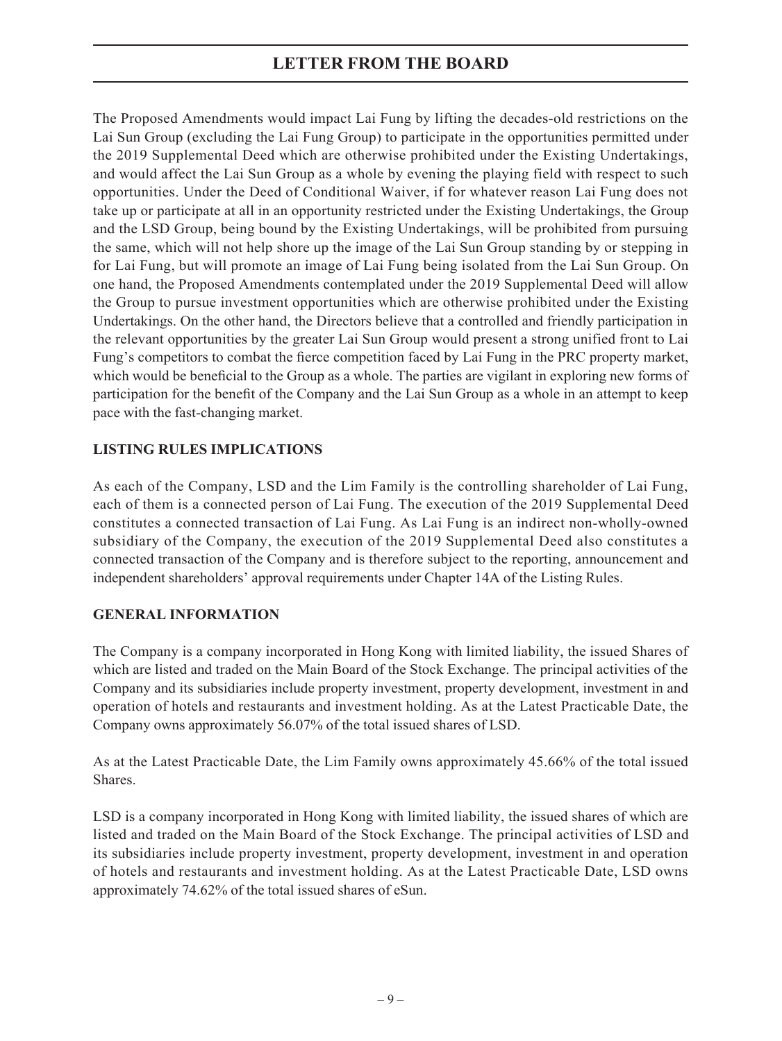The Proposed Amendments would impact Lai Fung by lifting the decades-old restrictions on the Lai Sun Group (excluding the Lai Fung Group) to participate in the opportunities permitted under the 2019 Supplemental Deed which are otherwise prohibited under the Existing Undertakings, and would affect the Lai Sun Group as a whole by evening the playing field with respect to such opportunities. Under the Deed of Conditional Waiver, if for whatever reason Lai Fung does not take up or participate at all in an opportunity restricted under the Existing Undertakings, the Group and the LSD Group, being bound by the Existing Undertakings, will be prohibited from pursuing the same, which will not help shore up the image of the Lai Sun Group standing by or stepping in for Lai Fung, but will promote an image of Lai Fung being isolated from the Lai Sun Group. On one hand, the Proposed Amendments contemplated under the 2019 Supplemental Deed will allow the Group to pursue investment opportunities which are otherwise prohibited under the Existing Undertakings. On the other hand, the Directors believe that a controlled and friendly participation in the relevant opportunities by the greater Lai Sun Group would present a strong unified front to Lai Fung's competitors to combat the fierce competition faced by Lai Fung in the PRC property market, which would be beneficial to the Group as a whole. The parties are vigilant in exploring new forms of participation for the benefit of the Company and the Lai Sun Group as a whole in an attempt to keep pace with the fast-changing market.

## **LISTING RULES IMPLICATIONS**

As each of the Company, LSD and the Lim Family is the controlling shareholder of Lai Fung, each of them is a connected person of Lai Fung. The execution of the 2019 Supplemental Deed constitutes a connected transaction of Lai Fung. As Lai Fung is an indirect non-wholly-owned subsidiary of the Company, the execution of the 2019 Supplemental Deed also constitutes a connected transaction of the Company and is therefore subject to the reporting, announcement and independent shareholders' approval requirements under Chapter 14A of the Listing Rules.

## **GENERAL INFORMATION**

The Company is a company incorporated in Hong Kong with limited liability, the issued Shares of which are listed and traded on the Main Board of the Stock Exchange. The principal activities of the Company and its subsidiaries include property investment, property development, investment in and operation of hotels and restaurants and investment holding. As at the Latest Practicable Date, the Company owns approximately 56.07% of the total issued shares of LSD.

As at the Latest Practicable Date, the Lim Family owns approximately 45.66% of the total issued Shares.

LSD is a company incorporated in Hong Kong with limited liability, the issued shares of which are listed and traded on the Main Board of the Stock Exchange. The principal activities of LSD and its subsidiaries include property investment, property development, investment in and operation of hotels and restaurants and investment holding. As at the Latest Practicable Date, LSD owns approximately 74.62% of the total issued shares of eSun.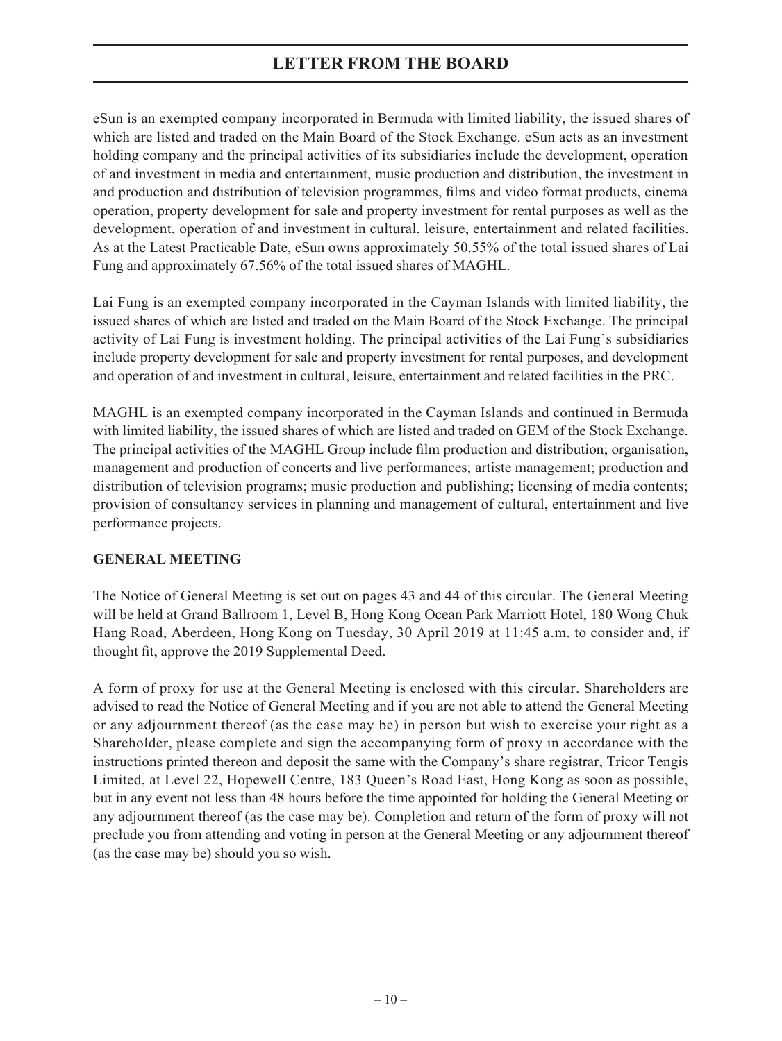eSun is an exempted company incorporated in Bermuda with limited liability, the issued shares of which are listed and traded on the Main Board of the Stock Exchange. eSun acts as an investment holding company and the principal activities of its subsidiaries include the development, operation of and investment in media and entertainment, music production and distribution, the investment in and production and distribution of television programmes, films and video format products, cinema operation, property development for sale and property investment for rental purposes as well as the development, operation of and investment in cultural, leisure, entertainment and related facilities. As at the Latest Practicable Date, eSun owns approximately 50.55% of the total issued shares of Lai Fung and approximately 67.56% of the total issued shares of MAGHL.

Lai Fung is an exempted company incorporated in the Cayman Islands with limited liability, the issued shares of which are listed and traded on the Main Board of the Stock Exchange. The principal activity of Lai Fung is investment holding. The principal activities of the Lai Fung's subsidiaries include property development for sale and property investment for rental purposes, and development and operation of and investment in cultural, leisure, entertainment and related facilities in the PRC.

MAGHL is an exempted company incorporated in the Cayman Islands and continued in Bermuda with limited liability, the issued shares of which are listed and traded on GEM of the Stock Exchange. The principal activities of the MAGHL Group include film production and distribution; organisation, management and production of concerts and live performances; artiste management; production and distribution of television programs; music production and publishing; licensing of media contents; provision of consultancy services in planning and management of cultural, entertainment and live performance projects.

## **GENERAL MEETING**

The Notice of General Meeting is set out on pages 43 and 44 of this circular. The General Meeting will be held at Grand Ballroom 1, Level B, Hong Kong Ocean Park Marriott Hotel, 180 Wong Chuk Hang Road, Aberdeen, Hong Kong on Tuesday, 30 April 2019 at 11:45 a.m. to consider and, if thought fit, approve the 2019 Supplemental Deed.

A form of proxy for use at the General Meeting is enclosed with this circular. Shareholders are advised to read the Notice of General Meeting and if you are not able to attend the General Meeting or any adjournment thereof (as the case may be) in person but wish to exercise your right as a Shareholder, please complete and sign the accompanying form of proxy in accordance with the instructions printed thereon and deposit the same with the Company's share registrar, Tricor Tengis Limited, at Level 22, Hopewell Centre, 183 Queen's Road East, Hong Kong as soon as possible, but in any event not less than 48 hours before the time appointed for holding the General Meeting or any adjournment thereof (as the case may be). Completion and return of the form of proxy will not preclude you from attending and voting in person at the General Meeting or any adjournment thereof (as the case may be) should you so wish.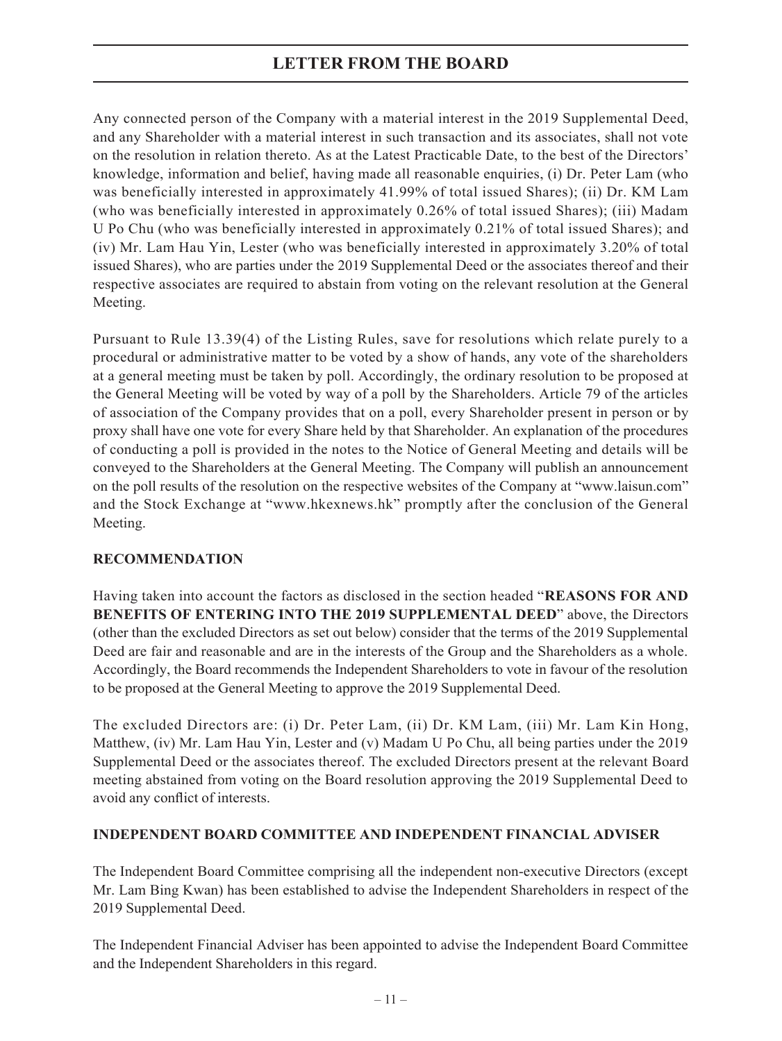Any connected person of the Company with a material interest in the 2019 Supplemental Deed, and any Shareholder with a material interest in such transaction and its associates, shall not vote on the resolution in relation thereto. As at the Latest Practicable Date, to the best of the Directors' knowledge, information and belief, having made all reasonable enquiries, (i) Dr. Peter Lam (who was beneficially interested in approximately 41.99% of total issued Shares); (ii) Dr. KM Lam (who was beneficially interested in approximately 0.26% of total issued Shares); (iii) Madam U Po Chu (who was beneficially interested in approximately 0.21% of total issued Shares); and (iv) Mr. Lam Hau Yin, Lester (who was beneficially interested in approximately 3.20% of total issued Shares), who are parties under the 2019 Supplemental Deed or the associates thereof and their respective associates are required to abstain from voting on the relevant resolution at the General Meeting.

Pursuant to Rule 13.39(4) of the Listing Rules, save for resolutions which relate purely to a procedural or administrative matter to be voted by a show of hands, any vote of the shareholders at a general meeting must be taken by poll. Accordingly, the ordinary resolution to be proposed at the General Meeting will be voted by way of a poll by the Shareholders. Article 79 of the articles of association of the Company provides that on a poll, every Shareholder present in person or by proxy shall have one vote for every Share held by that Shareholder. An explanation of the procedures of conducting a poll is provided in the notes to the Notice of General Meeting and details will be conveyed to the Shareholders at the General Meeting. The Company will publish an announcement on the poll results of the resolution on the respective websites of the Company at "www.laisun.com" and the Stock Exchange at "www.hkexnews.hk" promptly after the conclusion of the General Meeting.

## **RECOMMENDATION**

Having taken into account the factors as disclosed in the section headed "**REASONS FOR AND BENEFITS OF ENTERING INTO THE 2019 SUPPLEMENTAL DEED**" above, the Directors (other than the excluded Directors as set out below) consider that the terms of the 2019 Supplemental Deed are fair and reasonable and are in the interests of the Group and the Shareholders as a whole. Accordingly, the Board recommends the Independent Shareholders to vote in favour of the resolution to be proposed at the General Meeting to approve the 2019 Supplemental Deed.

The excluded Directors are: (i) Dr. Peter Lam, (ii) Dr. KM Lam, (iii) Mr. Lam Kin Hong, Matthew, (iv) Mr. Lam Hau Yin, Lester and (v) Madam U Po Chu, all being parties under the 2019 Supplemental Deed or the associates thereof. The excluded Directors present at the relevant Board meeting abstained from voting on the Board resolution approving the 2019 Supplemental Deed to avoid any conflict of interests.

## **INDEPENDENT BOARD COMMITTEE AND INDEPENDENT FINANCIAL ADVISER**

The Independent Board Committee comprising all the independent non-executive Directors (except Mr. Lam Bing Kwan) has been established to advise the Independent Shareholders in respect of the 2019 Supplemental Deed.

The Independent Financial Adviser has been appointed to advise the Independent Board Committee and the Independent Shareholders in this regard.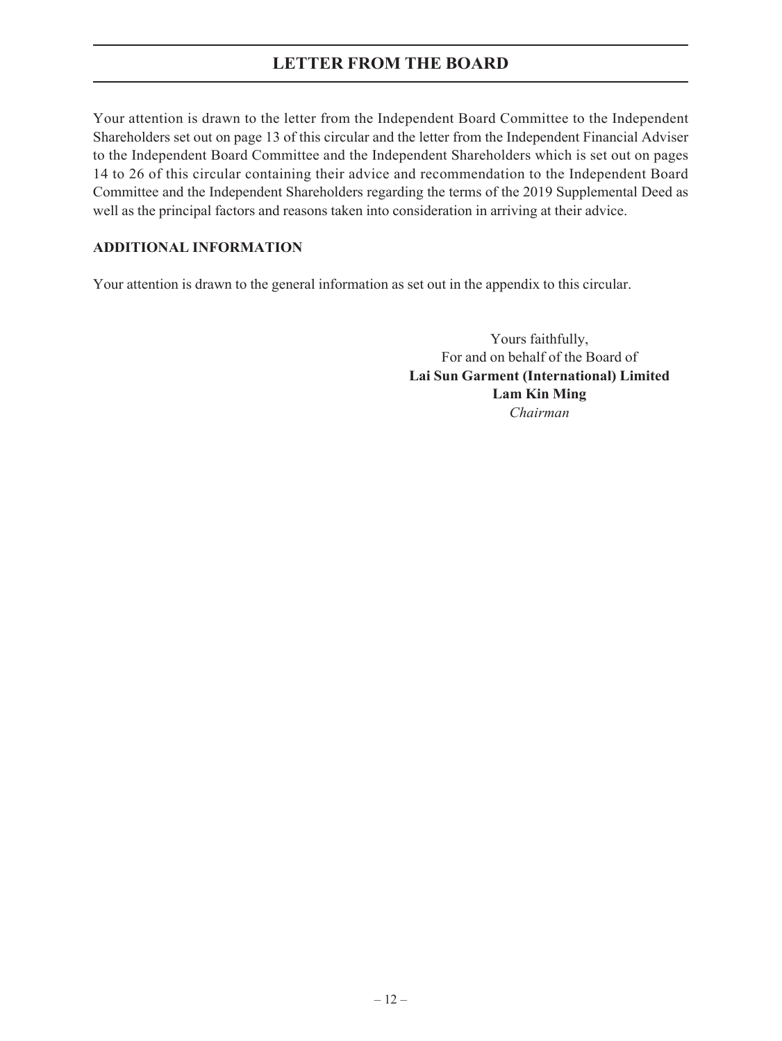Your attention is drawn to the letter from the Independent Board Committee to the Independent Shareholders set out on page 13 of this circular and the letter from the Independent Financial Adviser to the Independent Board Committee and the Independent Shareholders which is set out on pages 14 to 26 of this circular containing their advice and recommendation to the Independent Board Committee and the Independent Shareholders regarding the terms of the 2019 Supplemental Deed as well as the principal factors and reasons taken into consideration in arriving at their advice.

## **ADDITIONAL INFORMATION**

Your attention is drawn to the general information as set out in the appendix to this circular.

Yours faithfully, For and on behalf of the Board of **Lai Sun Garment (International) Limited Lam Kin Ming** *Chairman*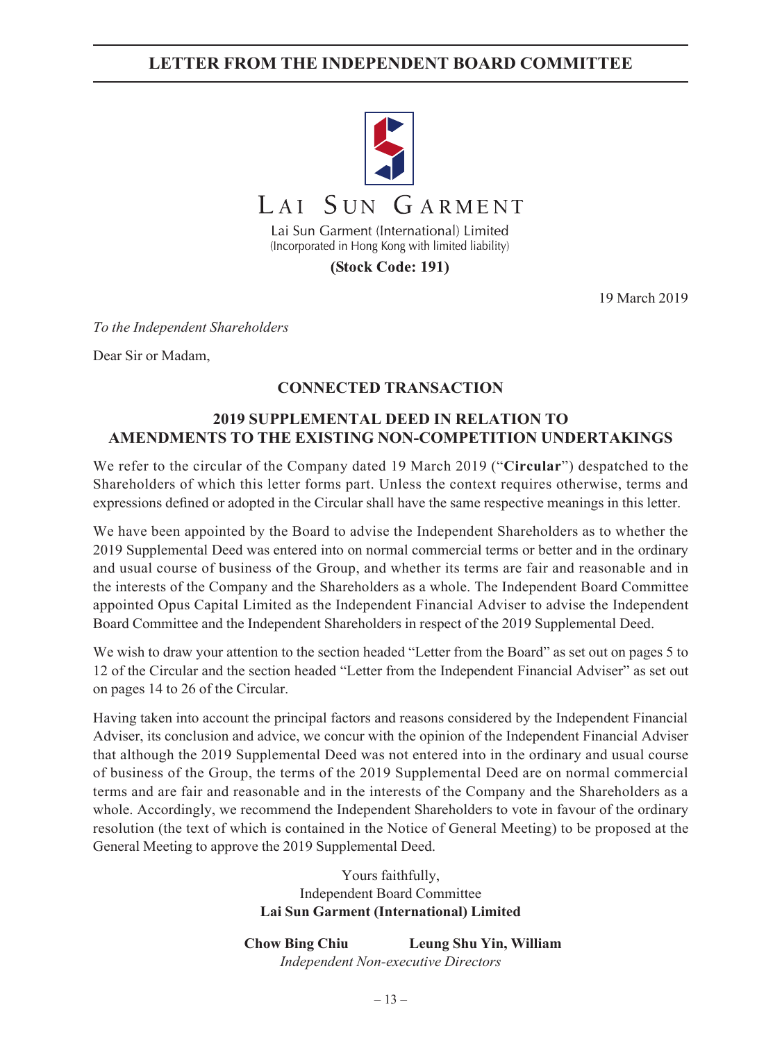# **LETTER FROM THE INDEPENDENT BOARD COMMITTEE**



(Incorporated in Hong Kong with limited liability)

(Stock Code: 191)

19 March 2019

*To the Independent Shareholders*

Dear Sir or Madam,

## **CONNECTED TRANSACTION**

## **2019 SUPPLEMENTAL DEED IN RELATION TO AMENDMENTS TO THE EXISTING NON-COMPETITION UNDERTAKINGS**

We refer to the circular of the Company dated 19 March 2019 ("**Circular**") despatched to the Shareholders of which this letter forms part. Unless the context requires otherwise, terms and expressions defined or adopted in the Circular shall have the same respective meanings in this letter.

We have been appointed by the Board to advise the Independent Shareholders as to whether the 2019 Supplemental Deed was entered into on normal commercial terms or better and in the ordinary and usual course of business of the Group, and whether its terms are fair and reasonable and in the interests of the Company and the Shareholders as a whole. The Independent Board Committee appointed Opus Capital Limited as the Independent Financial Adviser to advise the Independent Board Committee and the Independent Shareholders in respect of the 2019 Supplemental Deed.

We wish to draw your attention to the section headed "Letter from the Board" as set out on pages 5 to 12 of the Circular and the section headed "Letter from the Independent Financial Adviser" as set out on pages 14 to 26 of the Circular.

Having taken into account the principal factors and reasons considered by the Independent Financial Adviser, its conclusion and advice, we concur with the opinion of the Independent Financial Adviser that although the 2019 Supplemental Deed was not entered into in the ordinary and usual course of business of the Group, the terms of the 2019 Supplemental Deed are on normal commercial terms and are fair and reasonable and in the interests of the Company and the Shareholders as a whole. Accordingly, we recommend the Independent Shareholders to vote in favour of the ordinary resolution (the text of which is contained in the Notice of General Meeting) to be proposed at the General Meeting to approve the 2019 Supplemental Deed.

> Yours faithfully, Independent Board Committee **Lai Sun Garment (International) Limited**

**Chow Bing Chiu Leung Shu Yin, William** *Independent Non-executive Directors*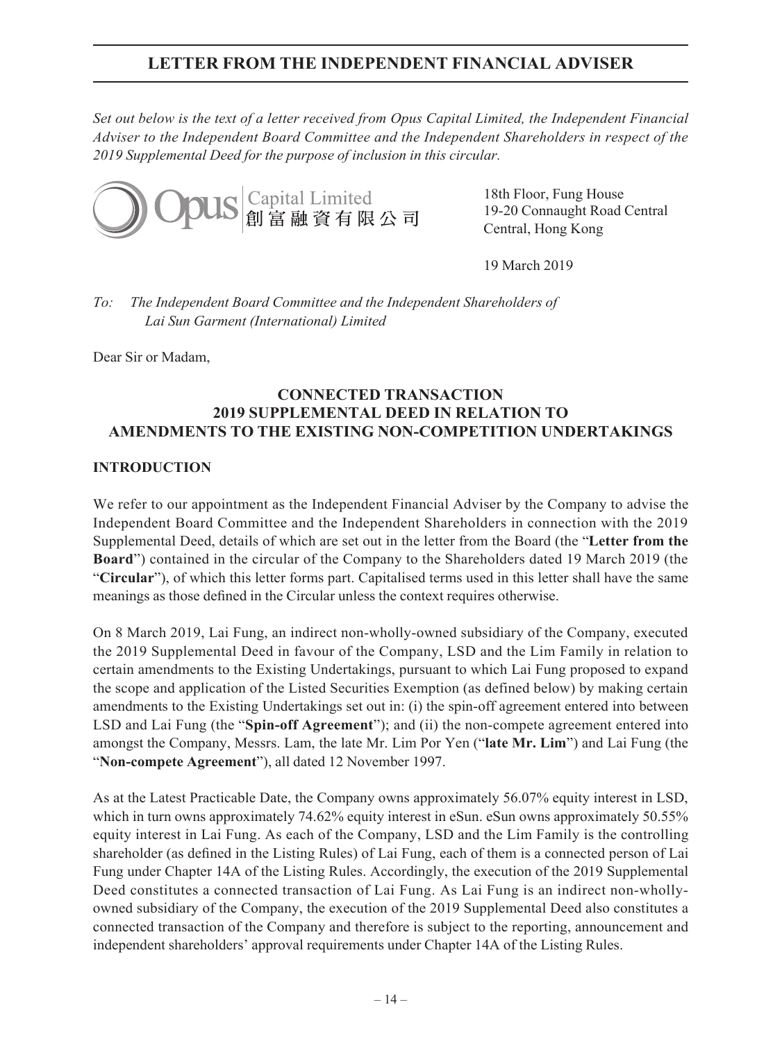*Set out below is the text of a letter received from Opus Capital Limited, the Independent Financial Adviser to the Independent Board Committee and the Independent Shareholders in respect of the 2019 Supplemental Deed for the purpose of inclusion in this circular.*



18th Floor, Fung House 19-20 Connaught Road Central Central, Hong Kong

19 March 2019

*To: The Independent Board Committee and the Independent Shareholders of Lai Sun Garment (International) Limited*

Dear Sir or Madam,

## **CONNECTED TRANSACTION 2019 SUPPLEMENTAL DEED IN RELATION TO AMENDMENTS TO THE EXISTING NON-COMPETITION UNDERTAKINGS**

## **INTRODUCTION**

We refer to our appointment as the Independent Financial Adviser by the Company to advise the Independent Board Committee and the Independent Shareholders in connection with the 2019 Supplemental Deed, details of which are set out in the letter from the Board (the "**Letter from the Board**") contained in the circular of the Company to the Shareholders dated 19 March 2019 (the "**Circular**"), of which this letter forms part. Capitalised terms used in this letter shall have the same meanings as those defined in the Circular unless the context requires otherwise.

On 8 March 2019, Lai Fung, an indirect non-wholly-owned subsidiary of the Company, executed the 2019 Supplemental Deed in favour of the Company, LSD and the Lim Family in relation to certain amendments to the Existing Undertakings, pursuant to which Lai Fung proposed to expand the scope and application of the Listed Securities Exemption (as defined below) by making certain amendments to the Existing Undertakings set out in: (i) the spin-off agreement entered into between LSD and Lai Fung (the "**Spin-off Agreement**"); and (ii) the non-compete agreement entered into amongst the Company, Messrs. Lam, the late Mr. Lim Por Yen ("**late Mr. Lim**") and Lai Fung (the "**Non-compete Agreement**"), all dated 12 November 1997.

As at the Latest Practicable Date, the Company owns approximately 56.07% equity interest in LSD, which in turn owns approximately 74.62% equity interest in eSun. eSun owns approximately 50.55% equity interest in Lai Fung. As each of the Company, LSD and the Lim Family is the controlling shareholder (as defined in the Listing Rules) of Lai Fung, each of them is a connected person of Lai Fung under Chapter 14A of the Listing Rules. Accordingly, the execution of the 2019 Supplemental Deed constitutes a connected transaction of Lai Fung. As Lai Fung is an indirect non-whollyowned subsidiary of the Company, the execution of the 2019 Supplemental Deed also constitutes a connected transaction of the Company and therefore is subject to the reporting, announcement and independent shareholders' approval requirements under Chapter 14A of the Listing Rules.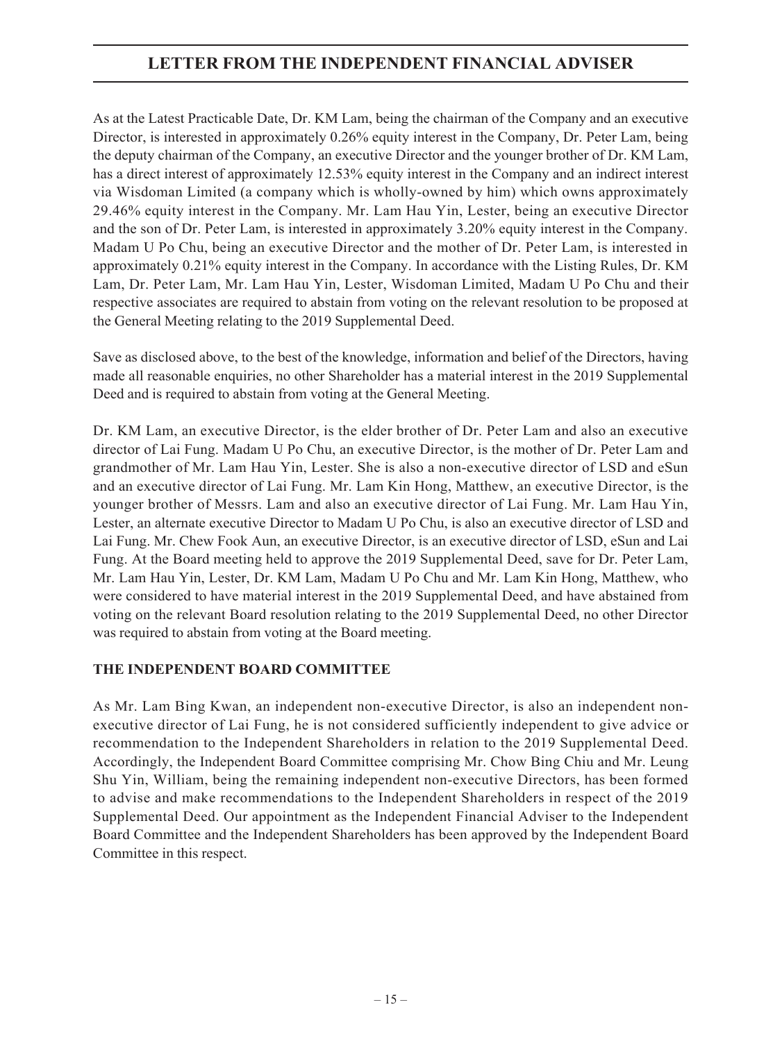As at the Latest Practicable Date, Dr. KM Lam, being the chairman of the Company and an executive Director, is interested in approximately 0.26% equity interest in the Company, Dr. Peter Lam, being the deputy chairman of the Company, an executive Director and the younger brother of Dr. KM Lam, has a direct interest of approximately 12.53% equity interest in the Company and an indirect interest via Wisdoman Limited (a company which is wholly-owned by him) which owns approximately 29.46% equity interest in the Company. Mr. Lam Hau Yin, Lester, being an executive Director and the son of Dr. Peter Lam, is interested in approximately 3.20% equity interest in the Company. Madam U Po Chu, being an executive Director and the mother of Dr. Peter Lam, is interested in approximately 0.21% equity interest in the Company. In accordance with the Listing Rules, Dr. KM Lam, Dr. Peter Lam, Mr. Lam Hau Yin, Lester, Wisdoman Limited, Madam U Po Chu and their respective associates are required to abstain from voting on the relevant resolution to be proposed at the General Meeting relating to the 2019 Supplemental Deed.

Save as disclosed above, to the best of the knowledge, information and belief of the Directors, having made all reasonable enquiries, no other Shareholder has a material interest in the 2019 Supplemental Deed and is required to abstain from voting at the General Meeting.

Dr. KM Lam, an executive Director, is the elder brother of Dr. Peter Lam and also an executive director of Lai Fung. Madam U Po Chu, an executive Director, is the mother of Dr. Peter Lam and grandmother of Mr. Lam Hau Yin, Lester. She is also a non-executive director of LSD and eSun and an executive director of Lai Fung. Mr. Lam Kin Hong, Matthew, an executive Director, is the younger brother of Messrs. Lam and also an executive director of Lai Fung. Mr. Lam Hau Yin, Lester, an alternate executive Director to Madam U Po Chu, is also an executive director of LSD and Lai Fung. Mr. Chew Fook Aun, an executive Director, is an executive director of LSD, eSun and Lai Fung. At the Board meeting held to approve the 2019 Supplemental Deed, save for Dr. Peter Lam, Mr. Lam Hau Yin, Lester, Dr. KM Lam, Madam U Po Chu and Mr. Lam Kin Hong, Matthew, who were considered to have material interest in the 2019 Supplemental Deed, and have abstained from voting on the relevant Board resolution relating to the 2019 Supplemental Deed, no other Director was required to abstain from voting at the Board meeting.

## **THE INDEPENDENT BOARD COMMITTEE**

As Mr. Lam Bing Kwan, an independent non-executive Director, is also an independent nonexecutive director of Lai Fung, he is not considered sufficiently independent to give advice or recommendation to the Independent Shareholders in relation to the 2019 Supplemental Deed. Accordingly, the Independent Board Committee comprising Mr. Chow Bing Chiu and Mr. Leung Shu Yin, William, being the remaining independent non-executive Directors, has been formed to advise and make recommendations to the Independent Shareholders in respect of the 2019 Supplemental Deed. Our appointment as the Independent Financial Adviser to the Independent Board Committee and the Independent Shareholders has been approved by the Independent Board Committee in this respect.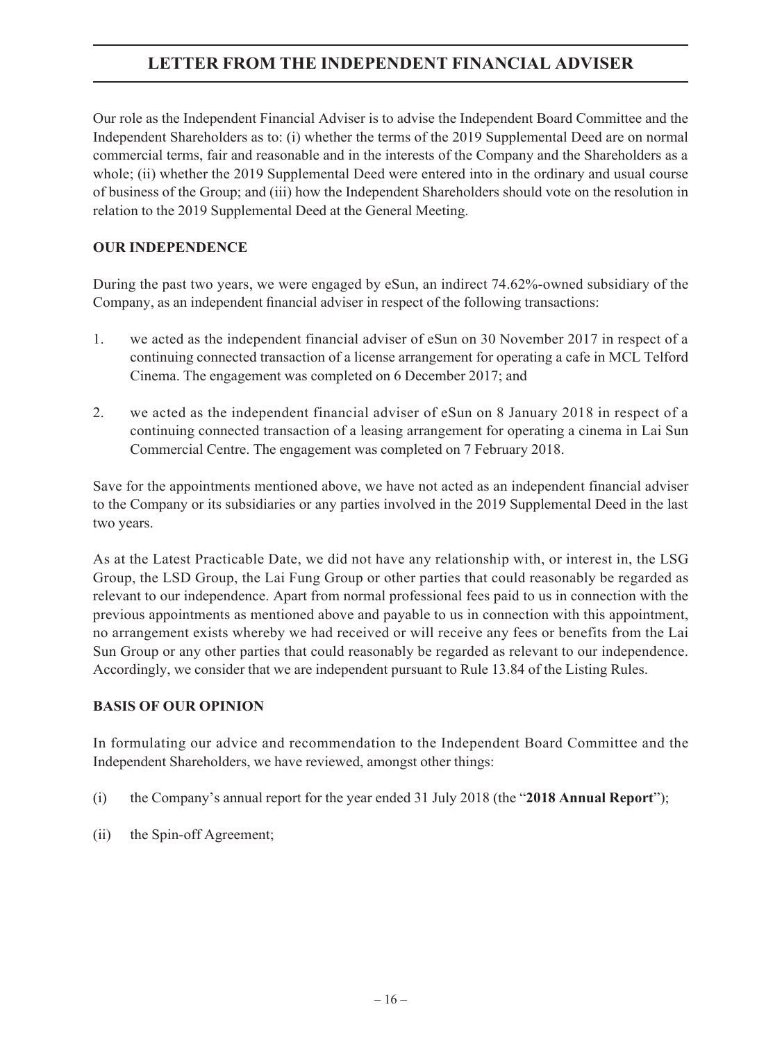Our role as the Independent Financial Adviser is to advise the Independent Board Committee and the Independent Shareholders as to: (i) whether the terms of the 2019 Supplemental Deed are on normal commercial terms, fair and reasonable and in the interests of the Company and the Shareholders as a whole; (ii) whether the 2019 Supplemental Deed were entered into in the ordinary and usual course of business of the Group; and (iii) how the Independent Shareholders should vote on the resolution in relation to the 2019 Supplemental Deed at the General Meeting.

## **OUR INDEPENDENCE**

During the past two years, we were engaged by eSun, an indirect 74.62%-owned subsidiary of the Company, as an independent financial adviser in respect of the following transactions:

- 1. we acted as the independent financial adviser of eSun on 30 November 2017 in respect of a continuing connected transaction of a license arrangement for operating a cafe in MCL Telford Cinema. The engagement was completed on 6 December 2017; and
- 2. we acted as the independent financial adviser of eSun on 8 January 2018 in respect of a continuing connected transaction of a leasing arrangement for operating a cinema in Lai Sun Commercial Centre. The engagement was completed on 7 February 2018.

Save for the appointments mentioned above, we have not acted as an independent financial adviser to the Company or its subsidiaries or any parties involved in the 2019 Supplemental Deed in the last two years.

As at the Latest Practicable Date, we did not have any relationship with, or interest in, the LSG Group, the LSD Group, the Lai Fung Group or other parties that could reasonably be regarded as relevant to our independence. Apart from normal professional fees paid to us in connection with the previous appointments as mentioned above and payable to us in connection with this appointment, no arrangement exists whereby we had received or will receive any fees or benefits from the Lai Sun Group or any other parties that could reasonably be regarded as relevant to our independence. Accordingly, we consider that we are independent pursuant to Rule 13.84 of the Listing Rules.

## **BASIS OF OUR OPINION**

In formulating our advice and recommendation to the Independent Board Committee and the Independent Shareholders, we have reviewed, amongst other things:

- (i) the Company's annual report for the year ended 31 July 2018 (the "**2018 Annual Report**");
- (ii) the Spin-off Agreement;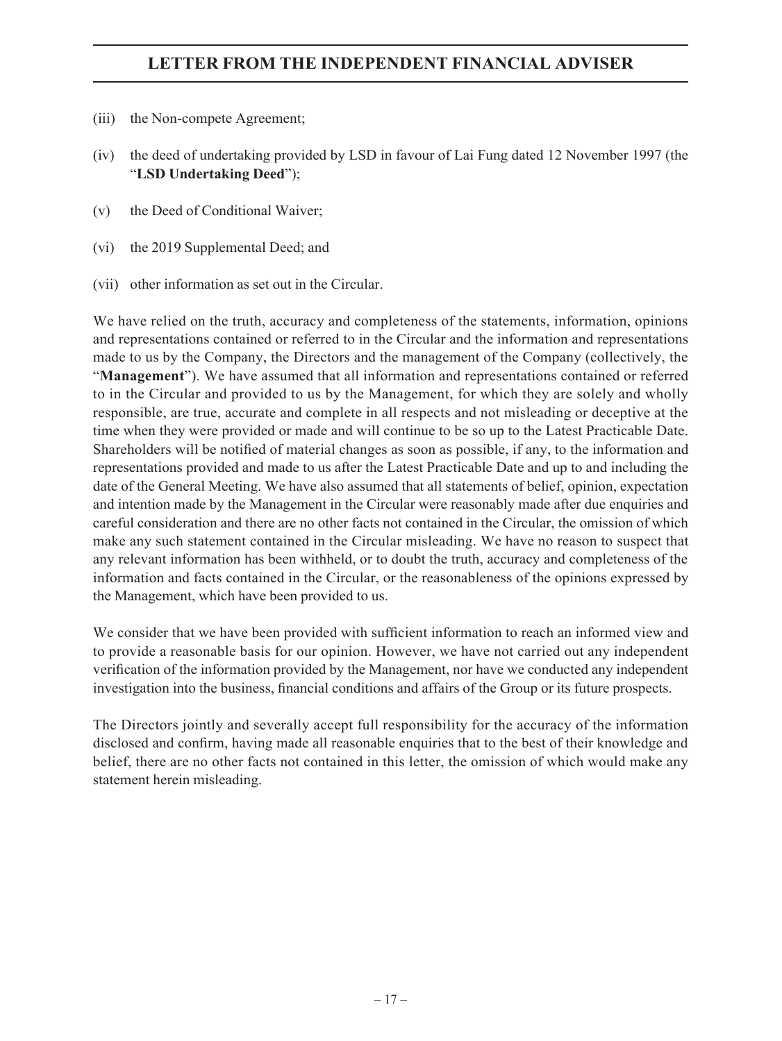- (iii) the Non-compete Agreement;
- (iv) the deed of undertaking provided by LSD in favour of Lai Fung dated 12 November 1997 (the "**LSD Undertaking Deed**");
- (v) the Deed of Conditional Waiver;
- (vi) the 2019 Supplemental Deed; and
- (vii) other information as set out in the Circular.

We have relied on the truth, accuracy and completeness of the statements, information, opinions and representations contained or referred to in the Circular and the information and representations made to us by the Company, the Directors and the management of the Company (collectively, the "**Management**"). We have assumed that all information and representations contained or referred to in the Circular and provided to us by the Management, for which they are solely and wholly responsible, are true, accurate and complete in all respects and not misleading or deceptive at the time when they were provided or made and will continue to be so up to the Latest Practicable Date. Shareholders will be notified of material changes as soon as possible, if any, to the information and representations provided and made to us after the Latest Practicable Date and up to and including the date of the General Meeting. We have also assumed that all statements of belief, opinion, expectation and intention made by the Management in the Circular were reasonably made after due enquiries and careful consideration and there are no other facts not contained in the Circular, the omission of which make any such statement contained in the Circular misleading. We have no reason to suspect that any relevant information has been withheld, or to doubt the truth, accuracy and completeness of the information and facts contained in the Circular, or the reasonableness of the opinions expressed by the Management, which have been provided to us.

We consider that we have been provided with sufficient information to reach an informed view and to provide a reasonable basis for our opinion. However, we have not carried out any independent verification of the information provided by the Management, nor have we conducted any independent investigation into the business, financial conditions and affairs of the Group or its future prospects.

The Directors jointly and severally accept full responsibility for the accuracy of the information disclosed and confirm, having made all reasonable enquiries that to the best of their knowledge and belief, there are no other facts not contained in this letter, the omission of which would make any statement herein misleading.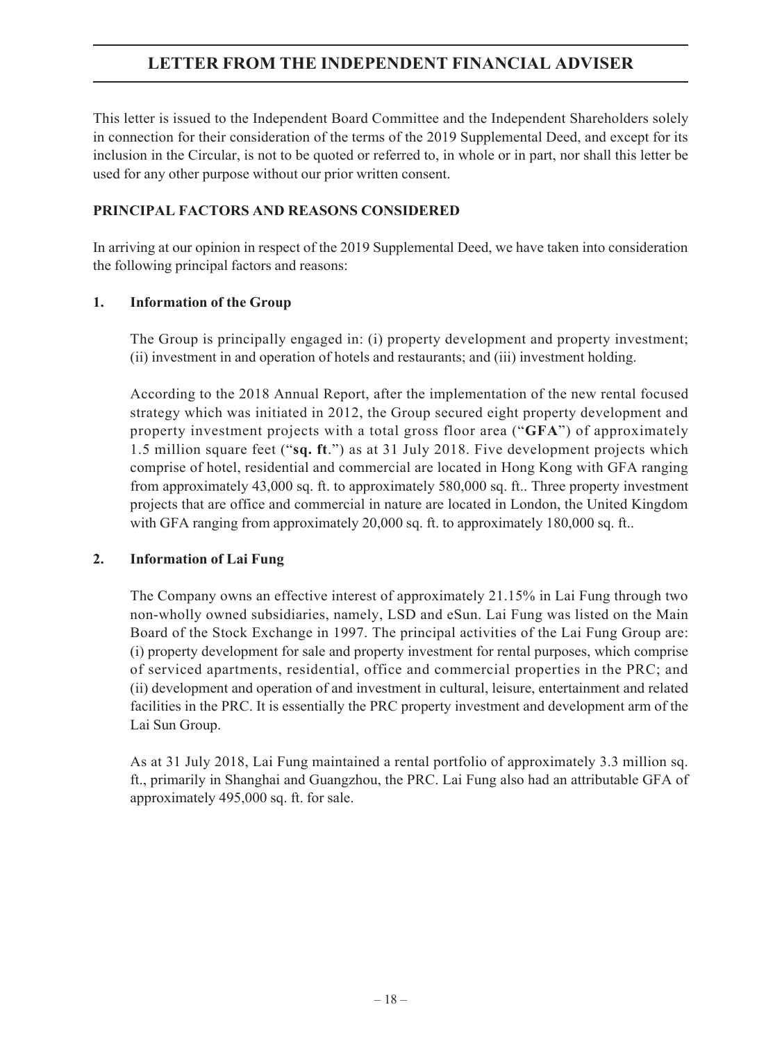This letter is issued to the Independent Board Committee and the Independent Shareholders solely in connection for their consideration of the terms of the 2019 Supplemental Deed, and except for its inclusion in the Circular, is not to be quoted or referred to, in whole or in part, nor shall this letter be used for any other purpose without our prior written consent.

## **PRINCIPAL FACTORS AND REASONS CONSIDERED**

In arriving at our opinion in respect of the 2019 Supplemental Deed, we have taken into consideration the following principal factors and reasons:

## **1. Information of the Group**

The Group is principally engaged in: (i) property development and property investment; (ii) investment in and operation of hotels and restaurants; and (iii) investment holding.

According to the 2018 Annual Report, after the implementation of the new rental focused strategy which was initiated in 2012, the Group secured eight property development and property investment projects with a total gross floor area ("**GFA**") of approximately 1.5 million square feet ("**sq. ft**.") as at 31 July 2018. Five development projects which comprise of hotel, residential and commercial are located in Hong Kong with GFA ranging from approximately 43,000 sq. ft. to approximately 580,000 sq. ft.. Three property investment projects that are office and commercial in nature are located in London, the United Kingdom with GFA ranging from approximately 20,000 sq. ft. to approximately 180,000 sq. ft..

## **2. Information of Lai Fung**

The Company owns an effective interest of approximately 21.15% in Lai Fung through two non-wholly owned subsidiaries, namely, LSD and eSun. Lai Fung was listed on the Main Board of the Stock Exchange in 1997. The principal activities of the Lai Fung Group are: (i) property development for sale and property investment for rental purposes, which comprise of serviced apartments, residential, office and commercial properties in the PRC; and (ii) development and operation of and investment in cultural, leisure, entertainment and related facilities in the PRC. It is essentially the PRC property investment and development arm of the Lai Sun Group.

As at 31 July 2018, Lai Fung maintained a rental portfolio of approximately 3.3 million sq. ft., primarily in Shanghai and Guangzhou, the PRC. Lai Fung also had an attributable GFA of approximately 495,000 sq. ft. for sale.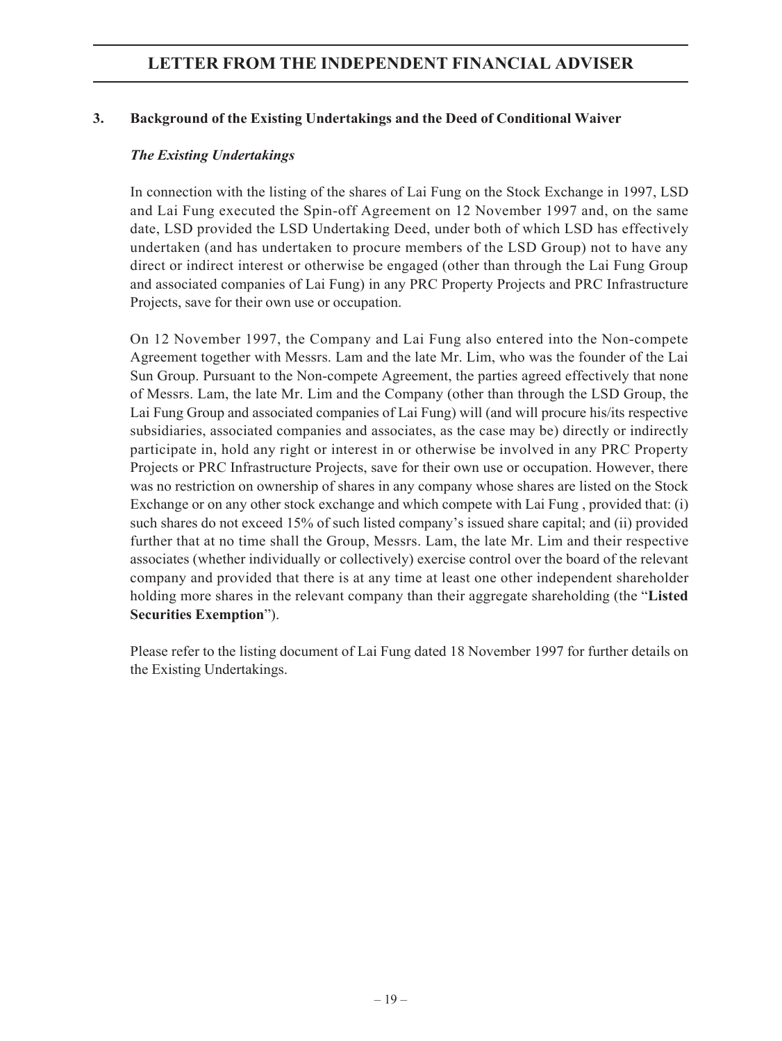## **3. Background of the Existing Undertakings and the Deed of Conditional Waiver**

### *The Existing Undertakings*

In connection with the listing of the shares of Lai Fung on the Stock Exchange in 1997, LSD and Lai Fung executed the Spin-off Agreement on 12 November 1997 and, on the same date, LSD provided the LSD Undertaking Deed, under both of which LSD has effectively undertaken (and has undertaken to procure members of the LSD Group) not to have any direct or indirect interest or otherwise be engaged (other than through the Lai Fung Group and associated companies of Lai Fung) in any PRC Property Projects and PRC Infrastructure Projects, save for their own use or occupation.

On 12 November 1997, the Company and Lai Fung also entered into the Non-compete Agreement together with Messrs. Lam and the late Mr. Lim, who was the founder of the Lai Sun Group. Pursuant to the Non-compete Agreement, the parties agreed effectively that none of Messrs. Lam, the late Mr. Lim and the Company (other than through the LSD Group, the Lai Fung Group and associated companies of Lai Fung) will (and will procure his/its respective subsidiaries, associated companies and associates, as the case may be) directly or indirectly participate in, hold any right or interest in or otherwise be involved in any PRC Property Projects or PRC Infrastructure Projects, save for their own use or occupation. However, there was no restriction on ownership of shares in any company whose shares are listed on the Stock Exchange or on any other stock exchange and which compete with Lai Fung , provided that: (i) such shares do not exceed 15% of such listed company's issued share capital; and (ii) provided further that at no time shall the Group, Messrs. Lam, the late Mr. Lim and their respective associates (whether individually or collectively) exercise control over the board of the relevant company and provided that there is at any time at least one other independent shareholder holding more shares in the relevant company than their aggregate shareholding (the "**Listed Securities Exemption**").

Please refer to the listing document of Lai Fung dated 18 November 1997 for further details on the Existing Undertakings.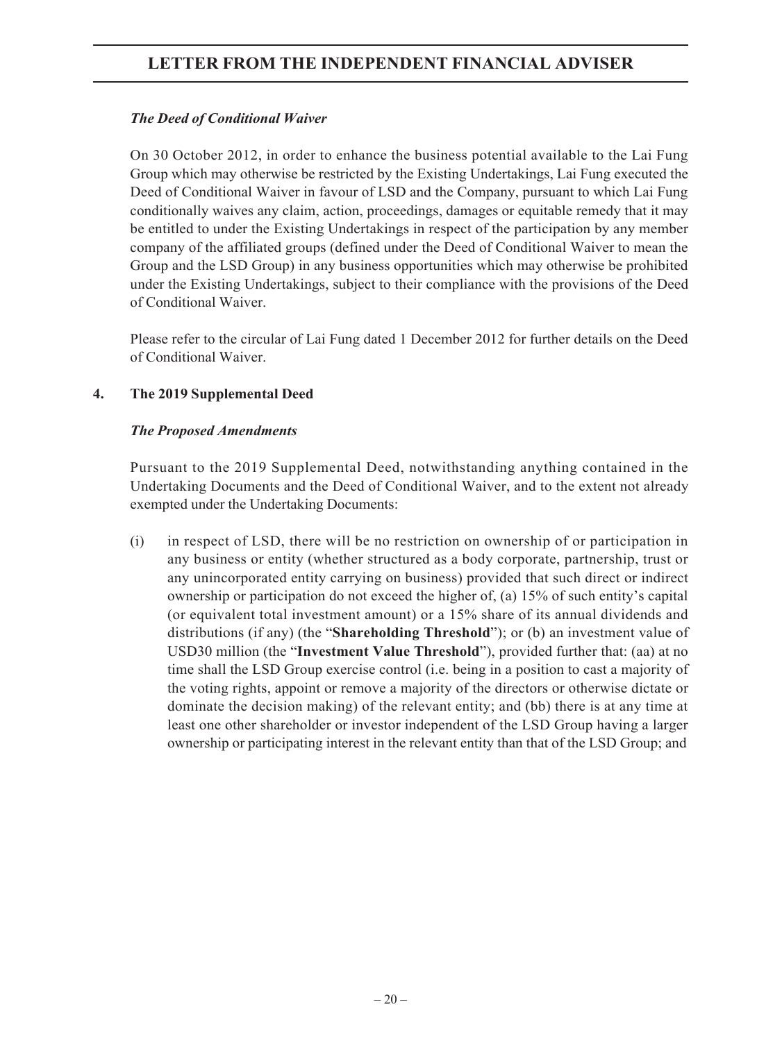## *The Deed of Conditional Waiver*

On 30 October 2012, in order to enhance the business potential available to the Lai Fung Group which may otherwise be restricted by the Existing Undertakings, Lai Fung executed the Deed of Conditional Waiver in favour of LSD and the Company, pursuant to which Lai Fung conditionally waives any claim, action, proceedings, damages or equitable remedy that it may be entitled to under the Existing Undertakings in respect of the participation by any member company of the affiliated groups (defined under the Deed of Conditional Waiver to mean the Group and the LSD Group) in any business opportunities which may otherwise be prohibited under the Existing Undertakings, subject to their compliance with the provisions of the Deed of Conditional Waiver.

Please refer to the circular of Lai Fung dated 1 December 2012 for further details on the Deed of Conditional Waiver.

## **4. The 2019 Supplemental Deed**

## *The Proposed Amendments*

Pursuant to the 2019 Supplemental Deed, notwithstanding anything contained in the Undertaking Documents and the Deed of Conditional Waiver, and to the extent not already exempted under the Undertaking Documents:

(i) in respect of LSD, there will be no restriction on ownership of or participation in any business or entity (whether structured as a body corporate, partnership, trust or any unincorporated entity carrying on business) provided that such direct or indirect ownership or participation do not exceed the higher of, (a) 15% of such entity's capital (or equivalent total investment amount) or a 15% share of its annual dividends and distributions (if any) (the "**Shareholding Threshold**"); or (b) an investment value of USD30 million (the "**Investment Value Threshold**"), provided further that: (aa) at no time shall the LSD Group exercise control (i.e. being in a position to cast a majority of the voting rights, appoint or remove a majority of the directors or otherwise dictate or dominate the decision making) of the relevant entity; and (bb) there is at any time at least one other shareholder or investor independent of the LSD Group having a larger ownership or participating interest in the relevant entity than that of the LSD Group; and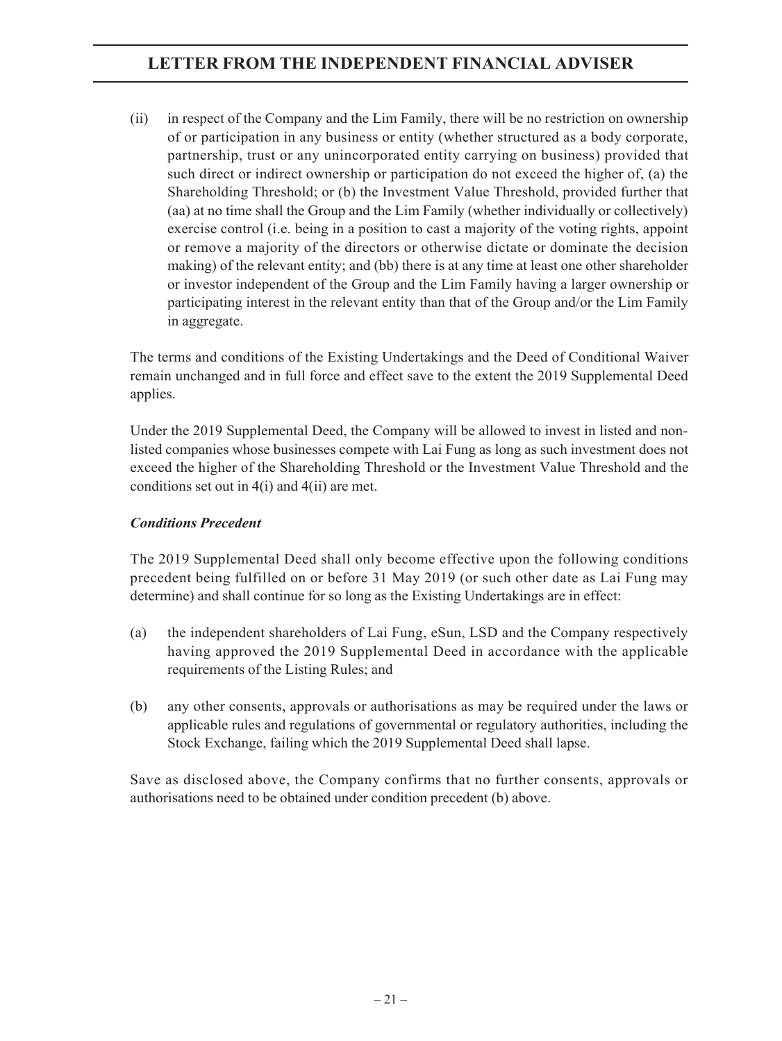(ii) in respect of the Company and the Lim Family, there will be no restriction on ownership of or participation in any business or entity (whether structured as a body corporate, partnership, trust or any unincorporated entity carrying on business) provided that such direct or indirect ownership or participation do not exceed the higher of, (a) the Shareholding Threshold; or (b) the Investment Value Threshold, provided further that (aa) at no time shall the Group and the Lim Family (whether individually or collectively) exercise control (i.e. being in a position to cast a majority of the voting rights, appoint or remove a majority of the directors or otherwise dictate or dominate the decision making) of the relevant entity; and (bb) there is at any time at least one other shareholder or investor independent of the Group and the Lim Family having a larger ownership or participating interest in the relevant entity than that of the Group and/or the Lim Family in aggregate.

The terms and conditions of the Existing Undertakings and the Deed of Conditional Waiver remain unchanged and in full force and effect save to the extent the 2019 Supplemental Deed applies.

Under the 2019 Supplemental Deed, the Company will be allowed to invest in listed and nonlisted companies whose businesses compete with Lai Fung as long as such investment does not exceed the higher of the Shareholding Threshold or the Investment Value Threshold and the conditions set out in 4(i) and 4(ii) are met.

## *Conditions Precedent*

The 2019 Supplemental Deed shall only become effective upon the following conditions precedent being fulfilled on or before 31 May 2019 (or such other date as Lai Fung may determine) and shall continue for so long as the Existing Undertakings are in effect:

- (a) the independent shareholders of Lai Fung, eSun, LSD and the Company respectively having approved the 2019 Supplemental Deed in accordance with the applicable requirements of the Listing Rules; and
- (b) any other consents, approvals or authorisations as may be required under the laws or applicable rules and regulations of governmental or regulatory authorities, including the Stock Exchange, failing which the 2019 Supplemental Deed shall lapse.

Save as disclosed above, the Company confirms that no further consents, approvals or authorisations need to be obtained under condition precedent (b) above.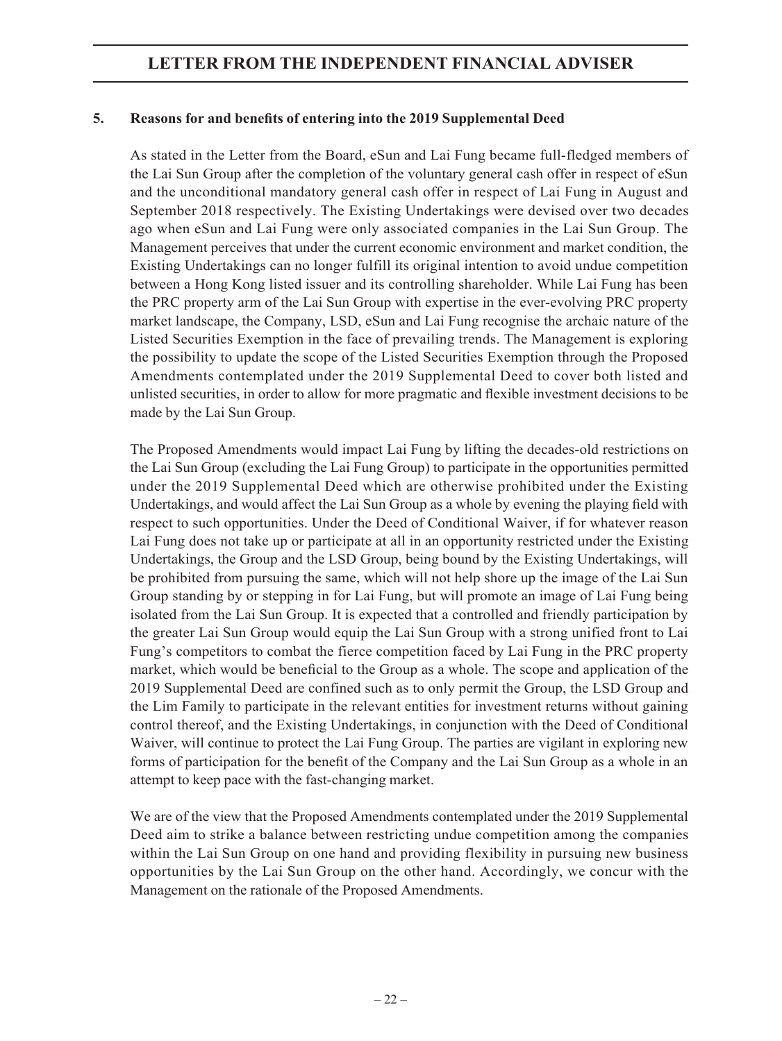## **5. Reasons for and benefits of entering into the 2019 Supplemental Deed**

As stated in the Letter from the Board, eSun and Lai Fung became full-fledged members of the Lai Sun Group after the completion of the voluntary general cash offer in respect of eSun and the unconditional mandatory general cash offer in respect of Lai Fung in August and September 2018 respectively. The Existing Undertakings were devised over two decades ago when eSun and Lai Fung were only associated companies in the Lai Sun Group. The Management perceives that under the current economic environment and market condition, the Existing Undertakings can no longer fulfill its original intention to avoid undue competition between a Hong Kong listed issuer and its controlling shareholder. While Lai Fung has been the PRC property arm of the Lai Sun Group with expertise in the ever-evolving PRC property market landscape, the Company, LSD, eSun and Lai Fung recognise the archaic nature of the Listed Securities Exemption in the face of prevailing trends. The Management is exploring the possibility to update the scope of the Listed Securities Exemption through the Proposed Amendments contemplated under the 2019 Supplemental Deed to cover both listed and unlisted securities, in order to allow for more pragmatic and flexible investment decisions to be made by the Lai Sun Group.

The Proposed Amendments would impact Lai Fung by lifting the decades-old restrictions on the Lai Sun Group (excluding the Lai Fung Group) to participate in the opportunities permitted under the 2019 Supplemental Deed which are otherwise prohibited under the Existing Undertakings, and would affect the Lai Sun Group as a whole by evening the playing field with respect to such opportunities. Under the Deed of Conditional Waiver, if for whatever reason Lai Fung does not take up or participate at all in an opportunity restricted under the Existing Undertakings, the Group and the LSD Group, being bound by the Existing Undertakings, will be prohibited from pursuing the same, which will not help shore up the image of the Lai Sun Group standing by or stepping in for Lai Fung, but will promote an image of Lai Fung being isolated from the Lai Sun Group. It is expected that a controlled and friendly participation by the greater Lai Sun Group would equip the Lai Sun Group with a strong unified front to Lai Fung's competitors to combat the fierce competition faced by Lai Fung in the PRC property market, which would be beneficial to the Group as a whole. The scope and application of the 2019 Supplemental Deed are confined such as to only permit the Group, the LSD Group and the Lim Family to participate in the relevant entities for investment returns without gaining control thereof, and the Existing Undertakings, in conjunction with the Deed of Conditional Waiver, will continue to protect the Lai Fung Group. The parties are vigilant in exploring new forms of participation for the benefit of the Company and the Lai Sun Group as a whole in an attempt to keep pace with the fast-changing market.

We are of the view that the Proposed Amendments contemplated under the 2019 Supplemental Deed aim to strike a balance between restricting undue competition among the companies within the Lai Sun Group on one hand and providing flexibility in pursuing new business opportunities by the Lai Sun Group on the other hand. Accordingly, we concur with the Management on the rationale of the Proposed Amendments.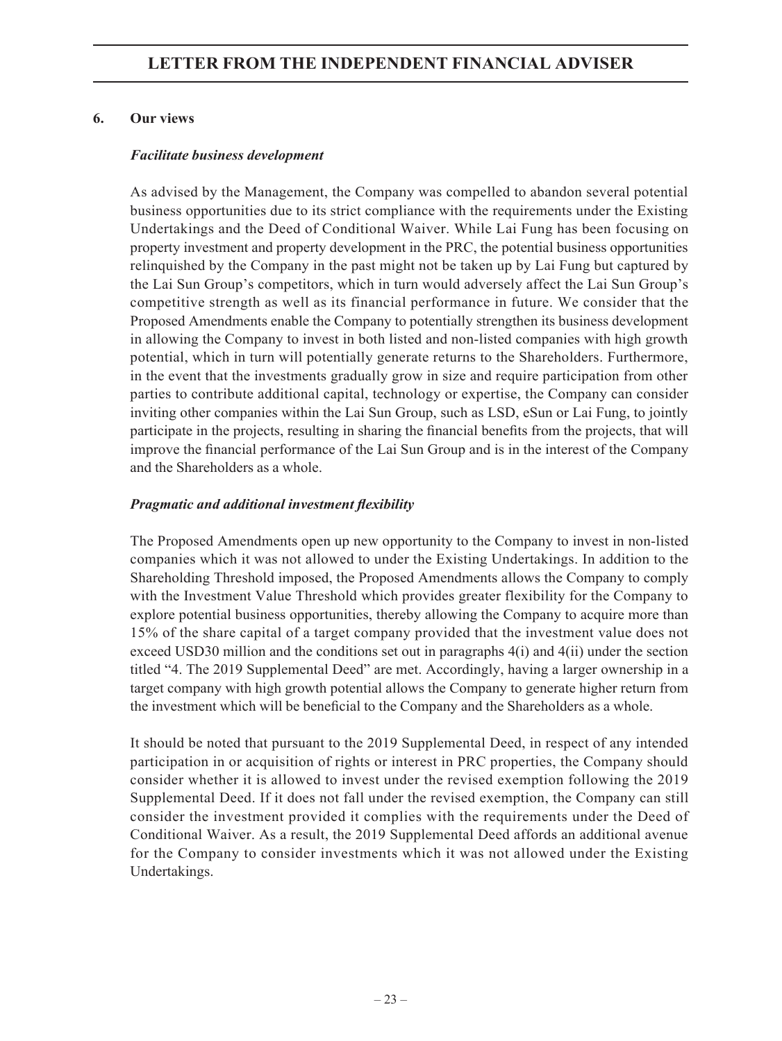## **6. Our views**

## *Facilitate business development*

As advised by the Management, the Company was compelled to abandon several potential business opportunities due to its strict compliance with the requirements under the Existing Undertakings and the Deed of Conditional Waiver. While Lai Fung has been focusing on property investment and property development in the PRC, the potential business opportunities relinquished by the Company in the past might not be taken up by Lai Fung but captured by the Lai Sun Group's competitors, which in turn would adversely affect the Lai Sun Group's competitive strength as well as its financial performance in future. We consider that the Proposed Amendments enable the Company to potentially strengthen its business development in allowing the Company to invest in both listed and non-listed companies with high growth potential, which in turn will potentially generate returns to the Shareholders. Furthermore, in the event that the investments gradually grow in size and require participation from other parties to contribute additional capital, technology or expertise, the Company can consider inviting other companies within the Lai Sun Group, such as LSD, eSun or Lai Fung, to jointly participate in the projects, resulting in sharing the financial benefits from the projects, that will improve the financial performance of the Lai Sun Group and is in the interest of the Company and the Shareholders as a whole.

## *Pragmatic and additional investment flexibility*

The Proposed Amendments open up new opportunity to the Company to invest in non-listed companies which it was not allowed to under the Existing Undertakings. In addition to the Shareholding Threshold imposed, the Proposed Amendments allows the Company to comply with the Investment Value Threshold which provides greater flexibility for the Company to explore potential business opportunities, thereby allowing the Company to acquire more than 15% of the share capital of a target company provided that the investment value does not exceed USD30 million and the conditions set out in paragraphs 4(i) and 4(ii) under the section titled "4. The 2019 Supplemental Deed" are met. Accordingly, having a larger ownership in a target company with high growth potential allows the Company to generate higher return from the investment which will be beneficial to the Company and the Shareholders as a whole.

It should be noted that pursuant to the 2019 Supplemental Deed, in respect of any intended participation in or acquisition of rights or interest in PRC properties, the Company should consider whether it is allowed to invest under the revised exemption following the 2019 Supplemental Deed. If it does not fall under the revised exemption, the Company can still consider the investment provided it complies with the requirements under the Deed of Conditional Waiver. As a result, the 2019 Supplemental Deed affords an additional avenue for the Company to consider investments which it was not allowed under the Existing Undertakings.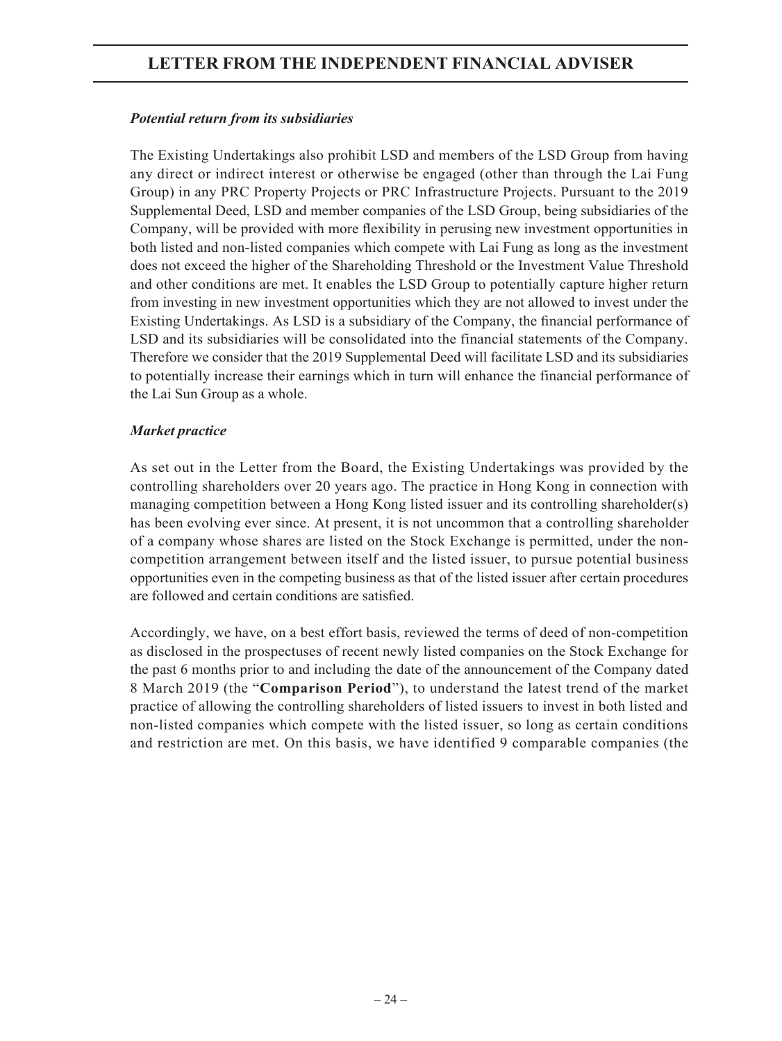## *Potential return from its subsidiaries*

The Existing Undertakings also prohibit LSD and members of the LSD Group from having any direct or indirect interest or otherwise be engaged (other than through the Lai Fung Group) in any PRC Property Projects or PRC Infrastructure Projects. Pursuant to the 2019 Supplemental Deed, LSD and member companies of the LSD Group, being subsidiaries of the Company, will be provided with more flexibility in perusing new investment opportunities in both listed and non-listed companies which compete with Lai Fung as long as the investment does not exceed the higher of the Shareholding Threshold or the Investment Value Threshold and other conditions are met. It enables the LSD Group to potentially capture higher return from investing in new investment opportunities which they are not allowed to invest under the Existing Undertakings. As LSD is a subsidiary of the Company, the financial performance of LSD and its subsidiaries will be consolidated into the financial statements of the Company. Therefore we consider that the 2019 Supplemental Deed will facilitate LSD and its subsidiaries to potentially increase their earnings which in turn will enhance the financial performance of the Lai Sun Group as a whole.

## *Market practice*

As set out in the Letter from the Board, the Existing Undertakings was provided by the controlling shareholders over 20 years ago. The practice in Hong Kong in connection with managing competition between a Hong Kong listed issuer and its controlling shareholder(s) has been evolving ever since. At present, it is not uncommon that a controlling shareholder of a company whose shares are listed on the Stock Exchange is permitted, under the noncompetition arrangement between itself and the listed issuer, to pursue potential business opportunities even in the competing business as that of the listed issuer after certain procedures are followed and certain conditions are satisfied.

Accordingly, we have, on a best effort basis, reviewed the terms of deed of non-competition as disclosed in the prospectuses of recent newly listed companies on the Stock Exchange for the past 6 months prior to and including the date of the announcement of the Company dated 8 March 2019 (the "**Comparison Period**"), to understand the latest trend of the market practice of allowing the controlling shareholders of listed issuers to invest in both listed and non-listed companies which compete with the listed issuer, so long as certain conditions and restriction are met. On this basis, we have identified 9 comparable companies (the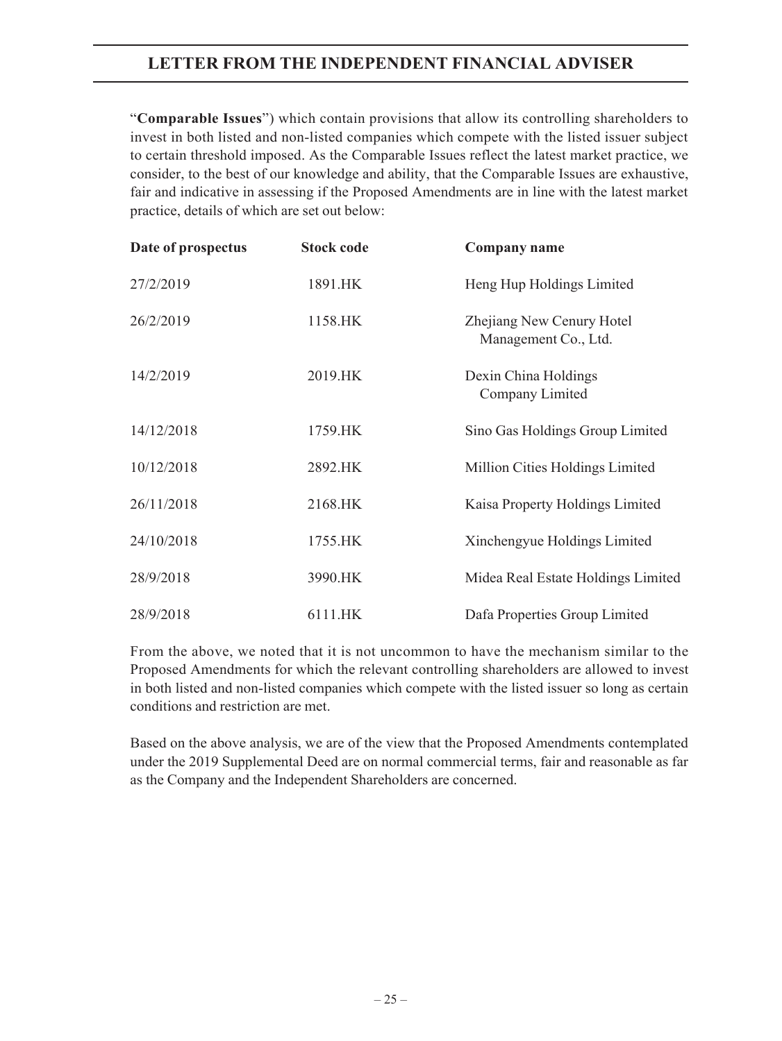"**Comparable Issues**") which contain provisions that allow its controlling shareholders to invest in both listed and non-listed companies which compete with the listed issuer subject to certain threshold imposed. As the Comparable Issues reflect the latest market practice, we consider, to the best of our knowledge and ability, that the Comparable Issues are exhaustive, fair and indicative in assessing if the Proposed Amendments are in line with the latest market practice, details of which are set out below:

| Date of prospectus | <b>Stock code</b> | <b>Company name</b>                               |
|--------------------|-------------------|---------------------------------------------------|
| 27/2/2019          | 1891.HK           | Heng Hup Holdings Limited                         |
| 26/2/2019          | 1158.HK           | Zhejiang New Cenury Hotel<br>Management Co., Ltd. |
| 14/2/2019          | 2019.HK           | Dexin China Holdings<br>Company Limited           |
| 14/12/2018         | 1759.HK           | Sino Gas Holdings Group Limited                   |
| 10/12/2018         | 2892.HK           | Million Cities Holdings Limited                   |
| 26/11/2018         | 2168.HK           | Kaisa Property Holdings Limited                   |
| 24/10/2018         | 1755.HK           | Xinchengyue Holdings Limited                      |
| 28/9/2018          | 3990.HK           | Midea Real Estate Holdings Limited                |
| 28/9/2018          | 6111.HK           | Dafa Properties Group Limited                     |

From the above, we noted that it is not uncommon to have the mechanism similar to the Proposed Amendments for which the relevant controlling shareholders are allowed to invest in both listed and non-listed companies which compete with the listed issuer so long as certain conditions and restriction are met.

Based on the above analysis, we are of the view that the Proposed Amendments contemplated under the 2019 Supplemental Deed are on normal commercial terms, fair and reasonable as far as the Company and the Independent Shareholders are concerned.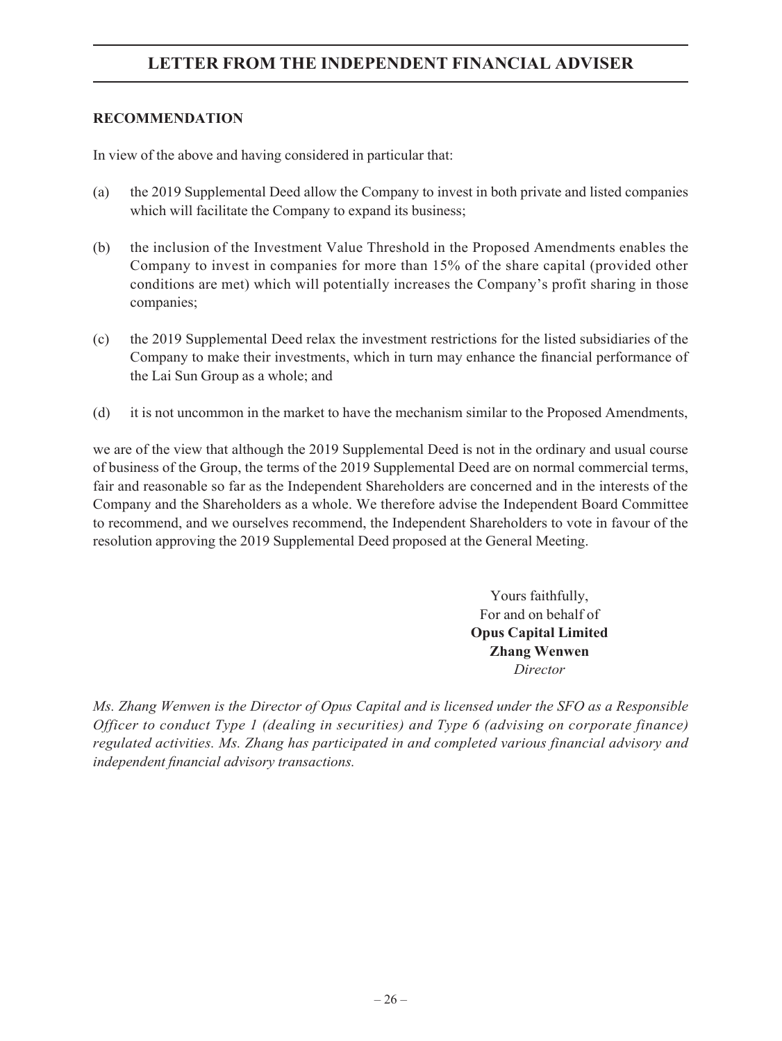### **RECOMMENDATION**

In view of the above and having considered in particular that:

- (a) the 2019 Supplemental Deed allow the Company to invest in both private and listed companies which will facilitate the Company to expand its business;
- (b) the inclusion of the Investment Value Threshold in the Proposed Amendments enables the Company to invest in companies for more than 15% of the share capital (provided other conditions are met) which will potentially increases the Company's profit sharing in those companies;
- (c) the 2019 Supplemental Deed relax the investment restrictions for the listed subsidiaries of the Company to make their investments, which in turn may enhance the financial performance of the Lai Sun Group as a whole; and
- (d) it is not uncommon in the market to have the mechanism similar to the Proposed Amendments,

we are of the view that although the 2019 Supplemental Deed is not in the ordinary and usual course of business of the Group, the terms of the 2019 Supplemental Deed are on normal commercial terms, fair and reasonable so far as the Independent Shareholders are concerned and in the interests of the Company and the Shareholders as a whole. We therefore advise the Independent Board Committee to recommend, and we ourselves recommend, the Independent Shareholders to vote in favour of the resolution approving the 2019 Supplemental Deed proposed at the General Meeting.

> Yours faithfully, For and on behalf of **Opus Capital Limited Zhang Wenwen** *Director*

*Ms. Zhang Wenwen is the Director of Opus Capital and is licensed under the SFO as a Responsible Officer to conduct Type 1 (dealing in securities) and Type 6 (advising on corporate finance) regulated activities. Ms. Zhang has participated in and completed various financial advisory and independent financial advisory transactions.*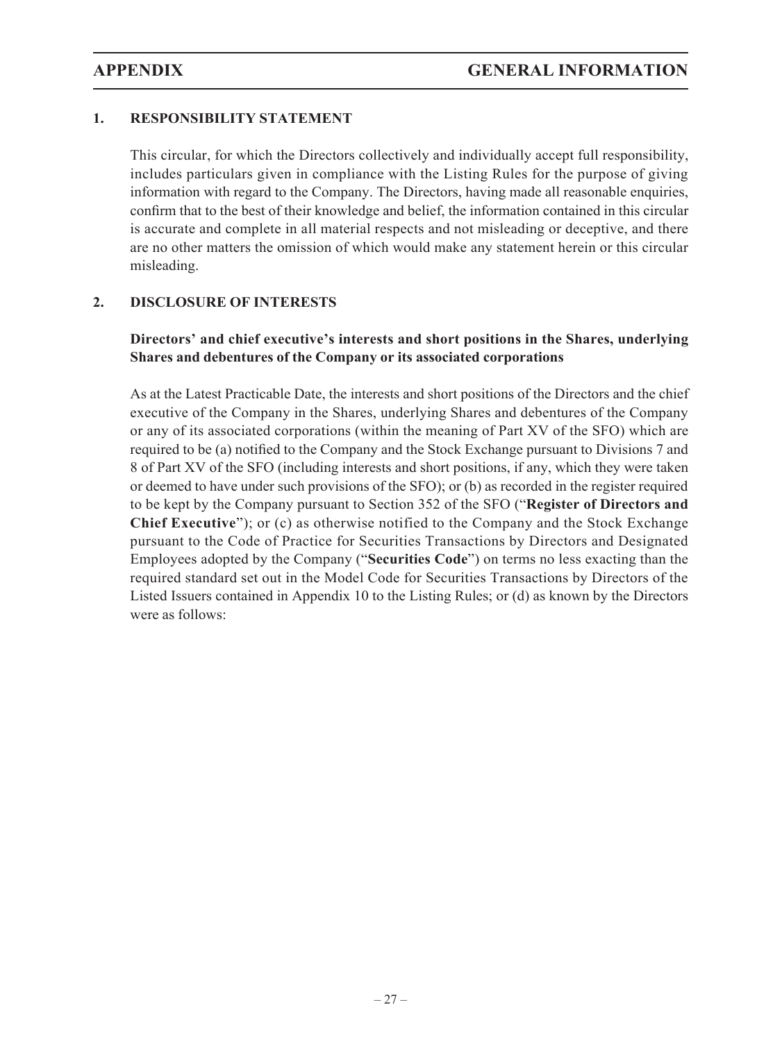## **1. RESPONSIBILITY STATEMENT**

This circular, for which the Directors collectively and individually accept full responsibility, includes particulars given in compliance with the Listing Rules for the purpose of giving information with regard to the Company. The Directors, having made all reasonable enquiries, confirm that to the best of their knowledge and belief, the information contained in this circular is accurate and complete in all material respects and not misleading or deceptive, and there are no other matters the omission of which would make any statement herein or this circular misleading.

## **2. DISCLOSURE OF INTERESTS**

## **Directors' and chief executive's interests and short positions in the Shares, underlying Shares and debentures of the Company or its associated corporations**

As at the Latest Practicable Date, the interests and short positions of the Directors and the chief executive of the Company in the Shares, underlying Shares and debentures of the Company or any of its associated corporations (within the meaning of Part XV of the SFO) which are required to be (a) notified to the Company and the Stock Exchange pursuant to Divisions 7 and 8 of Part XV of the SFO (including interests and short positions, if any, which they were taken or deemed to have under such provisions of the SFO); or (b) as recorded in the register required to be kept by the Company pursuant to Section 352 of the SFO ("**Register of Directors and Chief Executive**"); or (c) as otherwise notified to the Company and the Stock Exchange pursuant to the Code of Practice for Securities Transactions by Directors and Designated Employees adopted by the Company ("**Securities Code**") on terms no less exacting than the required standard set out in the Model Code for Securities Transactions by Directors of the Listed Issuers contained in Appendix 10 to the Listing Rules; or (d) as known by the Directors were as follows: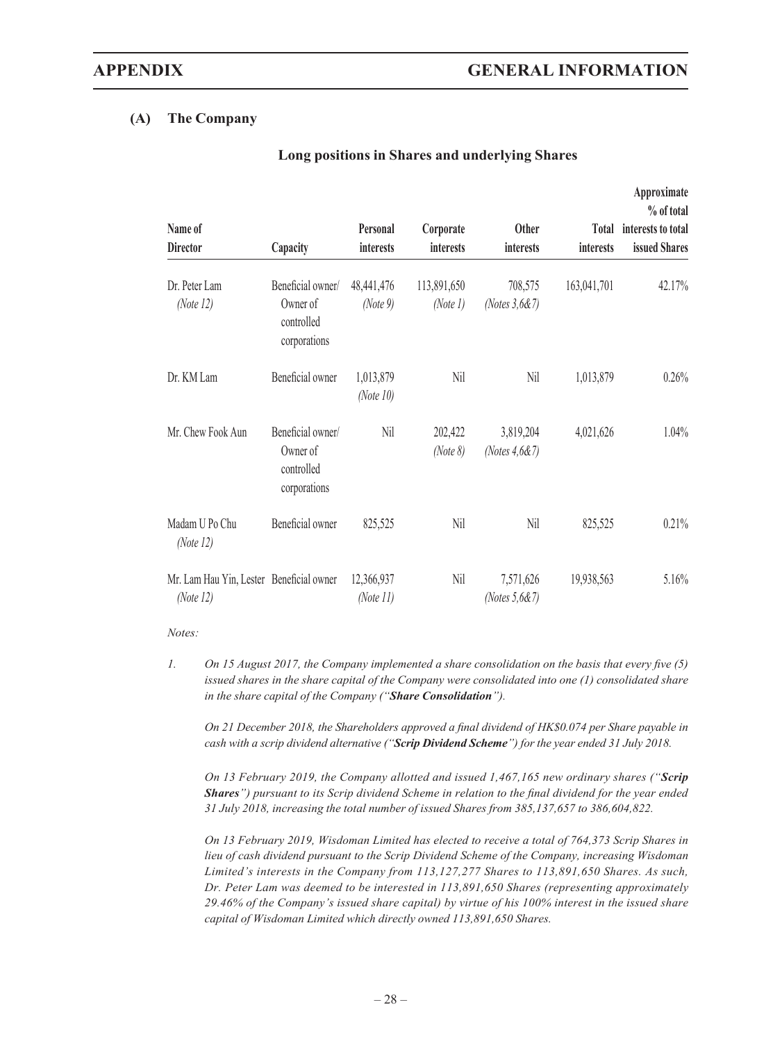#### **(A) The Company**

| Name of<br><b>Director</b>                               | Capacity                                                    | Personal<br>interests     | Corporate<br>interests  | <b>Other</b><br>interests     | <i>interests</i> | Approximate<br>% of total<br>Total interests to total<br>issued Shares |
|----------------------------------------------------------|-------------------------------------------------------------|---------------------------|-------------------------|-------------------------------|------------------|------------------------------------------------------------------------|
| Dr. Peter Lam<br>(Note $12$ )                            | Beneficial owner/<br>Owner of<br>controlled<br>corporations | 48,441,476<br>(Note 9)    | 113,891,650<br>(Note 1) | 708,575<br>(Notes $3,687$ )   | 163,041,701      | 42.17%                                                                 |
| Dr. KM Lam                                               | Beneficial owner                                            | 1,013,879<br>(Note $10$ ) | Nil                     | Nil                           | 1,013,879        | 0.26%                                                                  |
| Mr. Chew Fook Aun                                        | Beneficial owner/<br>Owner of<br>controlled<br>corporations | Nil                       | 202,422<br>(Note 8)     | 3,819,204<br>(Notes $4,6$ &7) | 4,021,626        | 1.04%                                                                  |
| Madam U Po Chu<br>(Note $12$ )                           | Beneficial owner                                            | 825,525                   | Nil                     | Nil                           | 825,525          | 0.21%                                                                  |
| Mr. Lam Hau Yin, Lester Beneficial owner<br>(Note $12$ ) |                                                             | 12,366,937<br>(Note 11)   | Nil                     | 7,571,626<br>(Notes $5,687$ ) | 19,938,563       | 5.16%                                                                  |

#### **Long positions in Shares and underlying Shares**

*Notes:*

*1. On 15 August 2017, the Company implemented a share consolidation on the basis that every five (5) issued shares in the share capital of the Company were consolidated into one (1) consolidated share in the share capital of the Company ("Share Consolidation").*

*On 21 December 2018, the Shareholders approved a final dividend of HK\$0.074 per Share payable in cash with a scrip dividend alternative ("Scrip Dividend Scheme") for the year ended 31 July 2018.*

*On 13 February 2019, the Company allotted and issued 1,467,165 new ordinary shares ("Scrip Shares") pursuant to its Scrip dividend Scheme in relation to the final dividend for the year ended 31 July 2018, increasing the total number of issued Shares from 385,137,657 to 386,604,822.*

*On 13 February 2019, Wisdoman Limited has elected to receive a total of 764,373 Scrip Shares in lieu of cash dividend pursuant to the Scrip Dividend Scheme of the Company, increasing Wisdoman Limited's interests in the Company from 113,127,277 Shares to 113,891,650 Shares. As such, Dr. Peter Lam was deemed to be interested in 113,891,650 Shares (representing approximately 29.46% of the Company's issued share capital) by virtue of his 100% interest in the issued share capital of Wisdoman Limited which directly owned 113,891,650 Shares.*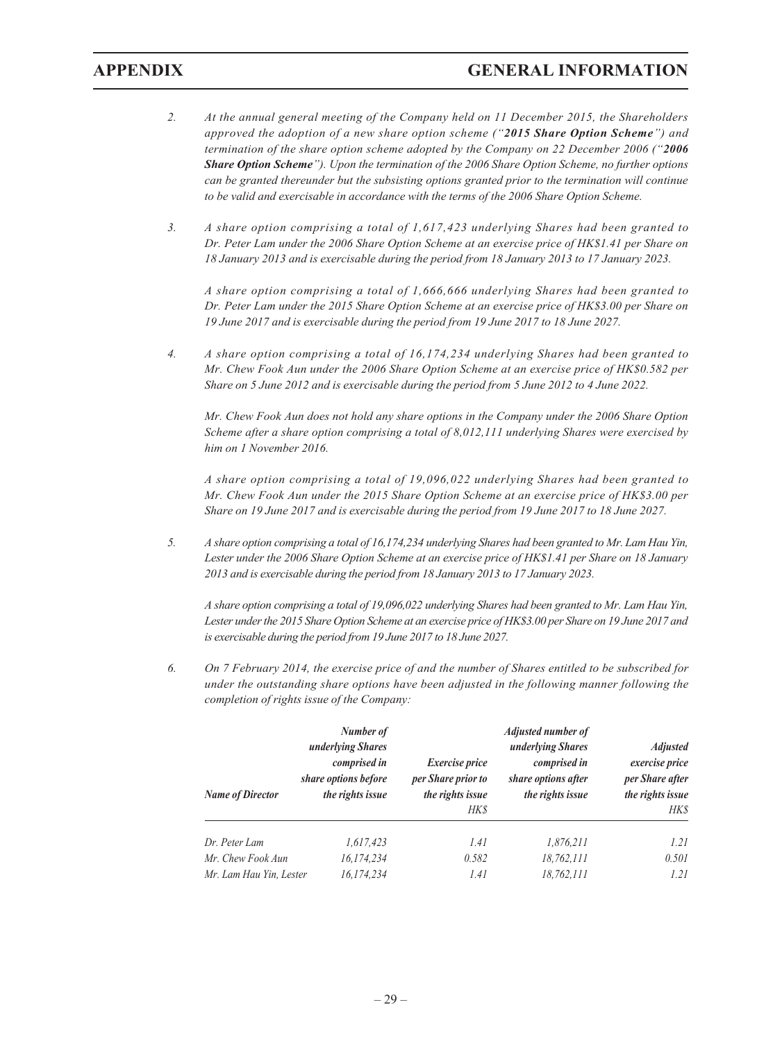- *2. At the annual general meeting of the Company held on 11 December 2015, the Shareholders approved the adoption of a new share option scheme ("2015 Share Option Scheme") and termination of the share option scheme adopted by the Company on 22 December 2006 ("2006 Share Option Scheme"). Upon the termination of the 2006 Share Option Scheme, no further options can be granted thereunder but the subsisting options granted prior to the termination will continue to be valid and exercisable in accordance with the terms of the 2006 Share Option Scheme.*
- *3. A share option comprising a total of 1,617,423 underlying Shares had been granted to Dr. Peter Lam under the 2006 Share Option Scheme at an exercise price of HK\$1.41 per Share on 18 January 2013 and is exercisable during the period from 18 January 2013 to 17 January 2023.*

*A share option comprising a total of 1,666,666 underlying Shares had been granted to Dr. Peter Lam under the 2015 Share Option Scheme at an exercise price of HK\$3.00 per Share on 19 June 2017 and is exercisable during the period from 19 June 2017 to 18 June 2027.*

*4. A share option comprising a total of 16,174,234 underlying Shares had been granted to Mr. Chew Fook Aun under the 2006 Share Option Scheme at an exercise price of HK\$0.582 per Share on 5 June 2012 and is exercisable during the period from 5 June 2012 to 4 June 2022.*

*Mr. Chew Fook Aun does not hold any share options in the Company under the 2006 Share Option Scheme after a share option comprising a total of 8,012,111 underlying Shares were exercised by him on 1 November 2016.*

*A share option comprising a total of 19,096,022 underlying Shares had been granted to Mr. Chew Fook Aun under the 2015 Share Option Scheme at an exercise price of HK\$3.00 per Share on 19 June 2017 and is exercisable during the period from 19 June 2017 to 18 June 2027.*

*5. A share option comprising a total of 16,174,234 underlying Shares had been granted to Mr. Lam Hau Yin, Lester under the 2006 Share Option Scheme at an exercise price of HK\$1.41 per Share on 18 January 2013 and is exercisable during the period from 18 January 2013 to 17 January 2023.*

*A share option comprising a total of 19,096,022 underlying Shares had been granted to Mr. Lam Hau Yin, Lester under the 2015 Share Option Scheme at an exercise price of HK\$3.00 per Share on 19 June 2017 and is exercisable during the period from 19 June 2017 to 18 June 2027.*

*6. On 7 February 2014, the exercise price of and the number of Shares entitled to be subscribed for under the outstanding share options have been adjusted in the following manner following the completion of rights issue of the Company:*

| <b>Name of Director</b> | Number of<br>underlying Shares<br>comprised in<br>share options before<br>the rights issue | <i>Exercise price</i><br>per Share prior to<br>the rights issue<br>HK\$ | <b>Adjusted number of</b><br>underlying Shares<br>comprised in<br>share options after<br>the rights issue | <b>Adjusted</b><br>exercise price<br>per Share after<br>the rights issue<br><b>HKS</b> |
|-------------------------|--------------------------------------------------------------------------------------------|-------------------------------------------------------------------------|-----------------------------------------------------------------------------------------------------------|----------------------------------------------------------------------------------------|
| Dr. Peter Lam           | 1,617,423                                                                                  | 1.41                                                                    | 1,876,211                                                                                                 | 1.21                                                                                   |
| Mr. Chew Fook Aun       | 16,174,234                                                                                 | 0.582                                                                   | 18,762,111                                                                                                | 0.501                                                                                  |
| Mr. Lam Hau Yin, Lester | 16,174,234                                                                                 | 1.41                                                                    | 18,762,111                                                                                                | 1.21                                                                                   |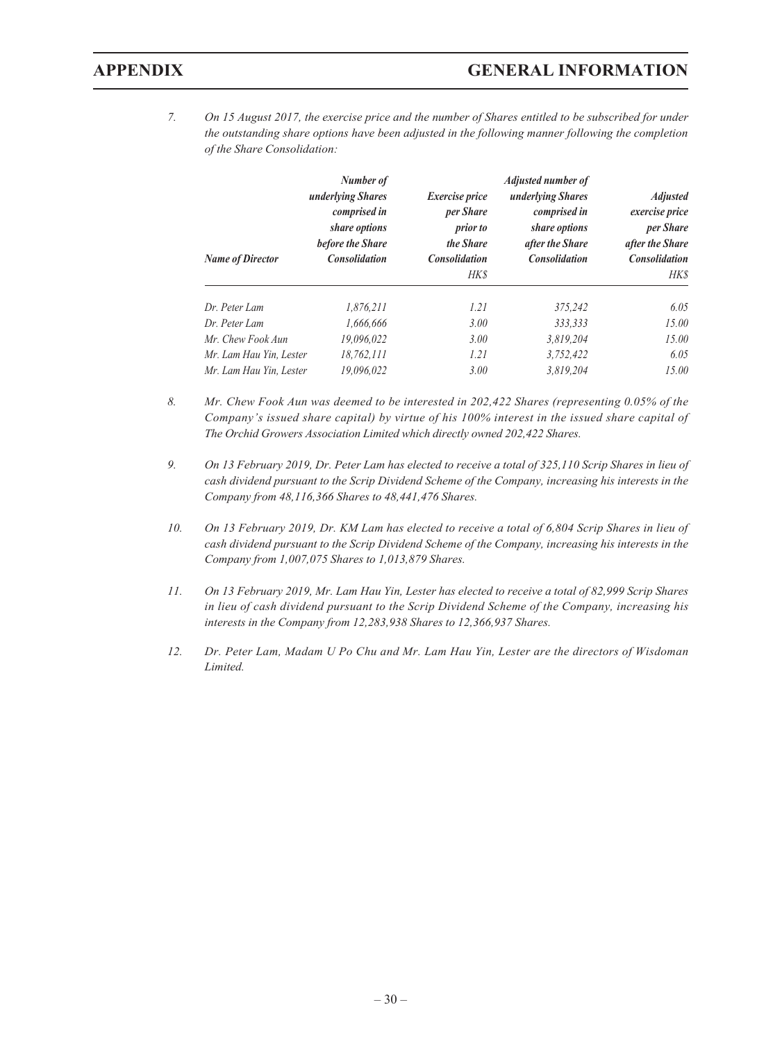*7. On 15 August 2017, the exercise price and the number of Shares entitled to be subscribed for under the outstanding share options have been adjusted in the following manner following the completion of the Share Consolidation:*

| <b>Name of Director</b> | Number of<br>underlying Shares<br>comprised in<br>share options<br>before the Share<br><b>Consolidation</b> | Exercise price<br>per Share<br><i>prior to</i><br>the Share<br><b>Consolidation</b><br>HK\$ | Adjusted number of<br>underlying Shares<br>comprised in<br>share options<br>after the Share<br><b>Consolidation</b> | <b>Adjusted</b><br>exercise price<br>per Share<br>after the Share<br><b>Consolidation</b><br>HK\$ |
|-------------------------|-------------------------------------------------------------------------------------------------------------|---------------------------------------------------------------------------------------------|---------------------------------------------------------------------------------------------------------------------|---------------------------------------------------------------------------------------------------|
| Dr. Peter Lam           | 1,876,211                                                                                                   | 1.21                                                                                        | 375,242                                                                                                             | 6.05                                                                                              |
| Dr. Peter Lam           | 1.666.666                                                                                                   | 3.00                                                                                        | 333.333                                                                                                             | 15.00                                                                                             |
| Mr. Chew Fook Aun       | 19.096.022                                                                                                  | 3.00                                                                                        | 3.819.204                                                                                                           | 15.00                                                                                             |
| Mr. Lam Hau Yin, Lester | 18,762,111                                                                                                  | 1.21                                                                                        | 3,752,422                                                                                                           | 6.05                                                                                              |
| Mr. Lam Hau Yin, Lester | 19.096.022                                                                                                  | 3.00                                                                                        | 3.819.204                                                                                                           | 15.00                                                                                             |

- *8. Mr. Chew Fook Aun was deemed to be interested in 202,422 Shares (representing 0.05% of the Company's issued share capital) by virtue of his 100% interest in the issued share capital of The Orchid Growers Association Limited which directly owned 202,422 Shares.*
- *9. On 13 February 2019, Dr. Peter Lam has elected to receive a total of 325,110 Scrip Shares in lieu of cash dividend pursuant to the Scrip Dividend Scheme of the Company, increasing his interests in the Company from 48,116,366 Shares to 48,441,476 Shares.*
- *10. On 13 February 2019, Dr. KM Lam has elected to receive a total of 6,804 Scrip Shares in lieu of cash dividend pursuant to the Scrip Dividend Scheme of the Company, increasing his interests in the Company from 1,007,075 Shares to 1,013,879 Shares.*
- *11. On 13 February 2019, Mr. Lam Hau Yin, Lester has elected to receive a total of 82,999 Scrip Shares in lieu of cash dividend pursuant to the Scrip Dividend Scheme of the Company, increasing his interests in the Company from 12,283,938 Shares to 12,366,937 Shares.*
- *12. Dr. Peter Lam, Madam U Po Chu and Mr. Lam Hau Yin, Lester are the directors of Wisdoman Limited.*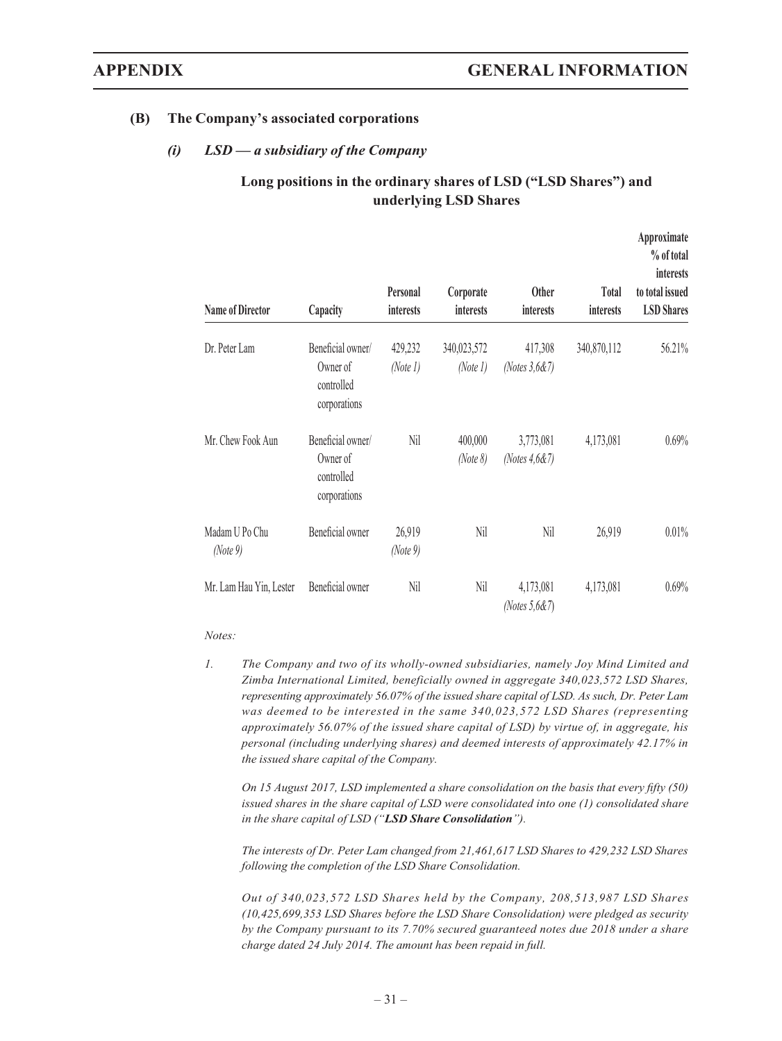#### **(B) The Company's associated corporations**

#### *(i) LSD — a subsidiary of the Company*

### **Long positions in the ordinary shares of LSD ("LSD Shares") and underlying LSD Shares**

| <b>Name of Director</b>    | Capacity                                                    | Personal<br>interests | Corporate<br><i>interests</i> | <b>Other</b><br><i>interests</i> | Total<br>interests | Approximate<br>% of total<br>interests<br>to total issued<br><b>LSD</b> Shares |
|----------------------------|-------------------------------------------------------------|-----------------------|-------------------------------|----------------------------------|--------------------|--------------------------------------------------------------------------------|
| Dr. Peter Lam              | Beneficial owner/<br>Owner of<br>controlled<br>corporations | 429,232<br>(Note 1)   | 340,023,572<br>(Note 1)       | 417,308<br>(Notes $3,687$ )      | 340,870,112        | 56.21%                                                                         |
| Mr. Chew Fook Aun          | Beneficial owner/<br>Owner of<br>controlled<br>corporations | Nil                   | 400,000<br>(Note 8)           | 3,773,081<br>(Notes $4,6$ &7)    | 4,173,081          | 0.69%                                                                          |
| Madam U Po Chu<br>(Note 9) | Beneficial owner                                            | 26,919<br>(Note 9)    | Nil                           | Nil                              | 26,919             | 0.01%                                                                          |
| Mr. Lam Hau Yin, Lester    | Beneficial owner                                            | Nil                   | Nil                           | 4,173,081<br>(Notes $5,687$ )    | 4,173,081          | 0.69%                                                                          |

#### *Notes:*

*1. The Company and two of its wholly-owned subsidiaries, namely Joy Mind Limited and Zimba International Limited, beneficially owned in aggregate 340,023,572 LSD Shares, representing approximately 56.07% of the issued share capital of LSD. As such, Dr. Peter Lam was deemed to be interested in the same 340,023,572 LSD Shares (representing approximately 56.07% of the issued share capital of LSD) by virtue of, in aggregate, his personal (including underlying shares) and deemed interests of approximately 42.17% in the issued share capital of the Company.*

*On 15 August 2017, LSD implemented a share consolidation on the basis that every fifty (50) issued shares in the share capital of LSD were consolidated into one (1) consolidated share in the share capital of LSD ("LSD Share Consolidation").*

*The interests of Dr. Peter Lam changed from 21,461,617 LSD Shares to 429,232 LSD Shares following the completion of the LSD Share Consolidation.*

*Out of 340,023,572 LSD Shares held by the Company, 208,513,987 LSD Shares (10,425,699,353 LSD Shares before the LSD Share Consolidation) were pledged as security by the Company pursuant to its 7.70% secured guaranteed notes due 2018 under a share charge dated 24 July 2014. The amount has been repaid in full.*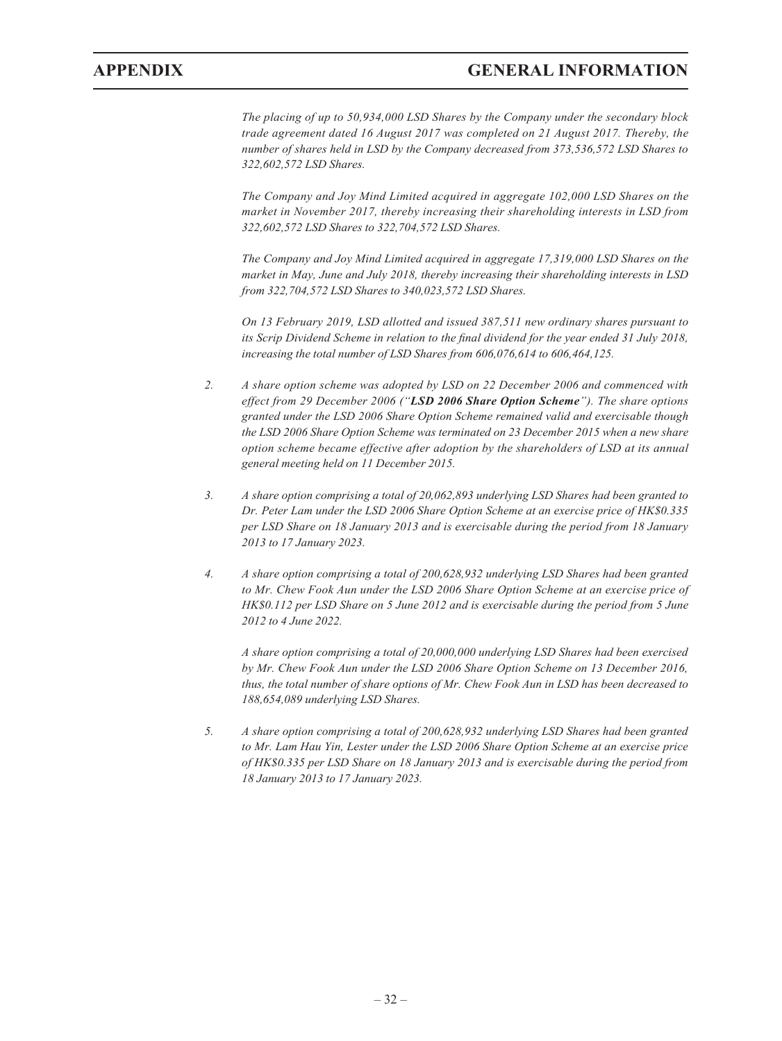*The placing of up to 50,934,000 LSD Shares by the Company under the secondary block trade agreement dated 16 August 2017 was completed on 21 August 2017. Thereby, the number of shares held in LSD by the Company decreased from 373,536,572 LSD Shares to 322,602,572 LSD Shares.*

*The Company and Joy Mind Limited acquired in aggregate 102,000 LSD Shares on the market in November 2017, thereby increasing their shareholding interests in LSD from 322,602,572 LSD Shares to 322,704,572 LSD Shares.*

*The Company and Joy Mind Limited acquired in aggregate 17,319,000 LSD Shares on the market in May, June and July 2018, thereby increasing their shareholding interests in LSD from 322,704,572 LSD Shares to 340,023,572 LSD Shares.*

*On 13 February 2019, LSD allotted and issued 387,511 new ordinary shares pursuant to its Scrip Dividend Scheme in relation to the final dividend for the year ended 31 July 2018, increasing the total number of LSD Shares from 606,076,614 to 606,464,125.*

- *2. A share option scheme was adopted by LSD on 22 December 2006 and commenced with effect from 29 December 2006 ("LSD 2006 Share Option Scheme"). The share options granted under the LSD 2006 Share Option Scheme remained valid and exercisable though the LSD 2006 Share Option Scheme was terminated on 23 December 2015 when a new share option scheme became effective after adoption by the shareholders of LSD at its annual general meeting held on 11 December 2015.*
- *3. A share option comprising a total of 20,062,893 underlying LSD Shares had been granted to Dr. Peter Lam under the LSD 2006 Share Option Scheme at an exercise price of HK\$0.335 per LSD Share on 18 January 2013 and is exercisable during the period from 18 January 2013 to 17 January 2023.*
- *4. A share option comprising a total of 200,628,932 underlying LSD Shares had been granted to Mr. Chew Fook Aun under the LSD 2006 Share Option Scheme at an exercise price of HK\$0.112 per LSD Share on 5 June 2012 and is exercisable during the period from 5 June 2012 to 4 June 2022.*

*A share option comprising a total of 20,000,000 underlying LSD Shares had been exercised by Mr. Chew Fook Aun under the LSD 2006 Share Option Scheme on 13 December 2016, thus, the total number of share options of Mr. Chew Fook Aun in LSD has been decreased to 188,654,089 underlying LSD Shares.*

*5. A share option comprising a total of 200,628,932 underlying LSD Shares had been granted to Mr. Lam Hau Yin, Lester under the LSD 2006 Share Option Scheme at an exercise price of HK\$0.335 per LSD Share on 18 January 2013 and is exercisable during the period from 18 January 2013 to 17 January 2023.*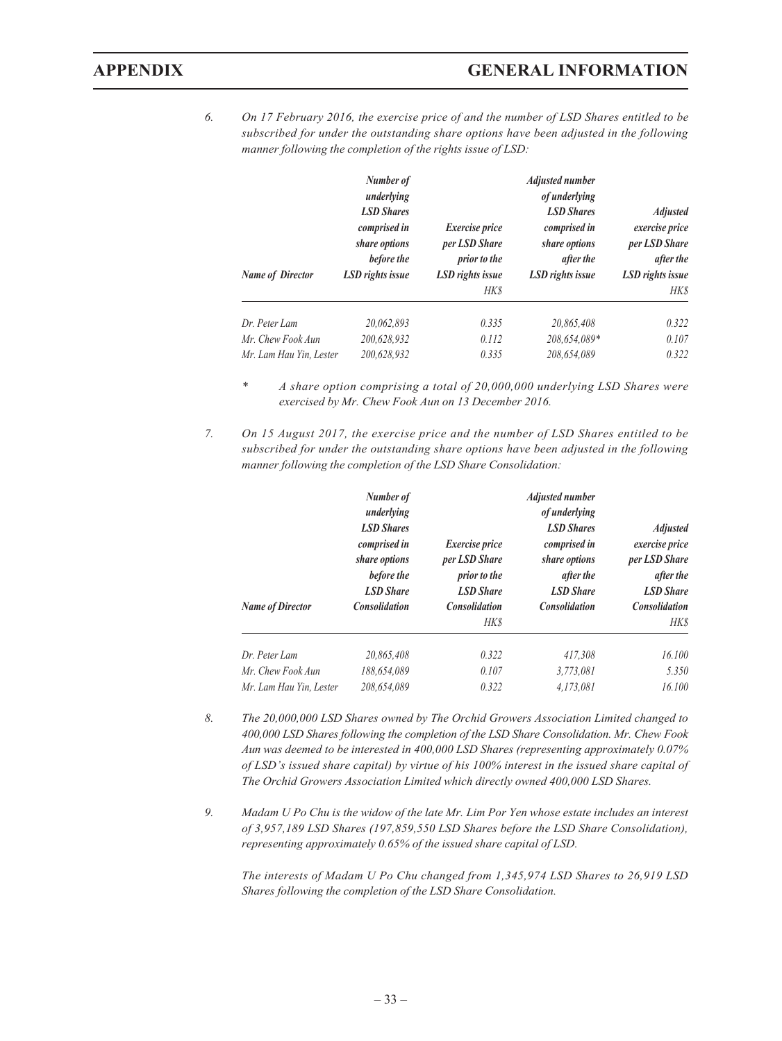*6. On 17 February 2016, the exercise price of and the number of LSD Shares entitled to be subscribed for under the outstanding share options have been adjusted in the following manner following the completion of the rights issue of LSD:*

| <b>Name of Director</b> | Number of<br>underlying<br><b>LSD Shares</b><br>comprised in<br>share options<br>before the<br>LSD rights issue | Exercise price<br>per LSD Share<br>prior to the<br>LSD rights issue<br>HK\$ | <b>Adjusted number</b><br>of underlying<br><b>LSD Shares</b><br>comprised in<br>share options<br>after the<br>LSD rights issue | <b>Adjusted</b><br>exercise price<br>per LSD Share<br>after the<br>LSD rights issue<br>HK\$ |
|-------------------------|-----------------------------------------------------------------------------------------------------------------|-----------------------------------------------------------------------------|--------------------------------------------------------------------------------------------------------------------------------|---------------------------------------------------------------------------------------------|
| Dr. Peter Lam           | 20.062.893                                                                                                      | 0.335                                                                       | 20.865.408                                                                                                                     | 0.322                                                                                       |
| Mr. Chew Fook Aun       | 200,628,932                                                                                                     | 0.112                                                                       | 208,654,089*                                                                                                                   | 0.107                                                                                       |
| Mr. Lam Hau Yin, Lester | 200,628,932                                                                                                     | 0.335                                                                       | 208,654,089                                                                                                                    | 0.322                                                                                       |

- *\* A share option comprising a total of 20,000,000 underlying LSD Shares were exercised by Mr. Chew Fook Aun on 13 December 2016.*
- *7. On 15 August 2017, the exercise price and the number of LSD Shares entitled to be subscribed for under the outstanding share options have been adjusted in the following manner following the completion of the LSD Share Consolidation:*

| <b>Name of Director</b> | Number of<br>underlying<br><b>LSD Shares</b><br>comprised in<br>share options<br>before the<br><b>LSD Share</b><br><b>Consolidation</b> | Exercise price<br>per LSD Share<br>prior to the<br><b>LSD</b> Share<br><b>Consolidation</b><br>HK\$ | <b>Adjusted number</b><br>of underlying<br><b>LSD Shares</b><br>comprised in<br>share options<br>after the<br><b>LSD</b> Share<br><b>Consolidation</b> | <b>Adjusted</b><br>exercise price<br>per LSD Share<br>after the<br><b>LSD Share</b><br><b>Consolidation</b><br>HK\$ |
|-------------------------|-----------------------------------------------------------------------------------------------------------------------------------------|-----------------------------------------------------------------------------------------------------|--------------------------------------------------------------------------------------------------------------------------------------------------------|---------------------------------------------------------------------------------------------------------------------|
| Dr. Peter Lam           | 20,865,408                                                                                                                              | 0.322                                                                                               | 417.308                                                                                                                                                | 16.100                                                                                                              |
| Mr. Chew Fook Aun       | 188,654,089                                                                                                                             | 0.107                                                                                               | 3,773,081                                                                                                                                              | 5.350                                                                                                               |
| Mr. Lam Hau Yin, Lester | 208,654,089                                                                                                                             | 0.322                                                                                               | 4,173,081                                                                                                                                              | 16.100                                                                                                              |

- *8. The 20,000,000 LSD Shares owned by The Orchid Growers Association Limited changed to 400,000 LSD Shares following the completion of the LSD Share Consolidation. Mr. Chew Fook Aun was deemed to be interested in 400,000 LSD Shares (representing approximately 0.07% of LSD's issued share capital) by virtue of his 100% interest in the issued share capital of The Orchid Growers Association Limited which directly owned 400,000 LSD Shares.*
- *9. Madam U Po Chu is the widow of the late Mr. Lim Por Yen whose estate includes an interest of 3,957,189 LSD Shares (197,859,550 LSD Shares before the LSD Share Consolidation), representing approximately 0.65% of the issued share capital of LSD.*

*The interests of Madam U Po Chu changed from 1,345,974 LSD Shares to 26,919 LSD Shares following the completion of the LSD Share Consolidation.*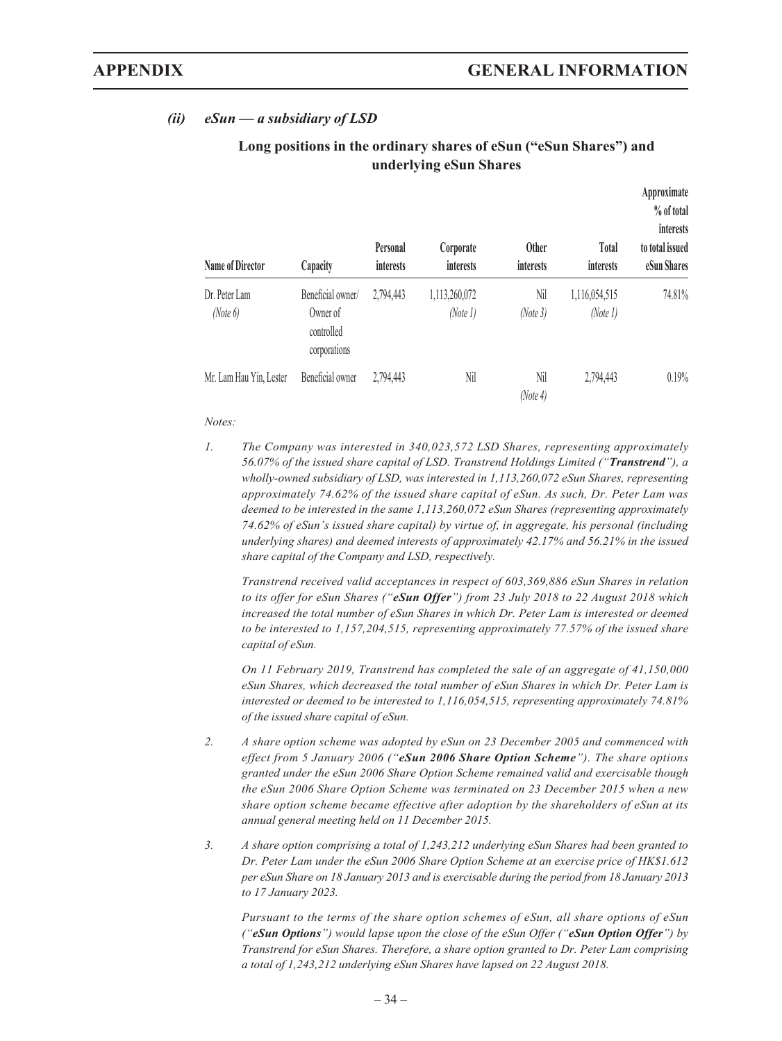### *(ii) eSun — a subsidiary of LSD*

| <b>Name of Director</b>   | Capacity                                                    | Personal<br>interests | Corporate<br>interests    | <b>Other</b><br>interests | <b>Total</b><br>interests | Approximate<br>% of total<br>interests<br>to total issued<br>eSun Shares |
|---------------------------|-------------------------------------------------------------|-----------------------|---------------------------|---------------------------|---------------------------|--------------------------------------------------------------------------|
| Dr. Peter Lam<br>(Note 6) | Beneficial owner/<br>Owner of<br>controlled<br>corporations | 2,794,443             | 1,113,260,072<br>(Note 1) | Nil<br>(Note3)            | 1,116,054,515<br>(Note 1) | 74.81%                                                                   |
| Mr. Lam Hau Yin, Lester   | Beneficial owner                                            | 2,794,443             | Nil                       | Nil<br>(Note 4)           | 2,794,443                 | 0.19%                                                                    |

### **Long positions in the ordinary shares of eSun ("eSun Shares") and underlying eSun Shares**

#### *Notes:*

*1. The Company was interested in 340,023,572 LSD Shares, representing approximately 56.07% of the issued share capital of LSD. Transtrend Holdings Limited ("Transtrend"), a wholly-owned subsidiary of LSD, was interested in 1,113,260,072 eSun Shares, representing approximately 74.62% of the issued share capital of eSun. As such, Dr. Peter Lam was deemed to be interested in the same 1,113,260,072 eSun Shares (representing approximately 74.62% of eSun's issued share capital) by virtue of, in aggregate, his personal (including underlying shares) and deemed interests of approximately 42.17% and 56.21% in the issued share capital of the Company and LSD, respectively.*

*Transtrend received valid acceptances in respect of 603,369,886 eSun Shares in relation to its offer for eSun Shares ("eSun Offer") from 23 July 2018 to 22 August 2018 which increased the total number of eSun Shares in which Dr. Peter Lam is interested or deemed to be interested to 1,157,204,515, representing approximately 77.57% of the issued share capital of eSun.*

*On 11 February 2019, Transtrend has completed the sale of an aggregate of 41,150,000 eSun Shares, which decreased the total number of eSun Shares in which Dr. Peter Lam is interested or deemed to be interested to 1,116,054,515, representing approximately 74.81% of the issued share capital of eSun.*

- *2. A share option scheme was adopted by eSun on 23 December 2005 and commenced with effect from 5 January 2006 ("eSun 2006 Share Option Scheme"). The share options granted under the eSun 2006 Share Option Scheme remained valid and exercisable though the eSun 2006 Share Option Scheme was terminated on 23 December 2015 when a new share option scheme became effective after adoption by the shareholders of eSun at its annual general meeting held on 11 December 2015.*
- *3. A share option comprising a total of 1,243,212 underlying eSun Shares had been granted to Dr. Peter Lam under the eSun 2006 Share Option Scheme at an exercise price of HK\$1.612 per eSun Share on 18 January 2013 and is exercisable during the period from 18 January 2013 to 17 January 2023.*

*Pursuant to the terms of the share option schemes of eSun, all share options of eSun ("eSun Options") would lapse upon the close of the eSun Offer ("eSun Option Offer") by Transtrend for eSun Shares. Therefore, a share option granted to Dr. Peter Lam comprising a total of 1,243,212 underlying eSun Shares have lapsed on 22 August 2018.*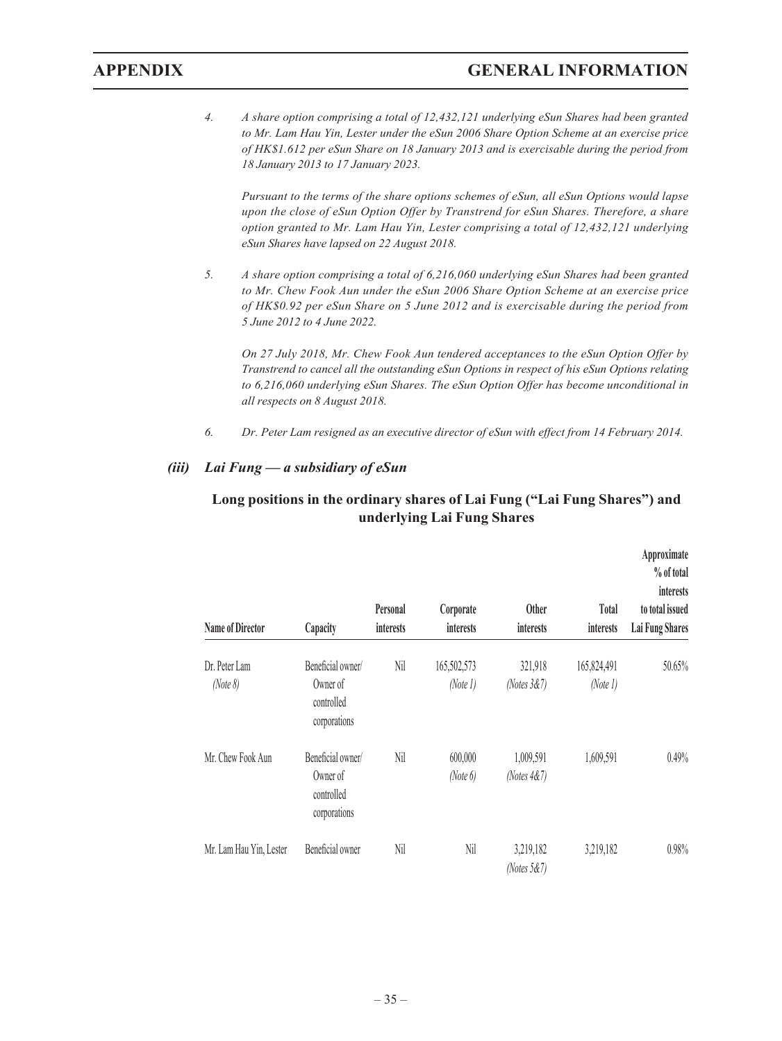*4. A share option comprising a total of 12,432,121 underlying eSun Shares had been granted to Mr. Lam Hau Yin, Lester under the eSun 2006 Share Option Scheme at an exercise price of HK\$1.612 per eSun Share on 18 January 2013 and is exercisable during the period from 18 January 2013 to 17 January 2023.*

*Pursuant to the terms of the share options schemes of eSun, all eSun Options would lapse upon the close of eSun Option Offer by Transtrend for eSun Shares. Therefore, a share option granted to Mr. Lam Hau Yin, Lester comprising a total of 12,432,121 underlying eSun Shares have lapsed on 22 August 2018.*

*5. A share option comprising a total of 6,216,060 underlying eSun Shares had been granted to Mr. Chew Fook Aun under the eSun 2006 Share Option Scheme at an exercise price of HK\$0.92 per eSun Share on 5 June 2012 and is exercisable during the period from 5 June 2012 to 4 June 2022.*

*On 27 July 2018, Mr. Chew Fook Aun tendered acceptances to the eSun Option Offer by Transtrend to cancel all the outstanding eSun Options in respect of his eSun Options relating to 6,216,060 underlying eSun Shares. The eSun Option Offer has become unconditional in all respects on 8 August 2018.*

*6. Dr. Peter Lam resigned as an executive director of eSun with effect from 14 February 2014.*

#### *(iii) Lai Fung — a subsidiary of eSun*

| <b>Name of Director</b>   | Capacity                                                    | Personal<br>interests | Corporate<br><i>interests</i> | <b>Other</b><br>interests   | Total<br>interests      | Approximate<br>% of total<br>interests<br>to total issued<br>Lai Fung Shares |
|---------------------------|-------------------------------------------------------------|-----------------------|-------------------------------|-----------------------------|-------------------------|------------------------------------------------------------------------------|
| Dr. Peter Lam<br>(Note 8) | Beneficial owner/<br>Owner of<br>controlled<br>corporations | Nil                   | 165,502,573<br>(Note 1)       | 321,918<br>(Notes $3&7$ )   | 165,824,491<br>(Note 1) | 50.65%                                                                       |
| Mr. Chew Fook Aun         | Beneficial owner/<br>Owner of<br>controlled<br>corporations | Nil                   | 600,000<br>(Note 6)           | 1,009,591<br>(Notes $4&7$ ) | 1,609,591               | 0.49%                                                                        |
| Mr. Lam Hau Yin, Lester   | Beneficial owner                                            | Nil                   | Nil                           | 3,219,182<br>(Notes $5&7$ ) | 3,219,182               | 0.98%                                                                        |

### **Long positions in the ordinary shares of Lai Fung ("Lai Fung Shares") and underlying Lai Fung Shares**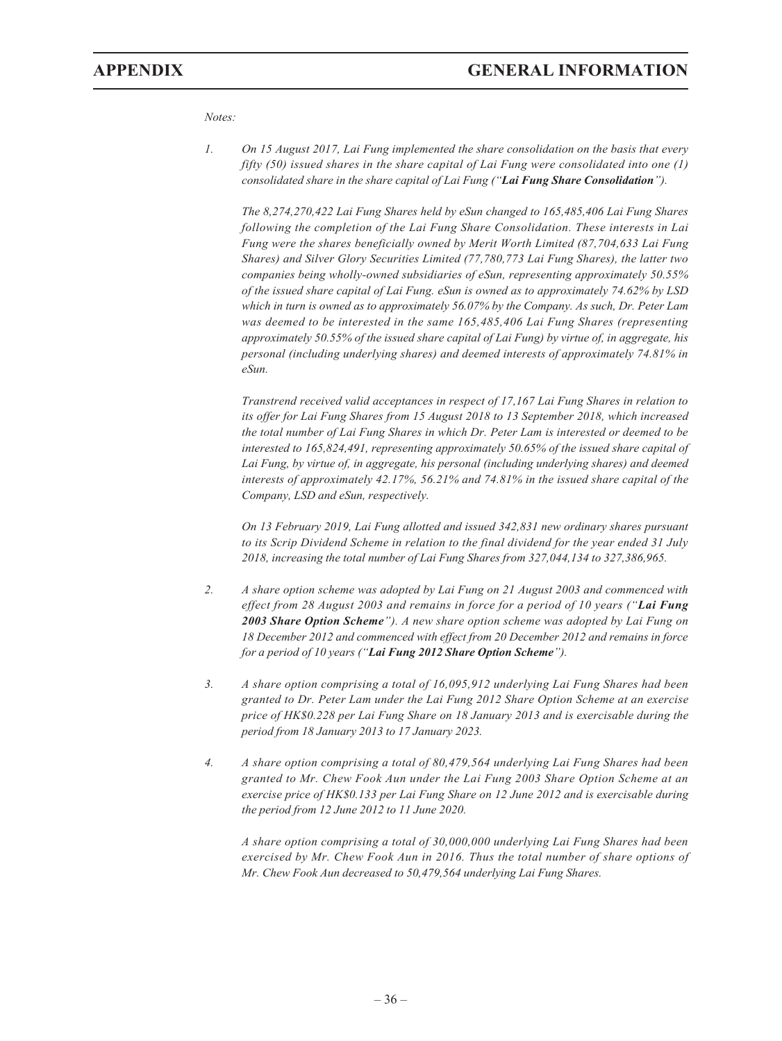#### *Notes:*

*1. On 15 August 2017, Lai Fung implemented the share consolidation on the basis that every fifty (50) issued shares in the share capital of Lai Fung were consolidated into one (1) consolidated share in the share capital of Lai Fung ("Lai Fung Share Consolidation").*

*The 8,274,270,422 Lai Fung Shares held by eSun changed to 165,485,406 Lai Fung Shares following the completion of the Lai Fung Share Consolidation. These interests in Lai Fung were the shares beneficially owned by Merit Worth Limited (87,704,633 Lai Fung Shares) and Silver Glory Securities Limited (77,780,773 Lai Fung Shares), the latter two companies being wholly-owned subsidiaries of eSun, representing approximately 50.55% of the issued share capital of Lai Fung. eSun is owned as to approximately 74.62% by LSD which in turn is owned as to approximately 56.07% by the Company. As such, Dr. Peter Lam was deemed to be interested in the same 165,485,406 Lai Fung Shares (representing approximately 50.55% of the issued share capital of Lai Fung) by virtue of, in aggregate, his personal (including underlying shares) and deemed interests of approximately 74.81% in eSun.*

*Transtrend received valid acceptances in respect of 17,167 Lai Fung Shares in relation to its offer for Lai Fung Shares from 15 August 2018 to 13 September 2018, which increased the total number of Lai Fung Shares in which Dr. Peter Lam is interested or deemed to be interested to 165,824,491, representing approximately 50.65% of the issued share capital of Lai Fung, by virtue of, in aggregate, his personal (including underlying shares) and deemed interests of approximately 42.17%, 56.21% and 74.81% in the issued share capital of the Company, LSD and eSun, respectively.*

*On 13 February 2019, Lai Fung allotted and issued 342,831 new ordinary shares pursuant to its Scrip Dividend Scheme in relation to the final dividend for the year ended 31 July 2018, increasing the total number of Lai Fung Shares from 327,044,134 to 327,386,965.*

- *2. A share option scheme was adopted by Lai Fung on 21 August 2003 and commenced with effect from 28 August 2003 and remains in force for a period of 10 years ("Lai Fung 2003 Share Option Scheme"). A new share option scheme was adopted by Lai Fung on 18 December 2012 and commenced with effect from 20 December 2012 and remains in force for a period of 10 years ("Lai Fung 2012 Share Option Scheme").*
- *3. A share option comprising a total of 16,095,912 underlying Lai Fung Shares had been granted to Dr. Peter Lam under the Lai Fung 2012 Share Option Scheme at an exercise price of HK\$0.228 per Lai Fung Share on 18 January 2013 and is exercisable during the period from 18 January 2013 to 17 January 2023.*
- *4. A share option comprising a total of 80,479,564 underlying Lai Fung Shares had been granted to Mr. Chew Fook Aun under the Lai Fung 2003 Share Option Scheme at an exercise price of HK\$0.133 per Lai Fung Share on 12 June 2012 and is exercisable during the period from 12 June 2012 to 11 June 2020.*

*A share option comprising a total of 30,000,000 underlying Lai Fung Shares had been exercised by Mr. Chew Fook Aun in 2016. Thus the total number of share options of Mr. Chew Fook Aun decreased to 50,479,564 underlying Lai Fung Shares.*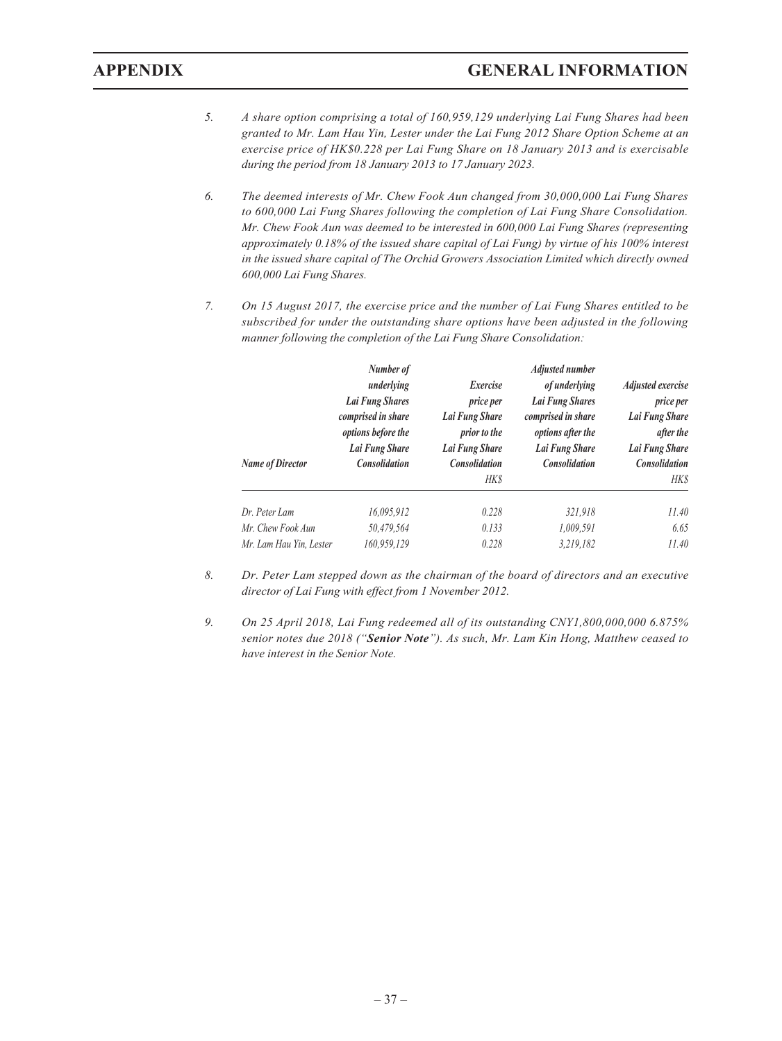- *5. A share option comprising a total of 160,959,129 underlying Lai Fung Shares had been granted to Mr. Lam Hau Yin, Lester under the Lai Fung 2012 Share Option Scheme at an exercise price of HK\$0.228 per Lai Fung Share on 18 January 2013 and is exercisable during the period from 18 January 2013 to 17 January 2023.*
- *6. The deemed interests of Mr. Chew Fook Aun changed from 30,000,000 Lai Fung Shares to 600,000 Lai Fung Shares following the completion of Lai Fung Share Consolidation. Mr. Chew Fook Aun was deemed to be interested in 600,000 Lai Fung Shares (representing approximately 0.18% of the issued share capital of Lai Fung) by virtue of his 100% interest in the issued share capital of The Orchid Growers Association Limited which directly owned 600,000 Lai Fung Shares.*
- *7. On 15 August 2017, the exercise price and the number of Lai Fung Shares entitled to be subscribed for under the outstanding share options have been adjusted in the following manner following the completion of the Lai Fung Share Consolidation:*

| <b>Name of Director</b> | Number of<br>underlying<br>Lai Fung Shares<br>comprised in share<br>options before the<br>Lai Fung Share<br><b>Consolidation</b> | Exercise<br>price per<br>Lai Fung Share<br>prior to the<br>Lai Fung Share<br><b>Consolidation</b><br><b>HKS</b> | <b>Adjusted number</b><br>of underlying<br><b>Lai Fung Shares</b><br>comprised in share<br>options after the<br>Lai Fung Share<br><b>Consolidation</b> | Adjusted exercise<br>price per<br>Lai Fung Share<br>after the<br>Lai Fung Share<br>Consolidation<br>HK\$ |
|-------------------------|----------------------------------------------------------------------------------------------------------------------------------|-----------------------------------------------------------------------------------------------------------------|--------------------------------------------------------------------------------------------------------------------------------------------------------|----------------------------------------------------------------------------------------------------------|
| Dr. Peter Lam           | 16.095.912                                                                                                                       | 0.228                                                                                                           | 321.918                                                                                                                                                | 11.40                                                                                                    |
| Mr. Chew Fook Aun       | 50,479,564                                                                                                                       | 0.133                                                                                                           | 1,009,591                                                                                                                                              | 6.65                                                                                                     |
| Mr. Lam Hau Yin, Lester | 160,959,129                                                                                                                      | 0.228                                                                                                           | 3,219,182                                                                                                                                              | 11.40                                                                                                    |

- *8. Dr. Peter Lam stepped down as the chairman of the board of directors and an executive director of Lai Fung with effect from 1 November 2012.*
- *9. On 25 April 2018, Lai Fung redeemed all of its outstanding CNY1,800,000,000 6.875% senior notes due 2018 ("Senior Note"). As such, Mr. Lam Kin Hong, Matthew ceased to have interest in the Senior Note.*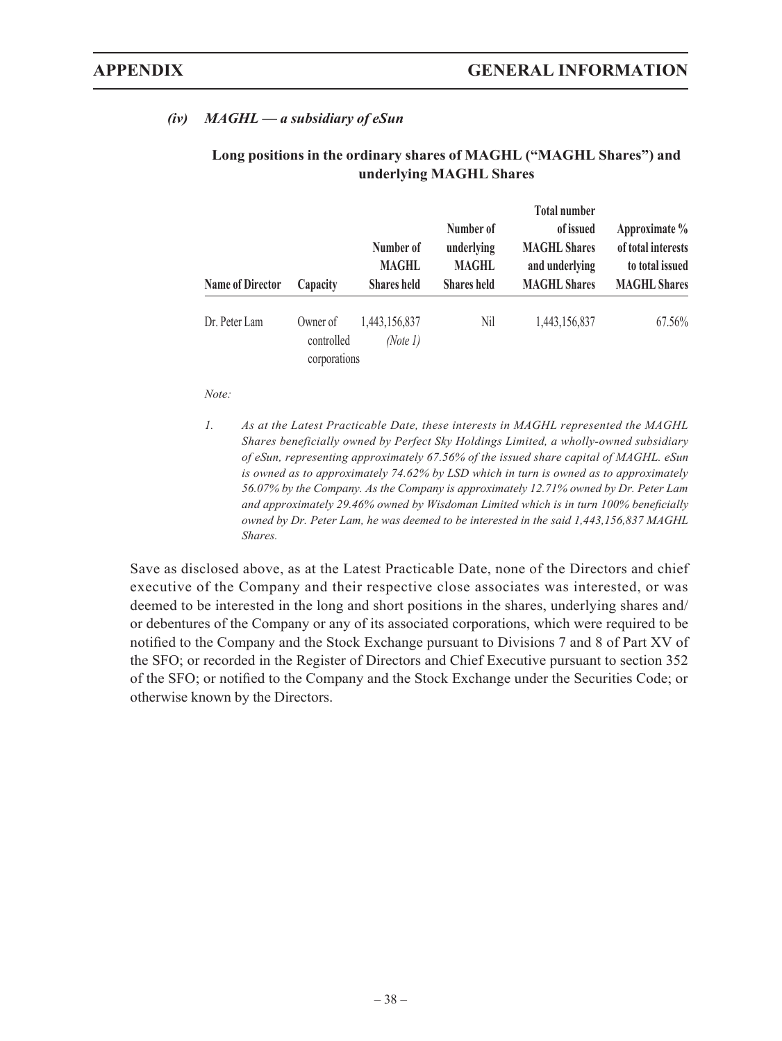## *(iv) MAGHL — a subsidiary of eSun*

| <b>Name of Director</b> | Capacity                               | Number of<br><b>MAGHL</b><br><b>Shares</b> held | Number of<br>underlying<br><b>MAGHL</b><br><b>Shares</b> held | <b>Total number</b><br>of issued<br><b>MAGHL Shares</b><br>and underlying<br><b>MAGHL Shares</b> | Approximate %<br>of total interests<br>to total issued<br><b>MAGHL Shares</b> |
|-------------------------|----------------------------------------|-------------------------------------------------|---------------------------------------------------------------|--------------------------------------------------------------------------------------------------|-------------------------------------------------------------------------------|
| Dr. Peter Lam           | Owner of<br>controlled<br>corporations | 1,443,156,837<br>(Note 1)                       | Nil                                                           | 1,443,156,837                                                                                    | 67.56%                                                                        |

### **Long positions in the ordinary shares of MAGHL ("MAGHL Shares") and underlying MAGHL Shares**

*Note:*

*1. As at the Latest Practicable Date, these interests in MAGHL represented the MAGHL Shares beneficially owned by Perfect Sky Holdings Limited, a wholly-owned subsidiary of eSun, representing approximately 67.56% of the issued share capital of MAGHL. eSun is owned as to approximately 74.62% by LSD which in turn is owned as to approximately 56.07% by the Company. As the Company is approximately 12.71% owned by Dr. Peter Lam and approximately 29.46% owned by Wisdoman Limited which is in turn 100% beneficially owned by Dr. Peter Lam, he was deemed to be interested in the said 1,443,156,837 MAGHL Shares.*

Save as disclosed above, as at the Latest Practicable Date, none of the Directors and chief executive of the Company and their respective close associates was interested, or was deemed to be interested in the long and short positions in the shares, underlying shares and/ or debentures of the Company or any of its associated corporations, which were required to be notified to the Company and the Stock Exchange pursuant to Divisions 7 and 8 of Part XV of the SFO; or recorded in the Register of Directors and Chief Executive pursuant to section 352 of the SFO; or notified to the Company and the Stock Exchange under the Securities Code; or otherwise known by the Directors.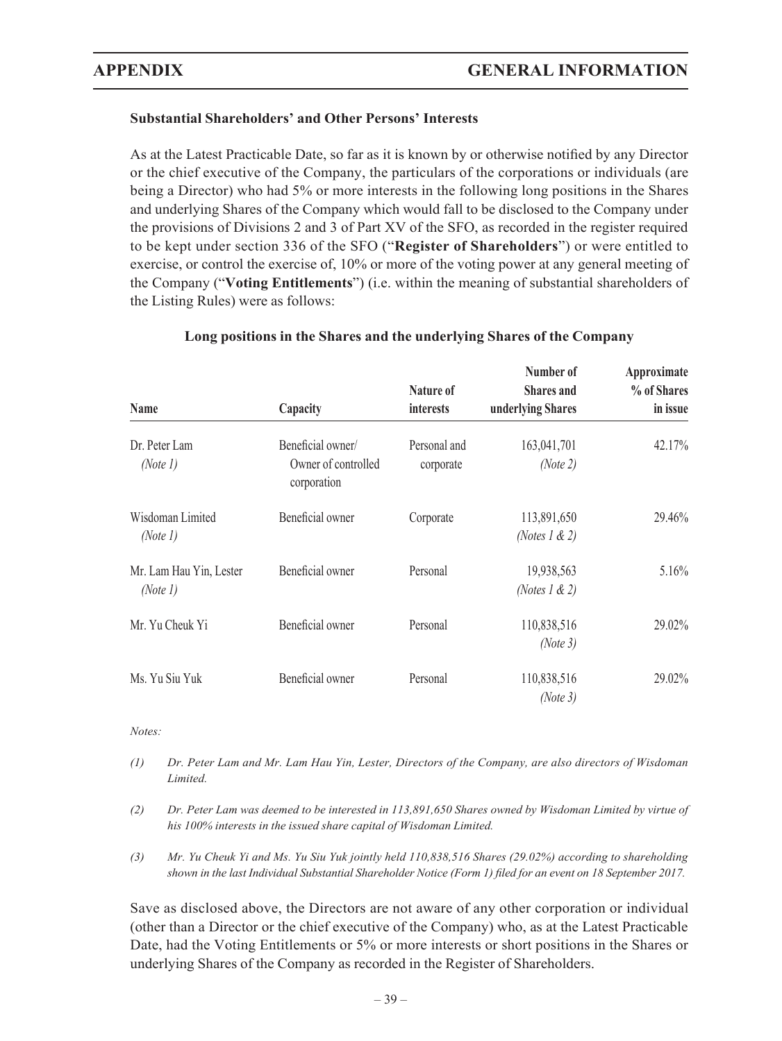**Number of Approximate**

## **Substantial Shareholders' and Other Persons' Interests**

As at the Latest Practicable Date, so far as it is known by or otherwise notified by any Director or the chief executive of the Company, the particulars of the corporations or individuals (are being a Director) who had 5% or more interests in the following long positions in the Shares and underlying Shares of the Company which would fall to be disclosed to the Company under the provisions of Divisions 2 and 3 of Part XV of the SFO, as recorded in the register required to be kept under section 336 of the SFO ("**Register of Shareholders**") or were entitled to exercise, or control the exercise of, 10% or more of the voting power at any general meeting of the Company ("**Voting Entitlements**") (i.e. within the meaning of substantial shareholders of the Listing Rules) were as follows:

| Name                                | Capacity                                                | Nature of<br>interests    | тишил от<br><b>Shares</b> and<br>underlying Shares | <i><b>Typroximate</b></i><br>% of Shares<br>in issue |
|-------------------------------------|---------------------------------------------------------|---------------------------|----------------------------------------------------|------------------------------------------------------|
| Dr. Peter Lam<br>(Note 1)           | Beneficial owner/<br>Owner of controlled<br>corporation | Personal and<br>corporate | 163,041,701<br>(Note 2)                            | 42.17%                                               |
| Wisdoman Limited<br>(Note 1)        | Beneficial owner                                        | Corporate                 | 113,891,650<br>(Notes 1 & 2)                       | 29.46%                                               |
| Mr. Lam Hau Yin, Lester<br>(Note 1) | Beneficial owner                                        | Personal                  | 19,938,563<br>(Notes 1 & 2)                        | 5.16%                                                |
| Mr. Yu Cheuk Yi                     | Beneficial owner                                        | Personal                  | 110,838,516<br>(Note 3)                            | 29.02%                                               |
| Ms. Yu Siu Yuk                      | Beneficial owner                                        | Personal                  | 110,838,516<br>(Note 3)                            | 29.02%                                               |

#### **Long positions in the Shares and the underlying Shares of the Company**

*Notes:*

- *(1) Dr. Peter Lam and Mr. Lam Hau Yin, Lester, Directors of the Company, are also directors of Wisdoman Limited.*
- *(2) Dr. Peter Lam was deemed to be interested in 113,891,650 Shares owned by Wisdoman Limited by virtue of his 100% interests in the issued share capital of Wisdoman Limited.*
- *(3) Mr. Yu Cheuk Yi and Ms. Yu Siu Yuk jointly held 110,838,516 Shares (29.02%) according to shareholding shown in the last Individual Substantial Shareholder Notice (Form 1) filed for an event on 18 September 2017.*

Save as disclosed above, the Directors are not aware of any other corporation or individual (other than a Director or the chief executive of the Company) who, as at the Latest Practicable Date, had the Voting Entitlements or 5% or more interests or short positions in the Shares or underlying Shares of the Company as recorded in the Register of Shareholders.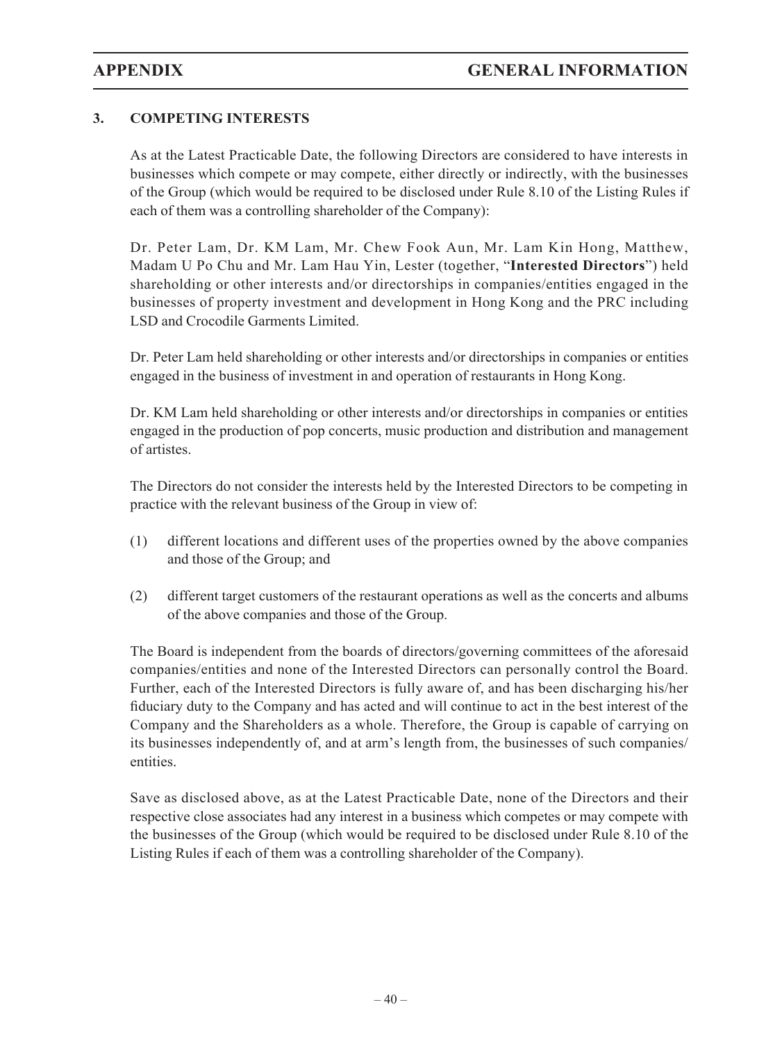## **3. COMPETING INTERESTS**

As at the Latest Practicable Date, the following Directors are considered to have interests in businesses which compete or may compete, either directly or indirectly, with the businesses of the Group (which would be required to be disclosed under Rule 8.10 of the Listing Rules if each of them was a controlling shareholder of the Company):

Dr. Peter Lam, Dr. KM Lam, Mr. Chew Fook Aun, Mr. Lam Kin Hong, Matthew, Madam U Po Chu and Mr. Lam Hau Yin, Lester (together, "**Interested Directors**") held shareholding or other interests and/or directorships in companies/entities engaged in the businesses of property investment and development in Hong Kong and the PRC including LSD and Crocodile Garments Limited.

Dr. Peter Lam held shareholding or other interests and/or directorships in companies or entities engaged in the business of investment in and operation of restaurants in Hong Kong.

Dr. KM Lam held shareholding or other interests and/or directorships in companies or entities engaged in the production of pop concerts, music production and distribution and management of artistes.

The Directors do not consider the interests held by the Interested Directors to be competing in practice with the relevant business of the Group in view of:

- (1) different locations and different uses of the properties owned by the above companies and those of the Group; and
- (2) different target customers of the restaurant operations as well as the concerts and albums of the above companies and those of the Group.

The Board is independent from the boards of directors/governing committees of the aforesaid companies/entities and none of the Interested Directors can personally control the Board. Further, each of the Interested Directors is fully aware of, and has been discharging his/her fiduciary duty to the Company and has acted and will continue to act in the best interest of the Company and the Shareholders as a whole. Therefore, the Group is capable of carrying on its businesses independently of, and at arm's length from, the businesses of such companies/ entities.

Save as disclosed above, as at the Latest Practicable Date, none of the Directors and their respective close associates had any interest in a business which competes or may compete with the businesses of the Group (which would be required to be disclosed under Rule 8.10 of the Listing Rules if each of them was a controlling shareholder of the Company).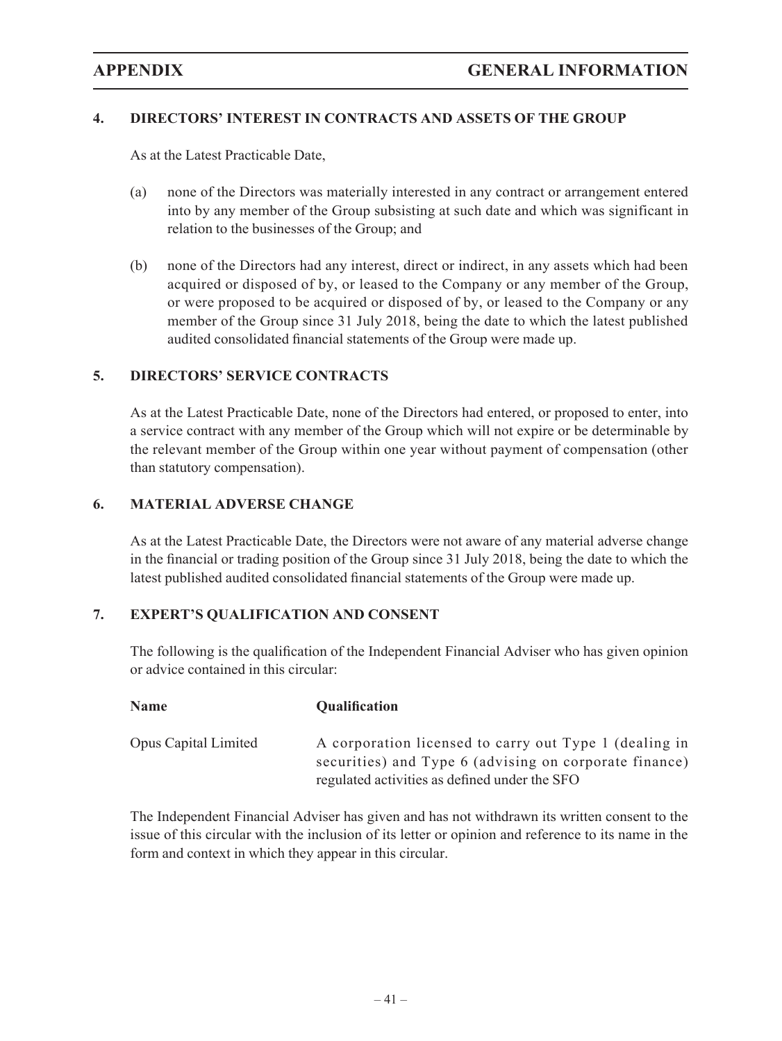## **4. DIRECTORS' INTEREST IN CONTRACTS AND ASSETS OF THE GROUP**

As at the Latest Practicable Date,

- (a) none of the Directors was materially interested in any contract or arrangement entered into by any member of the Group subsisting at such date and which was significant in relation to the businesses of the Group; and
- (b) none of the Directors had any interest, direct or indirect, in any assets which had been acquired or disposed of by, or leased to the Company or any member of the Group, or were proposed to be acquired or disposed of by, or leased to the Company or any member of the Group since 31 July 2018, being the date to which the latest published audited consolidated financial statements of the Group were made up.

## **5. DIRECTORS' SERVICE CONTRACTS**

As at the Latest Practicable Date, none of the Directors had entered, or proposed to enter, into a service contract with any member of the Group which will not expire or be determinable by the relevant member of the Group within one year without payment of compensation (other than statutory compensation).

## **6. MATERIAL ADVERSE CHANGE**

As at the Latest Practicable Date, the Directors were not aware of any material adverse change in the financial or trading position of the Group since 31 July 2018, being the date to which the latest published audited consolidated financial statements of the Group were made up.

## **7. EXPERT'S QUALIFICATION AND CONSENT**

The following is the qualification of the Independent Financial Adviser who has given opinion or advice contained in this circular:

| <b>Name</b>                 | <b>Qualification</b>                                                                                                                                              |
|-----------------------------|-------------------------------------------------------------------------------------------------------------------------------------------------------------------|
| <b>Opus Capital Limited</b> | A corporation licensed to carry out Type 1 (dealing in<br>securities) and Type 6 (advising on corporate finance)<br>regulated activities as defined under the SFO |

The Independent Financial Adviser has given and has not withdrawn its written consent to the issue of this circular with the inclusion of its letter or opinion and reference to its name in the form and context in which they appear in this circular.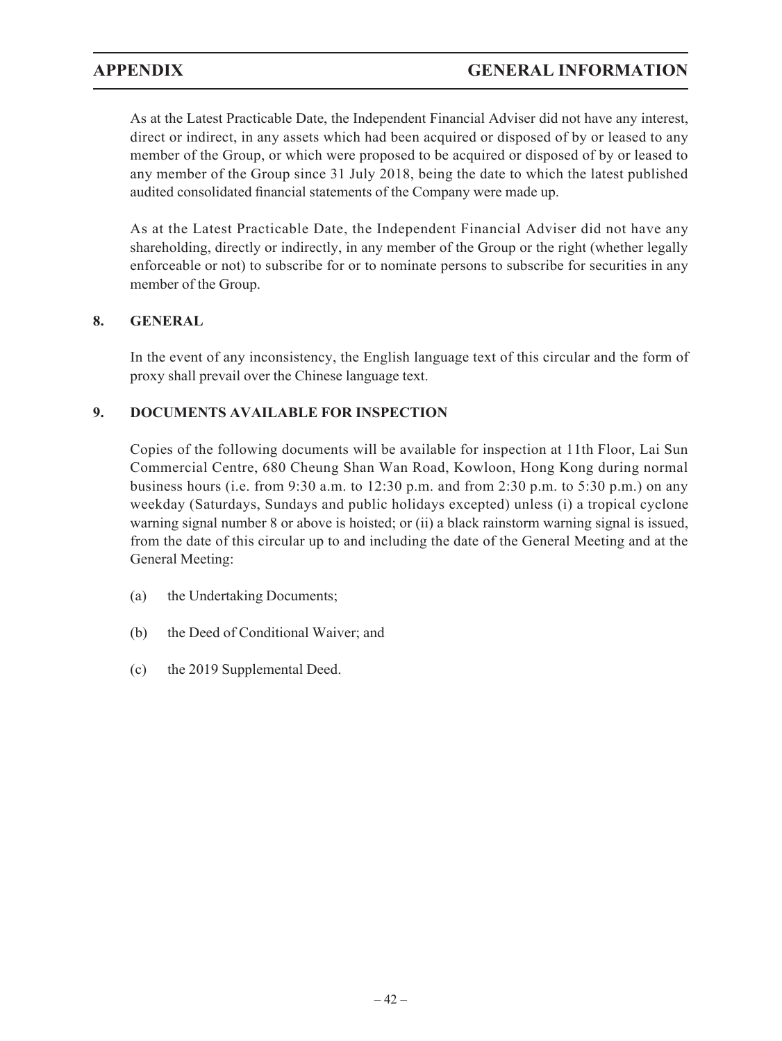As at the Latest Practicable Date, the Independent Financial Adviser did not have any interest, direct or indirect, in any assets which had been acquired or disposed of by or leased to any member of the Group, or which were proposed to be acquired or disposed of by or leased to any member of the Group since 31 July 2018, being the date to which the latest published audited consolidated financial statements of the Company were made up.

As at the Latest Practicable Date, the Independent Financial Adviser did not have any shareholding, directly or indirectly, in any member of the Group or the right (whether legally enforceable or not) to subscribe for or to nominate persons to subscribe for securities in any member of the Group.

## **8. GENERAL**

In the event of any inconsistency, the English language text of this circular and the form of proxy shall prevail over the Chinese language text.

## **9. DOCUMENTS AVAILABLE FOR INSPECTION**

Copies of the following documents will be available for inspection at 11th Floor, Lai Sun Commercial Centre, 680 Cheung Shan Wan Road, Kowloon, Hong Kong during normal business hours (i.e. from 9:30 a.m. to 12:30 p.m. and from 2:30 p.m. to 5:30 p.m.) on any weekday (Saturdays, Sundays and public holidays excepted) unless (i) a tropical cyclone warning signal number 8 or above is hoisted; or (ii) a black rainstorm warning signal is issued, from the date of this circular up to and including the date of the General Meeting and at the General Meeting:

- (a) the Undertaking Documents;
- (b) the Deed of Conditional Waiver; and
- (c) the 2019 Supplemental Deed.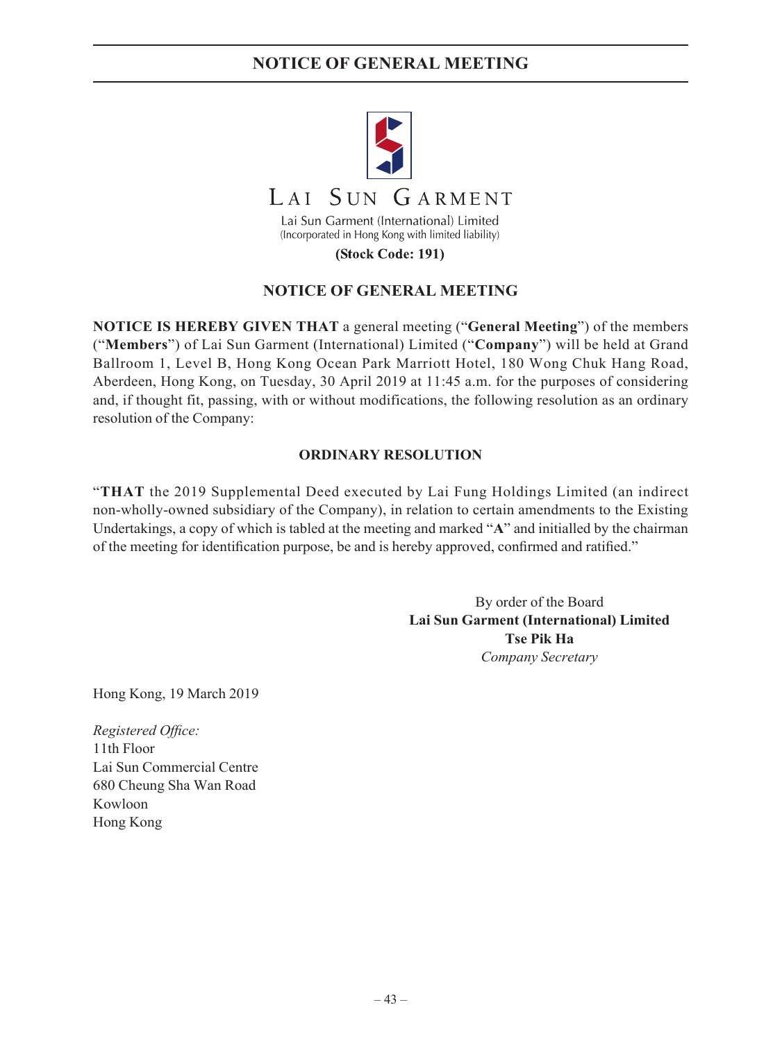# **NOTICE OF GENERAL MEETING**



(Stock Code: 191)

## **NOTICE OF GENERAL MEETING**

**NOTICE IS HEREBY GIVEN THAT** a general meeting ("**General Meeting**") of the members ("**Members**") of Lai Sun Garment (International) Limited ("**Company**") will be held at Grand Ballroom 1, Level B, Hong Kong Ocean Park Marriott Hotel, 180 Wong Chuk Hang Road, Aberdeen, Hong Kong, on Tuesday, 30 April 2019 at 11:45 a.m. for the purposes of considering and, if thought fit, passing, with or without modifications, the following resolution as an ordinary resolution of the Company:

### **ORDINARY RESOLUTION**

"**THAT** the 2019 Supplemental Deed executed by Lai Fung Holdings Limited (an indirect non-wholly-owned subsidiary of the Company), in relation to certain amendments to the Existing Undertakings, a copy of which is tabled at the meeting and marked "**A**" and initialled by the chairman of the meeting for identification purpose, be and is hereby approved, confirmed and ratified."

> By order of the Board **Lai Sun Garment (International) Limited Tse Pik Ha** *Company Secretary*

Hong Kong, 19 March 2019

*Registered Office:* 11th Floor Lai Sun Commercial Centre 680 Cheung Sha Wan Road Kowloon Hong Kong